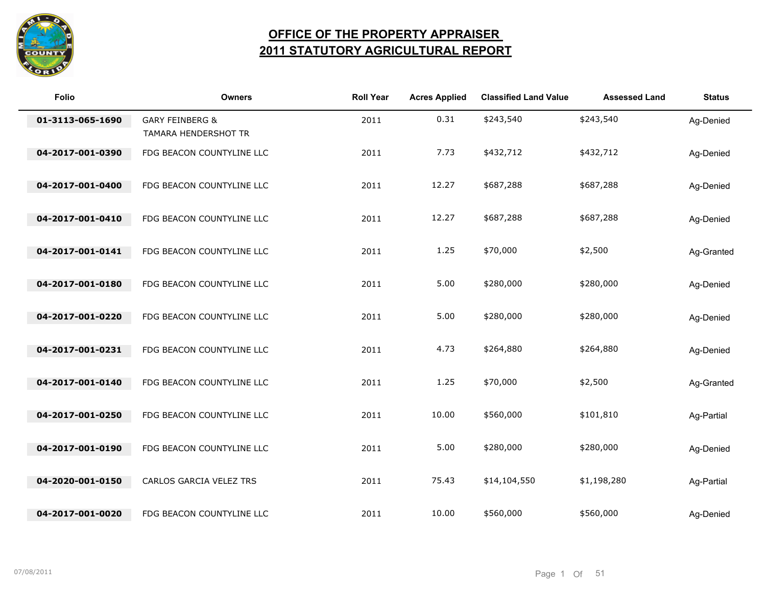

## **OFFICE OF THE PROPERTY APPRAISER 2011 STATUTORY AGRICULTURAL REPORT**

| Folio            | <b>Owners</b>                                      | <b>Roll Year</b> | <b>Acres Applied</b> | <b>Classified Land Value</b> | <b>Assessed Land</b> | <b>Status</b> |
|------------------|----------------------------------------------------|------------------|----------------------|------------------------------|----------------------|---------------|
| 01-3113-065-1690 | <b>GARY FEINBERG &amp;</b><br>TAMARA HENDERSHOT TR | 2011             | 0.31                 | \$243,540                    | \$243,540            | Ag-Denied     |
| 04-2017-001-0390 | FDG BEACON COUNTYLINE LLC                          | 2011             | 7.73                 | \$432,712                    | \$432,712            | Ag-Denied     |
| 04-2017-001-0400 | FDG BEACON COUNTYLINE LLC                          | 2011             | 12.27                | \$687,288                    | \$687,288            | Ag-Denied     |
| 04-2017-001-0410 | FDG BEACON COUNTYLINE LLC                          | 2011             | 12.27                | \$687,288                    | \$687,288            | Ag-Denied     |
| 04-2017-001-0141 | FDG BEACON COUNTYLINE LLC                          | 2011             | 1.25                 | \$70,000                     | \$2,500              | Ag-Granted    |
| 04-2017-001-0180 | FDG BEACON COUNTYLINE LLC                          | 2011             | 5.00                 | \$280,000                    | \$280,000            | Ag-Denied     |
| 04-2017-001-0220 | FDG BEACON COUNTYLINE LLC                          | 2011             | 5.00                 | \$280,000                    | \$280,000            | Ag-Denied     |
| 04-2017-001-0231 | FDG BEACON COUNTYLINE LLC                          | 2011             | 4.73                 | \$264,880                    | \$264,880            | Ag-Denied     |
| 04-2017-001-0140 | FDG BEACON COUNTYLINE LLC                          | 2011             | 1.25                 | \$70,000                     | \$2,500              | Ag-Granted    |
| 04-2017-001-0250 | FDG BEACON COUNTYLINE LLC                          | 2011             | 10.00                | \$560,000                    | \$101,810            | Ag-Partial    |
| 04-2017-001-0190 | FDG BEACON COUNTYLINE LLC                          | 2011             | 5.00                 | \$280,000                    | \$280,000            | Ag-Denied     |
| 04-2020-001-0150 | CARLOS GARCIA VELEZ TRS                            | 2011             | 75.43                | \$14,104,550                 | \$1,198,280          | Ag-Partial    |
| 04-2017-001-0020 | FDG BEACON COUNTYLINE LLC                          | 2011             | 10.00                | \$560,000                    | \$560,000            | Ag-Denied     |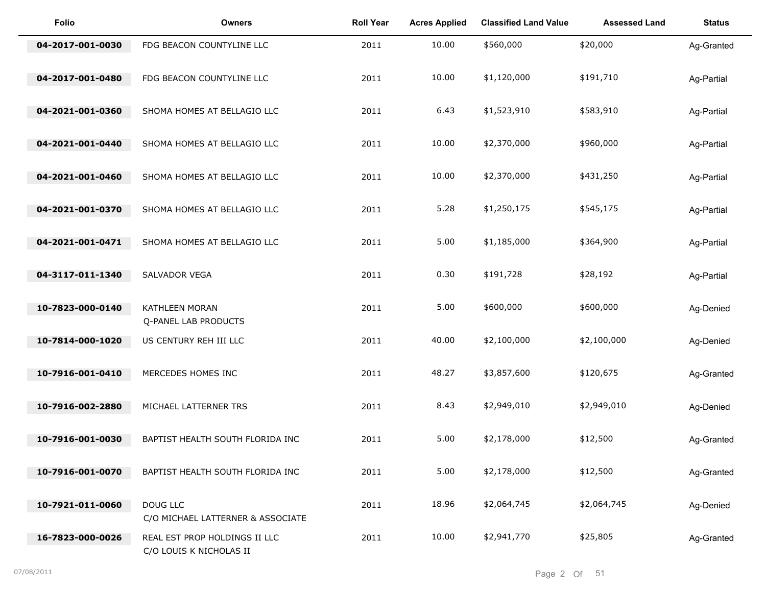| <b>Folio</b>     | <b>Owners</b>                                            | <b>Roll Year</b> | <b>Acres Applied</b> | <b>Classified Land Value</b> | <b>Assessed Land</b> | <b>Status</b> |
|------------------|----------------------------------------------------------|------------------|----------------------|------------------------------|----------------------|---------------|
| 04-2017-001-0030 | FDG BEACON COUNTYLINE LLC                                | 2011             | 10.00                | \$560,000                    | \$20,000             | Ag-Granted    |
| 04-2017-001-0480 | FDG BEACON COUNTYLINE LLC                                | 2011             | 10.00                | \$1,120,000                  | \$191,710            | Ag-Partial    |
| 04-2021-001-0360 | SHOMA HOMES AT BELLAGIO LLC                              | 2011             | 6.43                 | \$1,523,910                  | \$583,910            | Ag-Partial    |
| 04-2021-001-0440 | SHOMA HOMES AT BELLAGIO LLC                              | 2011             | 10.00                | \$2,370,000                  | \$960,000            | Ag-Partial    |
| 04-2021-001-0460 | SHOMA HOMES AT BELLAGIO LLC                              | 2011             | 10.00                | \$2,370,000                  | \$431,250            | Ag-Partial    |
| 04-2021-001-0370 | SHOMA HOMES AT BELLAGIO LLC                              | 2011             | 5.28                 | \$1,250,175                  | \$545,175            | Ag-Partial    |
| 04-2021-001-0471 | SHOMA HOMES AT BELLAGIO LLC                              | 2011             | 5.00                 | \$1,185,000                  | \$364,900            | Ag-Partial    |
| 04-3117-011-1340 | SALVADOR VEGA                                            | 2011             | 0.30                 | \$191,728                    | \$28,192             | Ag-Partial    |
| 10-7823-000-0140 | KATHLEEN MORAN                                           | 2011             | 5.00                 | \$600,000                    | \$600,000            | Ag-Denied     |
| 10-7814-000-1020 | Q-PANEL LAB PRODUCTS<br>US CENTURY REH III LLC           | 2011             | 40.00                | \$2,100,000                  | \$2,100,000          | Ag-Denied     |
| 10-7916-001-0410 | MERCEDES HOMES INC                                       | 2011             | 48.27                | \$3,857,600                  | \$120,675            | Ag-Granted    |
| 10-7916-002-2880 | MICHAEL LATTERNER TRS                                    | 2011             | 8.43                 | \$2,949,010                  | \$2,949,010          | Ag-Denied     |
| 10-7916-001-0030 | BAPTIST HEALTH SOUTH FLORIDA INC                         | 2011             | 5.00                 | \$2,178,000                  | \$12,500             | Ag-Granted    |
| 10-7916-001-0070 | BAPTIST HEALTH SOUTH FLORIDA INC                         | 2011             | 5.00                 | \$2,178,000                  | \$12,500             | Ag-Granted    |
| 10-7921-011-0060 | DOUG LLC                                                 | 2011             | 18.96                | \$2,064,745                  | \$2,064,745          | Ag-Denied     |
|                  | C/O MICHAEL LATTERNER & ASSOCIATE                        |                  |                      |                              |                      |               |
| 16-7823-000-0026 | REAL EST PROP HOLDINGS II LLC<br>C/O LOUIS K NICHOLAS II | 2011             | 10.00                | \$2,941,770                  | \$25,805             | Ag-Granted    |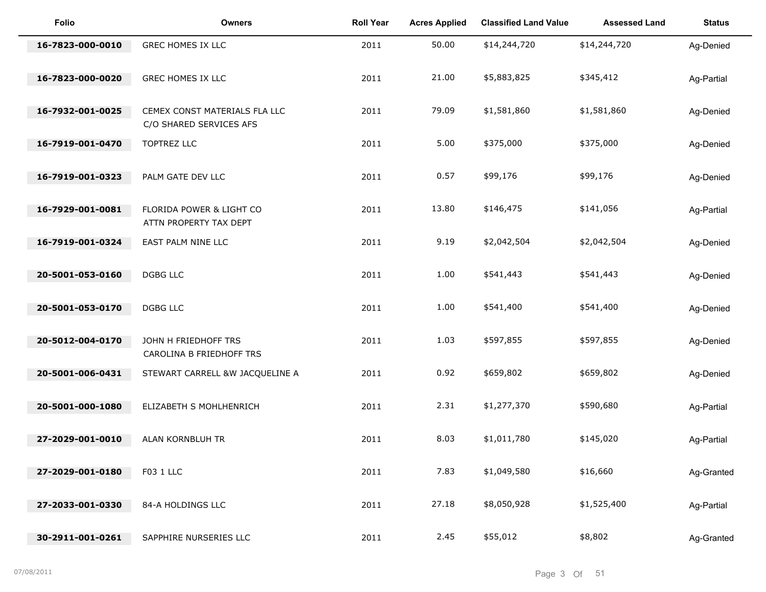| <b>Folio</b>     | <b>Owners</b>                                            | <b>Roll Year</b> | <b>Acres Applied</b> | <b>Classified Land Value</b> | <b>Assessed Land</b> | <b>Status</b> |
|------------------|----------------------------------------------------------|------------------|----------------------|------------------------------|----------------------|---------------|
| 16-7823-000-0010 | GREC HOMES IX LLC                                        | 2011             | 50.00                | \$14,244,720                 | \$14,244,720         | Ag-Denied     |
| 16-7823-000-0020 | GREC HOMES IX LLC                                        | 2011             | 21.00                | \$5,883,825                  | \$345,412            | Ag-Partial    |
| 16-7932-001-0025 | CEMEX CONST MATERIALS FLA LLC<br>C/O SHARED SERVICES AFS | 2011             | 79.09                | \$1,581,860                  | \$1,581,860          | Ag-Denied     |
| 16-7919-001-0470 | TOPTREZ LLC                                              | 2011             | 5.00                 | \$375,000                    | \$375,000            | Ag-Denied     |
| 16-7919-001-0323 | PALM GATE DEV LLC                                        | 2011             | 0.57                 | \$99,176                     | \$99,176             | Ag-Denied     |
| 16-7929-001-0081 | FLORIDA POWER & LIGHT CO<br>ATTN PROPERTY TAX DEPT       | 2011             | 13.80                | \$146,475                    | \$141,056            | Ag-Partial    |
| 16-7919-001-0324 | EAST PALM NINE LLC                                       | 2011             | 9.19                 | \$2,042,504                  | \$2,042,504          | Ag-Denied     |
| 20-5001-053-0160 | <b>DGBG LLC</b>                                          | 2011             | 1.00                 | \$541,443                    | \$541,443            | Ag-Denied     |
| 20-5001-053-0170 | <b>DGBG LLC</b>                                          | 2011             | 1.00                 | \$541,400                    | \$541,400            | Ag-Denied     |
| 20-5012-004-0170 | JOHN H FRIEDHOFF TRS<br>CAROLINA B FRIEDHOFF TRS         | 2011             | 1.03                 | \$597,855                    | \$597,855            | Ag-Denied     |
| 20-5001-006-0431 | STEWART CARRELL &W JACQUELINE A                          | 2011             | 0.92                 | \$659,802                    | \$659,802            | Ag-Denied     |
| 20-5001-000-1080 | ELIZABETH S MOHLHENRICH                                  | 2011             | 2.31                 | \$1,277,370                  | \$590,680            | Ag-Partial    |
| 27-2029-001-0010 | ALAN KORNBLUH TR                                         | 2011             | 8.03                 | \$1,011,780                  | \$145,020            | Ag-Partial    |
| 27-2029-001-0180 | F03 1 LLC                                                | 2011             | 7.83                 | \$1,049,580                  | \$16,660             | Ag-Granted    |
| 27-2033-001-0330 | 84-A HOLDINGS LLC                                        | 2011             | 27.18                | \$8,050,928                  | \$1,525,400          | Ag-Partial    |
| 30-2911-001-0261 | SAPPHIRE NURSERIES LLC                                   | 2011             | 2.45                 | \$55,012                     | \$8,802              | Ag-Granted    |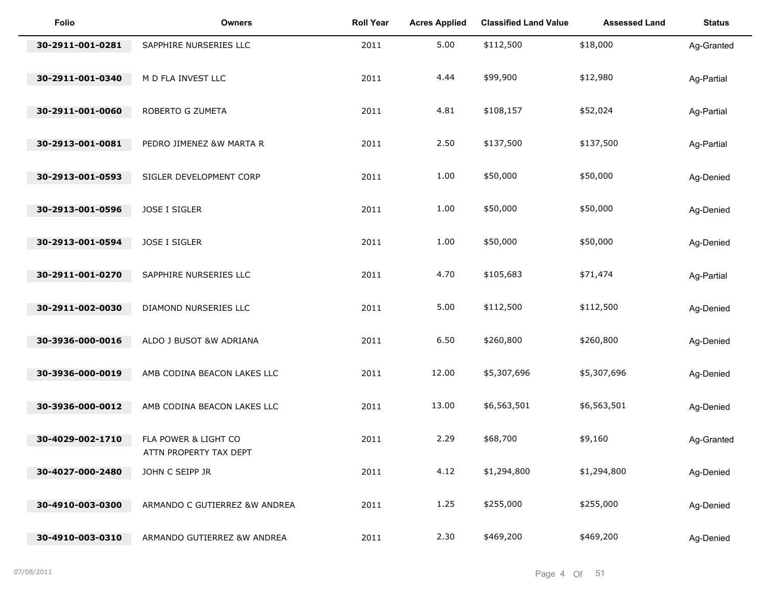| <b>Folio</b>     | <b>Owners</b>                                  | <b>Roll Year</b> | <b>Acres Applied</b> | <b>Classified Land Value</b> | <b>Assessed Land</b> | <b>Status</b> |
|------------------|------------------------------------------------|------------------|----------------------|------------------------------|----------------------|---------------|
| 30-2911-001-0281 | SAPPHIRE NURSERIES LLC                         | 2011             | 5.00                 | \$112,500                    | \$18,000             | Ag-Granted    |
| 30-2911-001-0340 | M D FLA INVEST LLC                             | 2011             | 4.44                 | \$99,900                     | \$12,980             | Ag-Partial    |
| 30-2911-001-0060 | ROBERTO G ZUMETA                               | 2011             | 4.81                 | \$108,157                    | \$52,024             | Ag-Partial    |
| 30-2913-001-0081 | PEDRO JIMENEZ &W MARTA R                       | 2011             | 2.50                 | \$137,500                    | \$137,500            | Ag-Partial    |
| 30-2913-001-0593 | SIGLER DEVELOPMENT CORP                        | 2011             | 1.00                 | \$50,000                     | \$50,000             | Ag-Denied     |
| 30-2913-001-0596 | JOSE I SIGLER                                  | 2011             | 1.00                 | \$50,000                     | \$50,000             | Ag-Denied     |
| 30-2913-001-0594 | JOSE I SIGLER                                  | 2011             | 1.00                 | \$50,000                     | \$50,000             | Ag-Denied     |
| 30-2911-001-0270 | SAPPHIRE NURSERIES LLC                         | 2011             | 4.70                 | \$105,683                    | \$71,474             | Ag-Partial    |
| 30-2911-002-0030 | DIAMOND NURSERIES LLC                          | 2011             | 5.00                 | \$112,500                    | \$112,500            | Ag-Denied     |
| 30-3936-000-0016 | ALDO J BUSOT &W ADRIANA                        | 2011             | 6.50                 | \$260,800                    | \$260,800            | Ag-Denied     |
| 30-3936-000-0019 | AMB CODINA BEACON LAKES LLC                    | 2011             | 12.00                | \$5,307,696                  | \$5,307,696          | Ag-Denied     |
|                  |                                                |                  |                      |                              |                      |               |
| 30-3936-000-0012 | AMB CODINA BEACON LAKES LLC                    | 2011             | 13.00                | \$6,563,501                  | \$6,563,501          | Ag-Denied     |
| 30-4029-002-1710 | FLA POWER & LIGHT CO<br>ATTN PROPERTY TAX DEPT | 2011             | 2.29                 | \$68,700                     | \$9,160              | Ag-Granted    |
| 30-4027-000-2480 | JOHN C SEIPP JR                                | 2011             | 4.12                 | \$1,294,800                  | \$1,294,800          | Ag-Denied     |
| 30-4910-003-0300 | ARMANDO C GUTIERREZ &W ANDREA                  | 2011             | 1.25                 | \$255,000                    | \$255,000            | Ag-Denied     |
| 30-4910-003-0310 | ARMANDO GUTIERREZ &W ANDREA                    | 2011             | 2.30                 | \$469,200                    | \$469,200            | Ag-Denied     |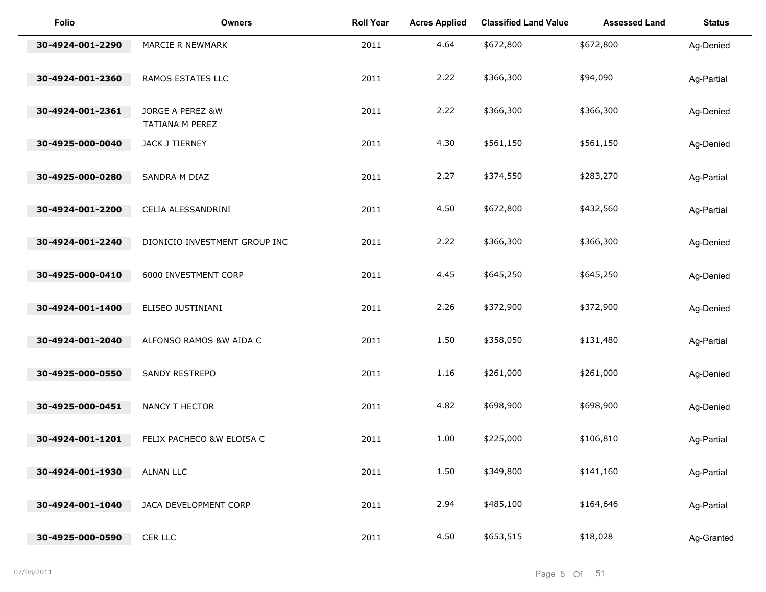| <b>Folio</b>     | <b>Owners</b>                       | <b>Roll Year</b> | <b>Acres Applied</b> | <b>Classified Land Value</b> | <b>Assessed Land</b> | <b>Status</b> |
|------------------|-------------------------------------|------------------|----------------------|------------------------------|----------------------|---------------|
| 30-4924-001-2290 | MARCIE R NEWMARK                    | 2011             | 4.64                 | \$672,800                    | \$672,800            | Ag-Denied     |
| 30-4924-001-2360 | RAMOS ESTATES LLC                   | 2011             | 2.22                 | \$366,300                    | \$94,090             | Ag-Partial    |
| 30-4924-001-2361 | JORGE A PEREZ &W<br>TATIANA M PEREZ | 2011             | 2.22                 | \$366,300                    | \$366,300            | Ag-Denied     |
| 30-4925-000-0040 | JACK J TIERNEY                      | 2011             | 4.30                 | \$561,150                    | \$561,150            | Ag-Denied     |
| 30-4925-000-0280 | SANDRA M DIAZ                       | 2011             | 2.27                 | \$374,550                    | \$283,270            | Ag-Partial    |
| 30-4924-001-2200 | CELIA ALESSANDRINI                  | 2011             | 4.50                 | \$672,800                    | \$432,560            | Ag-Partial    |
| 30-4924-001-2240 | DIONICIO INVESTMENT GROUP INC       | 2011             | 2.22                 | \$366,300                    | \$366,300            | Ag-Denied     |
| 30-4925-000-0410 | 6000 INVESTMENT CORP                | 2011             | 4.45                 | \$645,250                    | \$645,250            | Ag-Denied     |
| 30-4924-001-1400 | ELISEO JUSTINIANI                   | 2011             | 2.26                 | \$372,900                    | \$372,900            | Ag-Denied     |
| 30-4924-001-2040 | ALFONSO RAMOS &W AIDA C             | 2011             | 1.50                 | \$358,050                    | \$131,480            | Ag-Partial    |
| 30-4925-000-0550 | SANDY RESTREPO                      | 2011             | 1.16                 | \$261,000                    | \$261,000            | Ag-Denied     |
| 30-4925-000-0451 | NANCY T HECTOR                      | 2011             | 4.82                 | \$698,900                    | \$698,900            | Ag-Denied     |
| 30-4924-001-1201 | FELIX PACHECO &W ELOISA C           | 2011             | 1.00                 | \$225,000                    | \$106,810            | Ag-Partial    |
| 30-4924-001-1930 | <b>ALNAN LLC</b>                    | 2011             | 1.50                 | \$349,800                    | \$141,160            | Ag-Partial    |
| 30-4924-001-1040 | JACA DEVELOPMENT CORP               | 2011             | 2.94                 | \$485,100                    | \$164,646            | Ag-Partial    |
| 30-4925-000-0590 | CER LLC                             | 2011             | 4.50                 | \$653,515                    | \$18,028             | Ag-Granted    |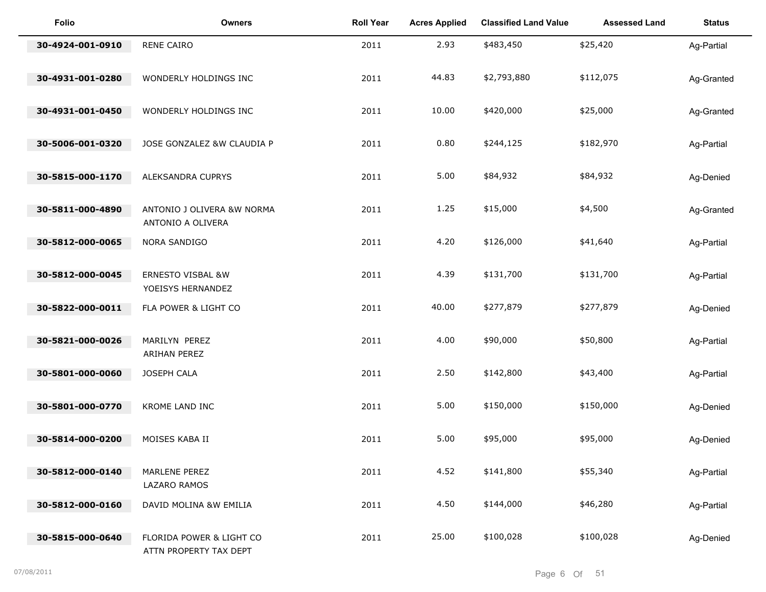| <b>Folio</b>     | <b>Owners</b>                                      | <b>Roll Year</b> | <b>Acres Applied</b> | <b>Classified Land Value</b> | <b>Assessed Land</b> | <b>Status</b> |
|------------------|----------------------------------------------------|------------------|----------------------|------------------------------|----------------------|---------------|
| 30-4924-001-0910 | RENE CAIRO                                         | 2011             | 2.93                 | \$483,450                    | \$25,420             | Ag-Partial    |
| 30-4931-001-0280 | WONDERLY HOLDINGS INC                              | 2011             | 44.83                | \$2,793,880                  | \$112,075            | Ag-Granted    |
| 30-4931-001-0450 | WONDERLY HOLDINGS INC                              | 2011             | 10.00                | \$420,000                    | \$25,000             | Ag-Granted    |
| 30-5006-001-0320 | JOSE GONZALEZ &W CLAUDIA P                         | 2011             | 0.80                 | \$244,125                    | \$182,970            | Ag-Partial    |
| 30-5815-000-1170 | ALEKSANDRA CUPRYS                                  | 2011             | 5.00                 | \$84,932                     | \$84,932             | Ag-Denied     |
| 30-5811-000-4890 | ANTONIO J OLIVERA &W NORMA<br>ANTONIO A OLIVERA    | 2011             | 1.25                 | \$15,000                     | \$4,500              | Ag-Granted    |
| 30-5812-000-0065 | NORA SANDIGO                                       | 2011             | 4.20                 | \$126,000                    | \$41,640             | Ag-Partial    |
| 30-5812-000-0045 | ERNESTO VISBAL &W<br>YOEISYS HERNANDEZ             | 2011             | 4.39                 | \$131,700                    | \$131,700            | Ag-Partial    |
| 30-5822-000-0011 | FLA POWER & LIGHT CO                               | 2011             | 40.00                | \$277,879                    | \$277,879            | Ag-Denied     |
| 30-5821-000-0026 | MARILYN PEREZ<br>ARIHAN PEREZ                      | 2011             | 4.00                 | \$90,000                     | \$50,800             | Ag-Partial    |
| 30-5801-000-0060 | JOSEPH CALA                                        | 2011             | 2.50                 | \$142,800                    | \$43,400             | Ag-Partial    |
| 30-5801-000-0770 | KROME LAND INC                                     | 2011             | 5.00                 | \$150,000                    | \$150,000            | Ag-Denied     |
| 30-5814-000-0200 | MOISES KABA II                                     | 2011             | 5.00                 | \$95,000                     | \$95,000             | Ag-Denied     |
| 30-5812-000-0140 | MARLENE PEREZ<br>LAZARO RAMOS                      | 2011             | 4.52                 | \$141,800                    | \$55,340             | Ag-Partial    |
| 30-5812-000-0160 | DAVID MOLINA &W EMILIA                             | 2011             | 4.50                 | \$144,000                    | \$46,280             | Ag-Partial    |
| 30-5815-000-0640 | FLORIDA POWER & LIGHT CO<br>ATTN PROPERTY TAX DEPT | 2011             | 25.00                | \$100,028                    | \$100,028            | Ag-Denied     |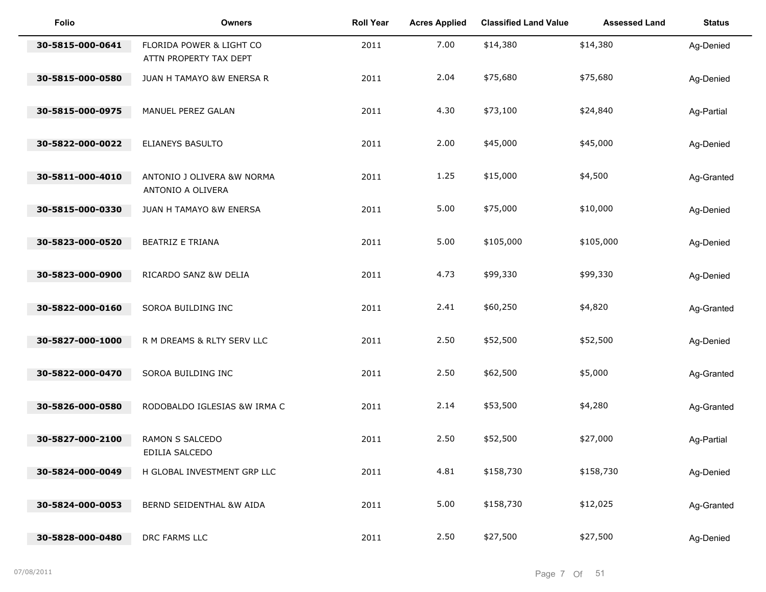| Folio            | <b>Owners</b>                                      | <b>Roll Year</b> | <b>Acres Applied</b> | <b>Classified Land Value</b> | <b>Assessed Land</b> | <b>Status</b> |
|------------------|----------------------------------------------------|------------------|----------------------|------------------------------|----------------------|---------------|
| 30-5815-000-0641 | FLORIDA POWER & LIGHT CO<br>ATTN PROPERTY TAX DEPT | 2011             | 7.00                 | \$14,380                     | \$14,380             | Ag-Denied     |
| 30-5815-000-0580 | JUAN H TAMAYO &W ENERSA R                          | 2011             | 2.04                 | \$75,680                     | \$75,680             | Ag-Denied     |
| 30-5815-000-0975 | MANUEL PEREZ GALAN                                 | 2011             | 4.30                 | \$73,100                     | \$24,840             | Ag-Partial    |
| 30-5822-000-0022 | ELIANEYS BASULTO                                   | 2011             | 2.00                 | \$45,000                     | \$45,000             | Ag-Denied     |
| 30-5811-000-4010 | ANTONIO J OLIVERA &W NORMA<br>ANTONIO A OLIVERA    | 2011             | 1.25                 | \$15,000                     | \$4,500              | Ag-Granted    |
| 30-5815-000-0330 | JUAN H TAMAYO &W ENERSA                            | 2011             | 5.00                 | \$75,000                     | \$10,000             | Ag-Denied     |
| 30-5823-000-0520 | <b>BEATRIZ E TRIANA</b>                            | 2011             | 5.00                 | \$105,000                    | \$105,000            | Ag-Denied     |
| 30-5823-000-0900 | RICARDO SANZ &W DELIA                              | 2011             | 4.73                 | \$99,330                     | \$99,330             | Ag-Denied     |
| 30-5822-000-0160 | SOROA BUILDING INC                                 | 2011             | 2.41                 | \$60,250                     | \$4,820              | Ag-Granted    |
| 30-5827-000-1000 | R M DREAMS & RLTY SERV LLC                         | 2011             | 2.50                 | \$52,500                     | \$52,500             | Ag-Denied     |
| 30-5822-000-0470 | SOROA BUILDING INC                                 | 2011             | 2.50                 | \$62,500                     | \$5,000              | Ag-Granted    |
| 30-5826-000-0580 | RODOBALDO IGLESIAS &W IRMA C                       | 2011             | 2.14                 | \$53,500                     | \$4,280              | Ag-Granted    |
| 30-5827-000-2100 | RAMON S SALCEDO<br>EDILIA SALCEDO                  | 2011             | 2.50                 | \$52,500                     | \$27,000             | Ag-Partial    |
| 30-5824-000-0049 | H GLOBAL INVESTMENT GRP LLC                        | 2011             | 4.81                 | \$158,730                    | \$158,730            | Ag-Denied     |
| 30-5824-000-0053 | BERND SEIDENTHAL &W AIDA                           | 2011             | 5.00                 | \$158,730                    | \$12,025             | Ag-Granted    |
| 30-5828-000-0480 | DRC FARMS LLC                                      | 2011             | 2.50                 | \$27,500                     | \$27,500             | Ag-Denied     |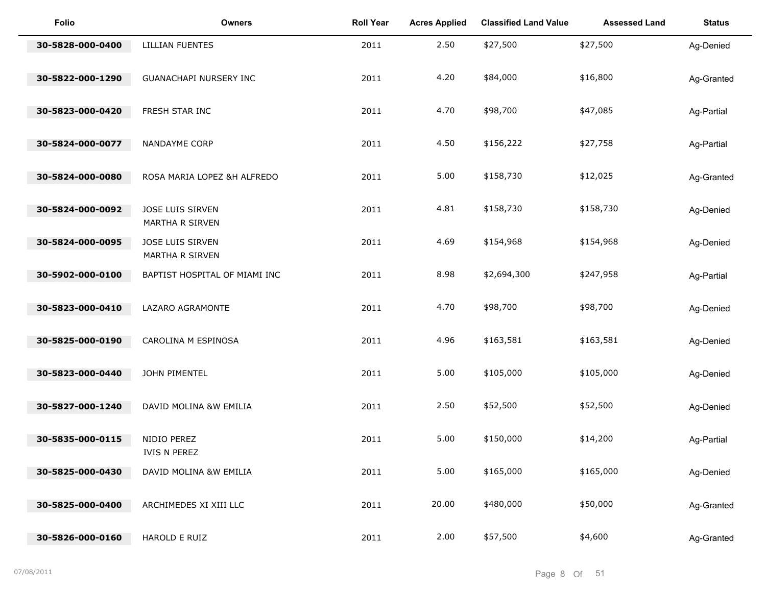| <b>Folio</b>     | <b>Owners</b>                       | <b>Roll Year</b> | <b>Acres Applied</b> | <b>Classified Land Value</b> | <b>Assessed Land</b> | <b>Status</b> |
|------------------|-------------------------------------|------------------|----------------------|------------------------------|----------------------|---------------|
| 30-5828-000-0400 | <b>LILLIAN FUENTES</b>              | 2011             | 2.50                 | \$27,500                     | \$27,500             | Ag-Denied     |
| 30-5822-000-1290 | <b>GUANACHAPI NURSERY INC</b>       | 2011             | 4.20                 | \$84,000                     | \$16,800             | Ag-Granted    |
| 30-5823-000-0420 | FRESH STAR INC                      | 2011             | 4.70                 | \$98,700                     | \$47,085             | Ag-Partial    |
| 30-5824-000-0077 | NANDAYME CORP                       | 2011             | 4.50                 | \$156,222                    | \$27,758             | Ag-Partial    |
| 30-5824-000-0080 | ROSA MARIA LOPEZ &H ALFREDO         | 2011             | 5.00                 | \$158,730                    | \$12,025             | Ag-Granted    |
| 30-5824-000-0092 | JOSE LUIS SIRVEN<br>MARTHA R SIRVEN | 2011             | 4.81                 | \$158,730                    | \$158,730            | Ag-Denied     |
| 30-5824-000-0095 | JOSE LUIS SIRVEN<br>MARTHA R SIRVEN | 2011             | 4.69                 | \$154,968                    | \$154,968            | Ag-Denied     |
| 30-5902-000-0100 | BAPTIST HOSPITAL OF MIAMI INC       | 2011             | 8.98                 | \$2,694,300                  | \$247,958            | Ag-Partial    |
| 30-5823-000-0410 | LAZARO AGRAMONTE                    | 2011             | 4.70                 | \$98,700                     | \$98,700             | Ag-Denied     |
| 30-5825-000-0190 | CAROLINA M ESPINOSA                 | 2011             | 4.96                 | \$163,581                    | \$163,581            | Ag-Denied     |
| 30-5823-000-0440 | JOHN PIMENTEL                       | 2011             | 5.00                 | \$105,000                    | \$105,000            | Ag-Denied     |
| 30-5827-000-1240 | DAVID MOLINA &W EMILIA              | 2011             | 2.50                 | \$52,500                     | \$52,500             | Ag-Denied     |
| 30-5835-000-0115 | NIDIO PEREZ<br>IVIS N PEREZ         | 2011             | 5.00                 | \$150,000                    | \$14,200             | Ag-Partial    |
| 30-5825-000-0430 | DAVID MOLINA &W EMILIA              | 2011             | 5.00                 | \$165,000                    | \$165,000            | Ag-Denied     |
| 30-5825-000-0400 | ARCHIMEDES XI XIII LLC              | 2011             | 20.00                | \$480,000                    | \$50,000             | Ag-Granted    |
| 30-5826-000-0160 | HAROLD E RUIZ                       | 2011             | 2.00                 | \$57,500                     | \$4,600              | Ag-Granted    |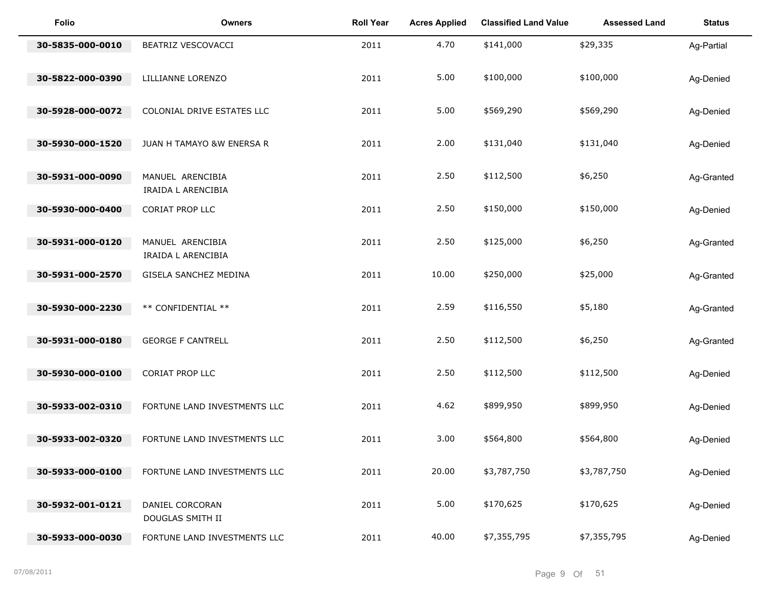| <b>Folio</b>     | Owners                                           | <b>Roll Year</b> | <b>Acres Applied</b> | <b>Classified Land Value</b> | <b>Assessed Land</b> | <b>Status</b> |
|------------------|--------------------------------------------------|------------------|----------------------|------------------------------|----------------------|---------------|
| 30-5835-000-0010 | BEATRIZ VESCOVACCI                               | 2011             | 4.70                 | \$141,000                    | \$29,335             | Ag-Partial    |
| 30-5822-000-0390 | LILLIANNE LORENZO                                | 2011             | 5.00                 | \$100,000                    | \$100,000            | Ag-Denied     |
| 30-5928-000-0072 | COLONIAL DRIVE ESTATES LLC                       | 2011             | 5.00                 | \$569,290                    | \$569,290            | Ag-Denied     |
| 30-5930-000-1520 | JUAN H TAMAYO &W ENERSA R                        | 2011             | 2.00                 | \$131,040                    | \$131,040            | Ag-Denied     |
| 30-5931-000-0090 | MANUEL ARENCIBIA                                 | 2011             | 2.50                 | \$112,500                    | \$6,250              | Ag-Granted    |
| 30-5930-000-0400 | IRAIDA L ARENCIBIA<br><b>CORIAT PROP LLC</b>     | 2011             | 2.50                 | \$150,000                    | \$150,000            | Ag-Denied     |
| 30-5931-000-0120 | MANUEL ARENCIBIA<br>IRAIDA L ARENCIBIA           | 2011             | 2.50                 | \$125,000                    | \$6,250              | Ag-Granted    |
| 30-5931-000-2570 | GISELA SANCHEZ MEDINA                            | 2011             | 10.00                | \$250,000                    | \$25,000             | Ag-Granted    |
| 30-5930-000-2230 | ** CONFIDENTIAL **                               | 2011             | 2.59                 | \$116,550                    | \$5,180              | Ag-Granted    |
| 30-5931-000-0180 | <b>GEORGE F CANTRELL</b>                         | 2011             | 2.50                 | \$112,500                    | \$6,250              | Ag-Granted    |
| 30-5930-000-0100 | <b>CORIAT PROP LLC</b>                           | 2011             | 2.50                 | \$112,500                    | \$112,500            | Ag-Denied     |
| 30-5933-002-0310 | FORTUNE LAND INVESTMENTS LLC                     | 2011             | 4.62                 | \$899,950                    | \$899,950            | Ag-Denied     |
| 30-5933-002-0320 | FORTUNE LAND INVESTMENTS LLC                     | 2011             | 3.00                 | \$564,800                    | \$564,800            | Ag-Denied     |
| 30-5933-000-0100 | FORTUNE LAND INVESTMENTS LLC                     | 2011             | 20.00                | \$3,787,750                  | \$3,787,750          | Ag-Denied     |
| 30-5932-001-0121 | DANIEL CORCORAN                                  | 2011             | 5.00                 | \$170,625                    | \$170,625            | Ag-Denied     |
| 30-5933-000-0030 | DOUGLAS SMITH II<br>FORTUNE LAND INVESTMENTS LLC | 2011             | 40.00                | \$7,355,795                  | \$7,355,795          | Ag-Denied     |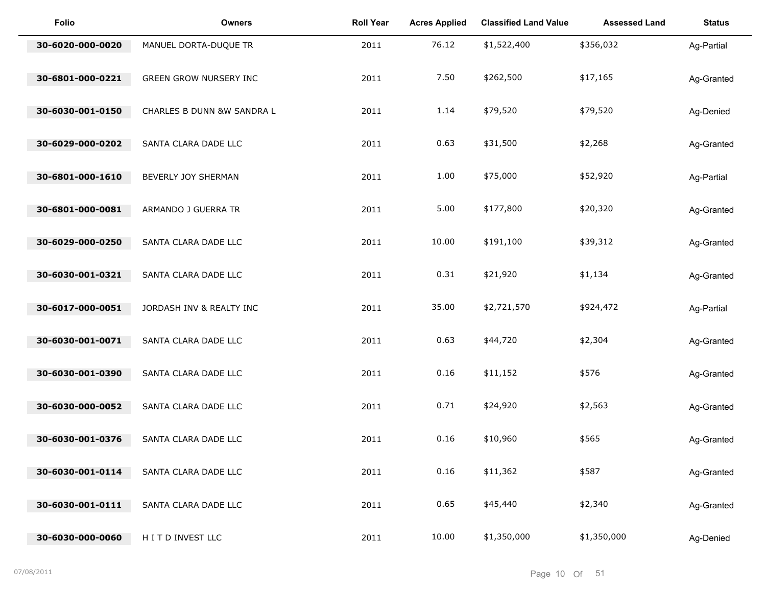| <b>Folio</b>     | <b>Owners</b>                 | <b>Roll Year</b> | <b>Acres Applied</b> | <b>Classified Land Value</b> | <b>Assessed Land</b> | <b>Status</b> |
|------------------|-------------------------------|------------------|----------------------|------------------------------|----------------------|---------------|
| 30-6020-000-0020 | MANUEL DORTA-DUQUE TR         | 2011             | 76.12                | \$1,522,400                  | \$356,032            | Ag-Partial    |
| 30-6801-000-0221 | <b>GREEN GROW NURSERY INC</b> | 2011             | 7.50                 | \$262,500                    | \$17,165             | Ag-Granted    |
| 30-6030-001-0150 | CHARLES B DUNN &W SANDRA L    | 2011             | 1.14                 | \$79,520                     | \$79,520             | Ag-Denied     |
| 30-6029-000-0202 | SANTA CLARA DADE LLC          | 2011             | 0.63                 | \$31,500                     | \$2,268              | Ag-Granted    |
| 30-6801-000-1610 | BEVERLY JOY SHERMAN           | 2011             | 1.00                 | \$75,000                     | \$52,920             | Ag-Partial    |
| 30-6801-000-0081 | ARMANDO J GUERRA TR           | 2011             | 5.00                 | \$177,800                    | \$20,320             | Ag-Granted    |
| 30-6029-000-0250 | SANTA CLARA DADE LLC          | 2011             | 10.00                | \$191,100                    | \$39,312             | Ag-Granted    |
| 30-6030-001-0321 | SANTA CLARA DADE LLC          | 2011             | 0.31                 | \$21,920                     | \$1,134              | Ag-Granted    |
| 30-6017-000-0051 | JORDASH INV & REALTY INC      | 2011             | 35.00                | \$2,721,570                  | \$924,472            | Ag-Partial    |
| 30-6030-001-0071 | SANTA CLARA DADE LLC          | 2011             | 0.63                 | \$44,720                     | \$2,304              | Ag-Granted    |
| 30-6030-001-0390 | SANTA CLARA DADE LLC          | 2011             | 0.16                 | \$11,152                     | \$576                | Ag-Granted    |
| 30-6030-000-0052 | SANTA CLARA DADE LLC          | 2011             | 0.71                 | \$24,920                     | \$2,563              | Ag-Granted    |
| 30-6030-001-0376 | SANTA CLARA DADE LLC          | 2011             | 0.16                 | \$10,960                     | \$565                | Ag-Granted    |
| 30-6030-001-0114 | SANTA CLARA DADE LLC          | 2011             | 0.16                 | \$11,362                     | \$587                | Ag-Granted    |
| 30-6030-001-0111 | SANTA CLARA DADE LLC          | 2011             | 0.65                 | \$45,440                     | \$2,340              | Ag-Granted    |
| 30-6030-000-0060 | HITD INVEST LLC               | 2011             | 10.00                | \$1,350,000                  | \$1,350,000          | Ag-Denied     |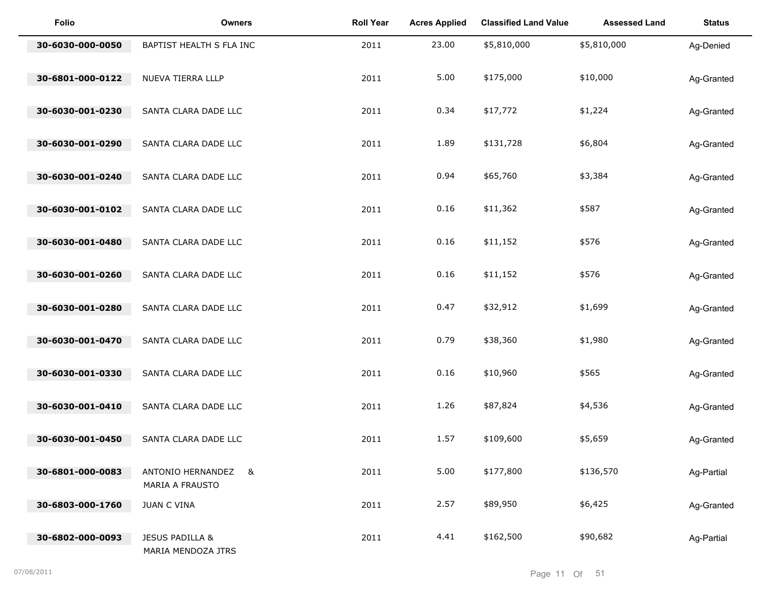| <b>Folio</b>     | <b>Owners</b>                          | <b>Roll Year</b> | <b>Acres Applied</b> | <b>Classified Land Value</b> | <b>Assessed Land</b> | <b>Status</b> |
|------------------|----------------------------------------|------------------|----------------------|------------------------------|----------------------|---------------|
| 30-6030-000-0050 | BAPTIST HEALTH S FLA INC               | 2011             | 23.00                | \$5,810,000                  | \$5,810,000          | Ag-Denied     |
| 30-6801-000-0122 | NUEVA TIERRA LLLP                      | 2011             | 5.00                 | \$175,000                    | \$10,000             | Ag-Granted    |
| 30-6030-001-0230 | SANTA CLARA DADE LLC                   | 2011             | 0.34                 | \$17,772                     | \$1,224              | Ag-Granted    |
| 30-6030-001-0290 | SANTA CLARA DADE LLC                   | 2011             | 1.89                 | \$131,728                    | \$6,804              | Ag-Granted    |
| 30-6030-001-0240 | SANTA CLARA DADE LLC                   | 2011             | 0.94                 | \$65,760                     | \$3,384              | Ag-Granted    |
| 30-6030-001-0102 | SANTA CLARA DADE LLC                   | 2011             | 0.16                 | \$11,362                     | \$587                | Ag-Granted    |
| 30-6030-001-0480 | SANTA CLARA DADE LLC                   | 2011             | 0.16                 | \$11,152                     | \$576                | Ag-Granted    |
| 30-6030-001-0260 | SANTA CLARA DADE LLC                   | 2011             | 0.16                 | \$11,152                     | \$576                | Ag-Granted    |
| 30-6030-001-0280 | SANTA CLARA DADE LLC                   | 2011             | 0.47                 | \$32,912                     | \$1,699              | Ag-Granted    |
| 30-6030-001-0470 | SANTA CLARA DADE LLC                   | 2011             | 0.79                 | \$38,360                     | \$1,980              | Ag-Granted    |
| 30-6030-001-0330 | SANTA CLARA DADE LLC                   | 2011             | 0.16                 | \$10,960                     | \$565                | Ag-Granted    |
| 30-6030-001-0410 | SANTA CLARA DADE LLC                   | 2011             | 1.26                 | \$87,824                     | \$4,536              | Ag-Granted    |
| 30-6030-001-0450 | SANTA CLARA DADE LLC                   | 2011             | 1.57                 | \$109,600                    | \$5,659              | Ag-Granted    |
| 30-6801-000-0083 | ANTONIO HERNANDEZ &<br>MARIA A FRAUSTO | 2011             | 5.00                 | \$177,800                    | \$136,570            | Ag-Partial    |
| 30-6803-000-1760 | <b>JUAN C VINA</b>                     | 2011             | 2.57                 | \$89,950                     | \$6,425              | Ag-Granted    |
| 30-6802-000-0093 | JESUS PADILLA &<br>MARIA MENDOZA JTRS  | 2011             | 4.41                 | \$162,500                    | \$90,682             | Ag-Partial    |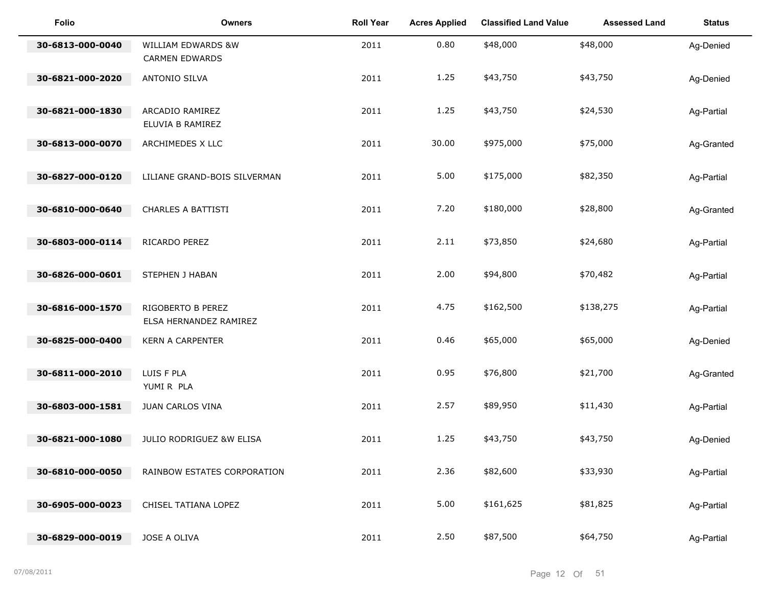| <b>Folio</b>     | <b>Owners</b>                               | <b>Roll Year</b> | <b>Acres Applied</b> | <b>Classified Land Value</b> | <b>Assessed Land</b> | <b>Status</b> |
|------------------|---------------------------------------------|------------------|----------------------|------------------------------|----------------------|---------------|
| 30-6813-000-0040 | WILLIAM EDWARDS &W<br><b>CARMEN EDWARDS</b> | 2011             | 0.80                 | \$48,000                     | \$48,000             | Ag-Denied     |
| 30-6821-000-2020 | ANTONIO SILVA                               | 2011             | 1.25                 | \$43,750                     | \$43,750             | Ag-Denied     |
| 30-6821-000-1830 | ARCADIO RAMIREZ<br>ELUVIA B RAMIREZ         | 2011             | 1.25                 | \$43,750                     | \$24,530             | Ag-Partial    |
| 30-6813-000-0070 | ARCHIMEDES X LLC                            | 2011             | 30.00                | \$975,000                    | \$75,000             | Ag-Granted    |
| 30-6827-000-0120 | LILIANE GRAND-BOIS SILVERMAN                | 2011             | 5.00                 | \$175,000                    | \$82,350             | Ag-Partial    |
| 30-6810-000-0640 | CHARLES A BATTISTI                          | 2011             | 7.20                 | \$180,000                    | \$28,800             | Ag-Granted    |
| 30-6803-000-0114 | RICARDO PEREZ                               | 2011             | 2.11                 | \$73,850                     | \$24,680             | Ag-Partial    |
| 30-6826-000-0601 | STEPHEN J HABAN                             | 2011             | 2.00                 | \$94,800                     | \$70,482             | Ag-Partial    |
| 30-6816-000-1570 | RIGOBERTO B PEREZ<br>ELSA HERNANDEZ RAMIREZ | 2011             | 4.75                 | \$162,500                    | \$138,275            | Ag-Partial    |
| 30-6825-000-0400 | <b>KERN A CARPENTER</b>                     | 2011             | 0.46                 | \$65,000                     | \$65,000             | Ag-Denied     |
| 30-6811-000-2010 | LUIS F PLA<br>YUMIR PLA                     | 2011             | 0.95                 | \$76,800                     | \$21,700             | Ag-Granted    |
| 30-6803-000-1581 | JUAN CARLOS VINA                            | 2011             | 2.57                 | \$89,950                     | \$11,430             | Ag-Partial    |
| 30-6821-000-1080 | JULIO RODRIGUEZ &W ELISA                    | 2011             | 1.25                 | \$43,750                     | \$43,750             | Ag-Denied     |
| 30-6810-000-0050 | RAINBOW ESTATES CORPORATION                 | 2011             | 2.36                 | \$82,600                     | \$33,930             | Ag-Partial    |
| 30-6905-000-0023 | CHISEL TATIANA LOPEZ                        | 2011             | 5.00                 | \$161,625                    | \$81,825             | Ag-Partial    |
| 30-6829-000-0019 | JOSE A OLIVA                                | 2011             | 2.50                 | \$87,500                     | \$64,750             | Ag-Partial    |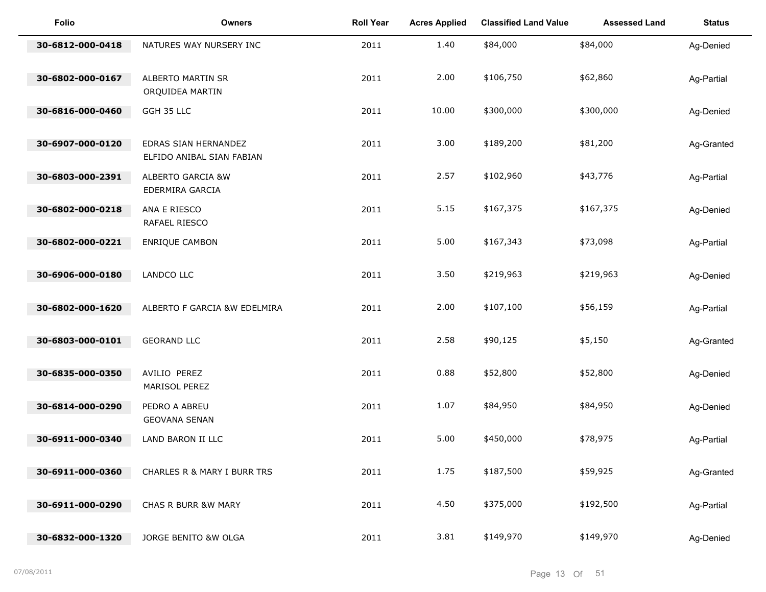| Folio            | <b>Owners</b>                                     | <b>Roll Year</b> | <b>Acres Applied</b> | <b>Classified Land Value</b> | <b>Assessed Land</b> | <b>Status</b> |
|------------------|---------------------------------------------------|------------------|----------------------|------------------------------|----------------------|---------------|
| 30-6812-000-0418 | NATURES WAY NURSERY INC                           | 2011             | 1.40                 | \$84,000                     | \$84,000             | Ag-Denied     |
| 30-6802-000-0167 | ALBERTO MARTIN SR<br>ORQUIDEA MARTIN              | 2011             | 2.00                 | \$106,750                    | \$62,860             | Ag-Partial    |
| 30-6816-000-0460 | GGH 35 LLC                                        | 2011             | 10.00                | \$300,000                    | \$300,000            | Ag-Denied     |
| 30-6907-000-0120 | EDRAS SIAN HERNANDEZ<br>ELFIDO ANIBAL SIAN FABIAN | 2011             | 3.00                 | \$189,200                    | \$81,200             | Ag-Granted    |
| 30-6803-000-2391 | ALBERTO GARCIA &W<br>EDERMIRA GARCIA              | 2011             | 2.57                 | \$102,960                    | \$43,776             | Ag-Partial    |
| 30-6802-000-0218 | ANA E RIESCO<br>RAFAEL RIESCO                     | 2011             | 5.15                 | \$167,375                    | \$167,375            | Ag-Denied     |
| 30-6802-000-0221 | <b>ENRIQUE CAMBON</b>                             | 2011             | 5.00                 | \$167,343                    | \$73,098             | Ag-Partial    |
| 30-6906-000-0180 | LANDCO LLC                                        | 2011             | 3.50                 | \$219,963                    | \$219,963            | Ag-Denied     |
| 30-6802-000-1620 | ALBERTO F GARCIA &W EDELMIRA                      | 2011             | 2.00                 | \$107,100                    | \$56,159             | Ag-Partial    |
| 30-6803-000-0101 | <b>GEORAND LLC</b>                                | 2011             | 2.58                 | \$90,125                     | \$5,150              | Ag-Granted    |
| 30-6835-000-0350 | AVILIO PEREZ<br>MARISOL PEREZ                     | 2011             | 0.88                 | \$52,800                     | \$52,800             | Ag-Denied     |
| 30-6814-000-0290 | PEDRO A ABREU<br><b>GEOVANA SENAN</b>             | 2011             | 1.07                 | \$84,950                     | \$84,950             | Ag-Denied     |
| 30-6911-000-0340 | LAND BARON II LLC                                 | 2011             | 5.00                 | \$450,000                    | \$78,975             | Ag-Partial    |
| 30-6911-000-0360 | CHARLES R & MARY I BURR TRS                       | 2011             | 1.75                 | \$187,500                    | \$59,925             | Ag-Granted    |
| 30-6911-000-0290 | CHAS R BURR &W MARY                               | 2011             | 4.50                 | \$375,000                    | \$192,500            | Ag-Partial    |
| 30-6832-000-1320 | JORGE BENITO &W OLGA                              | 2011             | 3.81                 | \$149,970                    | \$149,970            | Ag-Denied     |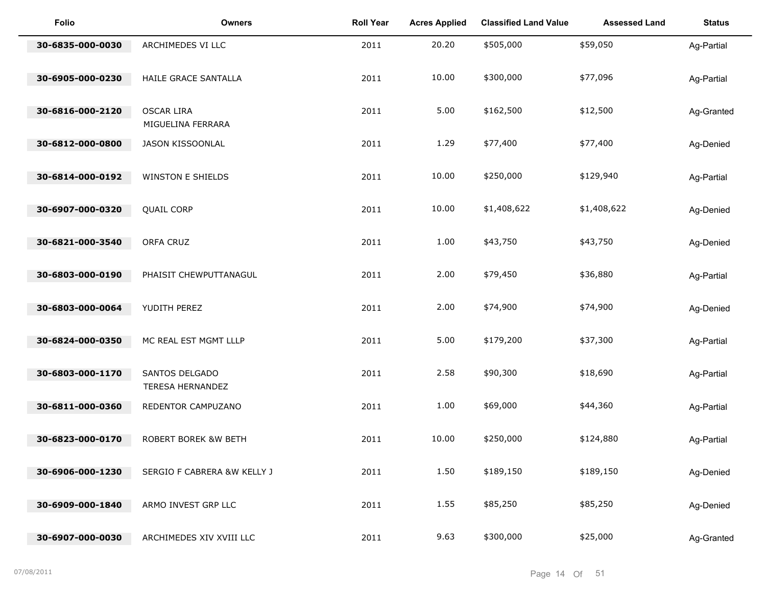| <b>Folio</b>     | <b>Owners</b>                          | <b>Roll Year</b> | <b>Acres Applied</b> | <b>Classified Land Value</b> | <b>Assessed Land</b> | <b>Status</b> |
|------------------|----------------------------------------|------------------|----------------------|------------------------------|----------------------|---------------|
| 30-6835-000-0030 | ARCHIMEDES VI LLC                      | 2011             | 20.20                | \$505,000                    | \$59,050             | Ag-Partial    |
| 30-6905-000-0230 | HAILE GRACE SANTALLA                   | 2011             | 10.00                | \$300,000                    | \$77,096             | Ag-Partial    |
| 30-6816-000-2120 | <b>OSCAR LIRA</b><br>MIGUELINA FERRARA | 2011             | 5.00                 | \$162,500                    | \$12,500             | Ag-Granted    |
| 30-6812-000-0800 | JASON KISSOONLAL                       | 2011             | 1.29                 | \$77,400                     | \$77,400             | Ag-Denied     |
| 30-6814-000-0192 | <b>WINSTON E SHIELDS</b>               | 2011             | 10.00                | \$250,000                    | \$129,940            | Ag-Partial    |
| 30-6907-000-0320 | <b>QUAIL CORP</b>                      | 2011             | 10.00                | \$1,408,622                  | \$1,408,622          | Ag-Denied     |
| 30-6821-000-3540 | ORFA CRUZ                              | 2011             | 1.00                 | \$43,750                     | \$43,750             | Ag-Denied     |
| 30-6803-000-0190 | PHAISIT CHEWPUTTANAGUL                 | 2011             | 2.00                 | \$79,450                     | \$36,880             | Ag-Partial    |
| 30-6803-000-0064 | YUDITH PEREZ                           | 2011             | 2.00                 | \$74,900                     | \$74,900             | Ag-Denied     |
| 30-6824-000-0350 | MC REAL EST MGMT LLLP                  | 2011             | 5.00                 | \$179,200                    | \$37,300             | Ag-Partial    |
| 30-6803-000-1170 | SANTOS DELGADO<br>TERESA HERNANDEZ     | 2011             | 2.58                 | \$90,300                     | \$18,690             | Ag-Partial    |
| 30-6811-000-0360 | REDENTOR CAMPUZANO                     | 2011             | 1.00                 | \$69,000                     | \$44,360             | Ag-Partial    |
| 30-6823-000-0170 | ROBERT BOREK &W BETH                   | 2011             | 10.00                | \$250,000                    | \$124,880            | Ag-Partial    |
| 30-6906-000-1230 | SERGIO F CABRERA &W KELLY J            | 2011             | 1.50                 | \$189,150                    | \$189,150            | Ag-Denied     |
| 30-6909-000-1840 | ARMO INVEST GRP LLC                    | 2011             | 1.55                 | \$85,250                     | \$85,250             | Ag-Denied     |
| 30-6907-000-0030 | ARCHIMEDES XIV XVIII LLC               | 2011             | 9.63                 | \$300,000                    | \$25,000             | Ag-Granted    |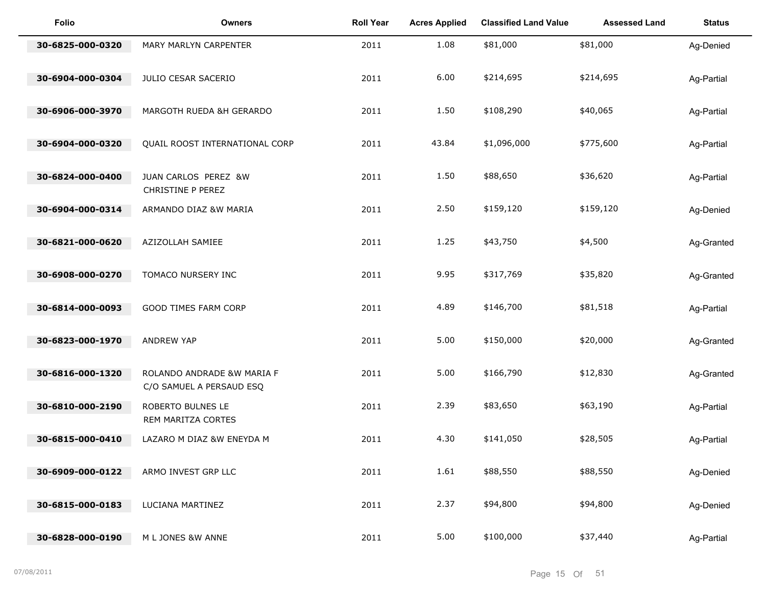| Folio            | <b>Owners</b>                                          | <b>Roll Year</b> | <b>Acres Applied</b> | <b>Classified Land Value</b> | <b>Assessed Land</b> | <b>Status</b> |
|------------------|--------------------------------------------------------|------------------|----------------------|------------------------------|----------------------|---------------|
| 30-6825-000-0320 | MARY MARLYN CARPENTER                                  | 2011             | 1.08                 | \$81,000                     | \$81,000             | Ag-Denied     |
| 30-6904-000-0304 | JULIO CESAR SACERIO                                    | 2011             | 6.00                 | \$214,695                    | \$214,695            | Ag-Partial    |
| 30-6906-000-3970 | MARGOTH RUEDA &H GERARDO                               | 2011             | 1.50                 | \$108,290                    | \$40,065             | Ag-Partial    |
| 30-6904-000-0320 | QUAIL ROOST INTERNATIONAL CORP                         | 2011             | 43.84                | \$1,096,000                  | \$775,600            | Ag-Partial    |
| 30-6824-000-0400 | JUAN CARLOS PEREZ &W                                   | 2011             | 1.50                 | \$88,650                     | \$36,620             | Ag-Partial    |
| 30-6904-000-0314 | CHRISTINE P PEREZ<br>ARMANDO DIAZ &W MARIA             | 2011             | 2.50                 | \$159,120                    | \$159,120            | Ag-Denied     |
| 30-6821-000-0620 | AZIZOLLAH SAMIEE                                       | 2011             | 1.25                 | \$43,750                     | \$4,500              | Ag-Granted    |
| 30-6908-000-0270 | TOMACO NURSERY INC                                     | 2011             | 9.95                 | \$317,769                    | \$35,820             | Ag-Granted    |
| 30-6814-000-0093 | GOOD TIMES FARM CORP                                   | 2011             | 4.89                 | \$146,700                    | \$81,518             | Ag-Partial    |
|                  |                                                        |                  |                      |                              |                      |               |
| 30-6823-000-1970 | ANDREW YAP                                             | 2011             | 5.00                 | \$150,000                    | \$20,000             | Ag-Granted    |
| 30-6816-000-1320 | ROLANDO ANDRADE &W MARIA F<br>C/O SAMUEL A PERSAUD ESQ | 2011             | 5.00                 | \$166,790                    | \$12,830             | Ag-Granted    |
| 30-6810-000-2190 | ROBERTO BULNES LE<br>REM MARITZA CORTES                | 2011             | 2.39                 | \$83,650                     | \$63,190             | Ag-Partial    |
| 30-6815-000-0410 | LAZARO M DIAZ &W ENEYDA M                              | 2011             | 4.30                 | \$141,050                    | \$28,505             | Ag-Partial    |
| 30-6909-000-0122 | ARMO INVEST GRP LLC                                    | 2011             | 1.61                 | \$88,550                     | \$88,550             | Ag-Denied     |
| 30-6815-000-0183 | LUCIANA MARTINEZ                                       | 2011             | 2.37                 | \$94,800                     | \$94,800             | Ag-Denied     |
| 30-6828-000-0190 | M L JONES &W ANNE                                      | 2011             | 5.00                 | \$100,000                    | \$37,440             | Ag-Partial    |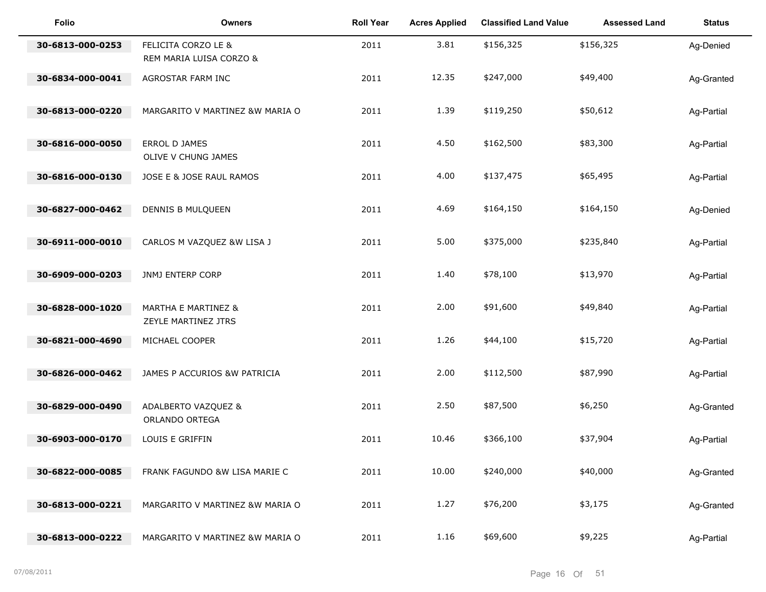| <b>Folio</b>     | <b>Owners</b>                                         | <b>Roll Year</b> | <b>Acres Applied</b> | <b>Classified Land Value</b> | <b>Assessed Land</b> | <b>Status</b> |
|------------------|-------------------------------------------------------|------------------|----------------------|------------------------------|----------------------|---------------|
| 30-6813-000-0253 | FELICITA CORZO LE &<br>REM MARIA LUISA CORZO &        | 2011             | 3.81                 | \$156,325                    | \$156,325            | Ag-Denied     |
| 30-6834-000-0041 | AGROSTAR FARM INC                                     | 2011             | 12.35                | \$247,000                    | \$49,400             | Ag-Granted    |
| 30-6813-000-0220 | MARGARITO V MARTINEZ &W MARIA O                       | 2011             | 1.39                 | \$119,250                    | \$50,612             | Ag-Partial    |
| 30-6816-000-0050 | ERROL D JAMES<br>OLIVE V CHUNG JAMES                  | 2011             | 4.50                 | \$162,500                    | \$83,300             | Ag-Partial    |
| 30-6816-000-0130 | JOSE E & JOSE RAUL RAMOS                              | 2011             | 4.00                 | \$137,475                    | \$65,495             | Ag-Partial    |
| 30-6827-000-0462 | DENNIS B MULQUEEN                                     | 2011             | 4.69                 | \$164,150                    | \$164,150            | Ag-Denied     |
| 30-6911-000-0010 | CARLOS M VAZQUEZ &W LISA J                            | 2011             | 5.00                 | \$375,000                    | \$235,840            | Ag-Partial    |
| 30-6909-000-0203 | JNMJ ENTERP CORP                                      | 2011             | 1.40                 | \$78,100                     | \$13,970             | Ag-Partial    |
| 30-6828-000-1020 | <b>MARTHA E MARTINEZ &amp;</b><br>ZEYLE MARTINEZ JTRS | 2011             | 2.00                 | \$91,600                     | \$49,840             | Ag-Partial    |
| 30-6821-000-4690 | MICHAEL COOPER                                        | 2011             | 1.26                 | \$44,100                     | \$15,720             | Ag-Partial    |
| 30-6826-000-0462 | JAMES P ACCURIOS &W PATRICIA                          | 2011             | 2.00                 | \$112,500                    | \$87,990             | Ag-Partial    |
| 30-6829-000-0490 | ADALBERTO VAZQUEZ &<br>ORLANDO ORTEGA                 | 2011             | 2.50                 | \$87,500                     | \$6,250              | Ag-Granted    |
| 30-6903-000-0170 | LOUIS E GRIFFIN                                       | 2011             | 10.46                | \$366,100                    | \$37,904             | Ag-Partial    |
| 30-6822-000-0085 | FRANK FAGUNDO &W LISA MARIE C                         | 2011             | 10.00                | \$240,000                    | \$40,000             | Ag-Granted    |
| 30-6813-000-0221 | MARGARITO V MARTINEZ &W MARIA O                       | 2011             | 1.27                 | \$76,200                     | \$3,175              | Ag-Granted    |
| 30-6813-000-0222 | MARGARITO V MARTINEZ &W MARIA O                       | 2011             | 1.16                 | \$69,600                     | \$9,225              | Ag-Partial    |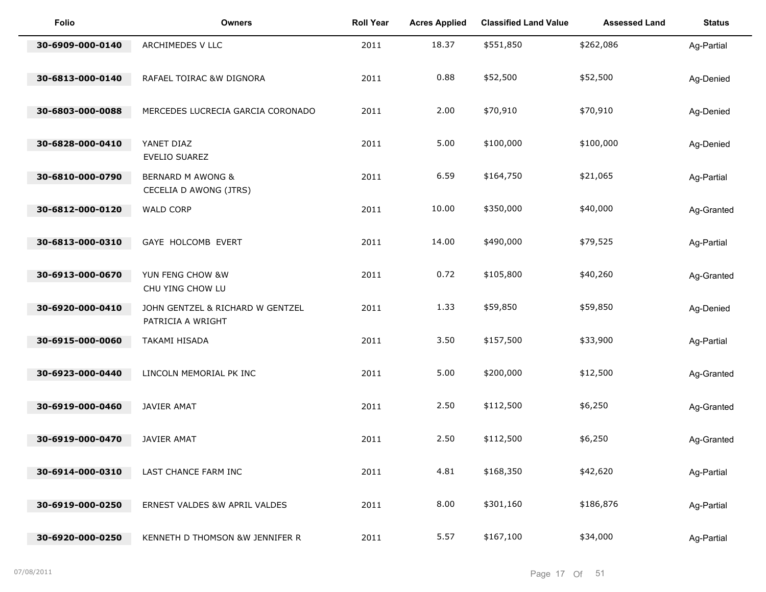| Folio            | <b>Owners</b>                                          | <b>Roll Year</b> | <b>Acres Applied</b> | <b>Classified Land Value</b> | <b>Assessed Land</b> | <b>Status</b> |
|------------------|--------------------------------------------------------|------------------|----------------------|------------------------------|----------------------|---------------|
| 30-6909-000-0140 | ARCHIMEDES V LLC                                       | 2011             | 18.37                | \$551,850                    | \$262,086            | Ag-Partial    |
| 30-6813-000-0140 | RAFAEL TOIRAC &W DIGNORA                               | 2011             | 0.88                 | \$52,500                     | \$52,500             | Ag-Denied     |
| 30-6803-000-0088 | MERCEDES LUCRECIA GARCIA CORONADO                      | 2011             | 2.00                 | \$70,910                     | \$70,910             | Ag-Denied     |
| 30-6828-000-0410 | YANET DIAZ<br>EVELIO SUAREZ                            | 2011             | 5.00                 | \$100,000                    | \$100,000            | Ag-Denied     |
| 30-6810-000-0790 | <b>BERNARD M AWONG &amp;</b><br>CECELIA D AWONG (JTRS) | 2011             | 6.59                 | \$164,750                    | \$21,065             | Ag-Partial    |
| 30-6812-000-0120 | <b>WALD CORP</b>                                       | 2011             | 10.00                | \$350,000                    | \$40,000             | Ag-Granted    |
| 30-6813-000-0310 | GAYE HOLCOMB EVERT                                     | 2011             | 14.00                | \$490,000                    | \$79,525             | Ag-Partial    |
| 30-6913-000-0670 | YUN FENG CHOW &W<br>CHU YING CHOW LU                   | 2011             | 0.72                 | \$105,800                    | \$40,260             | Ag-Granted    |
| 30-6920-000-0410 | JOHN GENTZEL & RICHARD W GENTZEL<br>PATRICIA A WRIGHT  | 2011             | 1.33                 | \$59,850                     | \$59,850             | Ag-Denied     |
| 30-6915-000-0060 | TAKAMI HISADA                                          | 2011             | 3.50                 | \$157,500                    | \$33,900             | Ag-Partial    |
| 30-6923-000-0440 | LINCOLN MEMORIAL PK INC                                | 2011             | 5.00                 | \$200,000                    | \$12,500             | Ag-Granted    |
| 30-6919-000-0460 | JAVIER AMAT                                            | 2011             | 2.50                 | \$112,500                    | \$6,250              | Ag-Granted    |
| 30-6919-000-0470 | JAVIER AMAT                                            | 2011             | 2.50                 | \$112,500                    | \$6,250              | Ag-Granted    |
| 30-6914-000-0310 | LAST CHANCE FARM INC                                   | 2011             | 4.81                 | \$168,350                    | \$42,620             | Ag-Partial    |
| 30-6919-000-0250 | ERNEST VALDES &W APRIL VALDES                          | 2011             | 8.00                 | \$301,160                    | \$186,876            | Ag-Partial    |
| 30-6920-000-0250 | KENNETH D THOMSON &W JENNIFER R                        | 2011             | 5.57                 | \$167,100                    | \$34,000             | Ag-Partial    |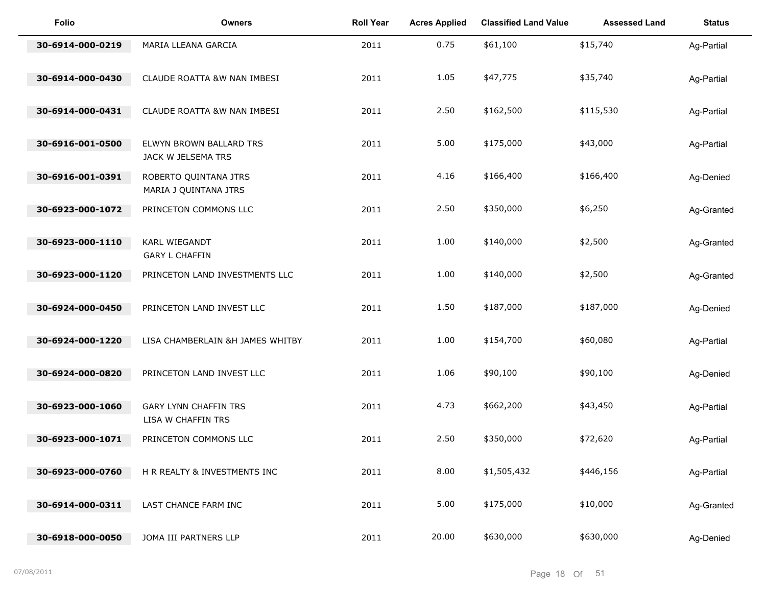| Folio            | <b>Owners</b>                                      | <b>Roll Year</b> | <b>Acres Applied</b> | <b>Classified Land Value</b> | <b>Assessed Land</b> | <b>Status</b> |
|------------------|----------------------------------------------------|------------------|----------------------|------------------------------|----------------------|---------------|
| 30-6914-000-0219 | MARIA LLEANA GARCIA                                | 2011             | 0.75                 | \$61,100                     | \$15,740             | Ag-Partial    |
| 30-6914-000-0430 | CLAUDE ROATTA &W NAN IMBESI                        | 2011             | 1.05                 | \$47,775                     | \$35,740             | Ag-Partial    |
| 30-6914-000-0431 | CLAUDE ROATTA &W NAN IMBESI                        | 2011             | 2.50                 | \$162,500                    | \$115,530            | Ag-Partial    |
| 30-6916-001-0500 | ELWYN BROWN BALLARD TRS<br>JACK W JELSEMA TRS      | 2011             | 5.00                 | \$175,000                    | \$43,000             | Ag-Partial    |
| 30-6916-001-0391 | ROBERTO QUINTANA JTRS<br>MARIA J QUINTANA JTRS     | 2011             | 4.16                 | \$166,400                    | \$166,400            | Ag-Denied     |
| 30-6923-000-1072 | PRINCETON COMMONS LLC                              | 2011             | 2.50                 | \$350,000                    | \$6,250              | Ag-Granted    |
| 30-6923-000-1110 | KARL WIEGANDT<br><b>GARY L CHAFFIN</b>             | 2011             | 1.00                 | \$140,000                    | \$2,500              | Ag-Granted    |
| 30-6923-000-1120 | PRINCETON LAND INVESTMENTS LLC                     | 2011             | 1.00                 | \$140,000                    | \$2,500              | Ag-Granted    |
| 30-6924-000-0450 | PRINCETON LAND INVEST LLC                          | 2011             | 1.50                 | \$187,000                    | \$187,000            | Ag-Denied     |
| 30-6924-000-1220 | LISA CHAMBERLAIN &H JAMES WHITBY                   | 2011             | 1.00                 | \$154,700                    | \$60,080             | Ag-Partial    |
| 30-6924-000-0820 | PRINCETON LAND INVEST LLC                          | 2011             | 1.06                 | \$90,100                     | \$90,100             | Ag-Denied     |
| 30-6923-000-1060 | <b>GARY LYNN CHAFFIN TRS</b><br>LISA W CHAFFIN TRS | 2011             | 4.73                 | \$662,200                    | \$43,450             | Ag-Partial    |
| 30-6923-000-1071 | PRINCETON COMMONS LLC                              | 2011             | 2.50                 | \$350,000                    | \$72,620             | Ag-Partial    |
| 30-6923-000-0760 | H R REALTY & INVESTMENTS INC                       | 2011             | 8.00                 | \$1,505,432                  | \$446,156            | Ag-Partial    |
| 30-6914-000-0311 | LAST CHANCE FARM INC                               | 2011             | 5.00                 | \$175,000                    | \$10,000             | Ag-Granted    |
| 30-6918-000-0050 | JOMA III PARTNERS LLP                              | 2011             | 20.00                | \$630,000                    | \$630,000            | Ag-Denied     |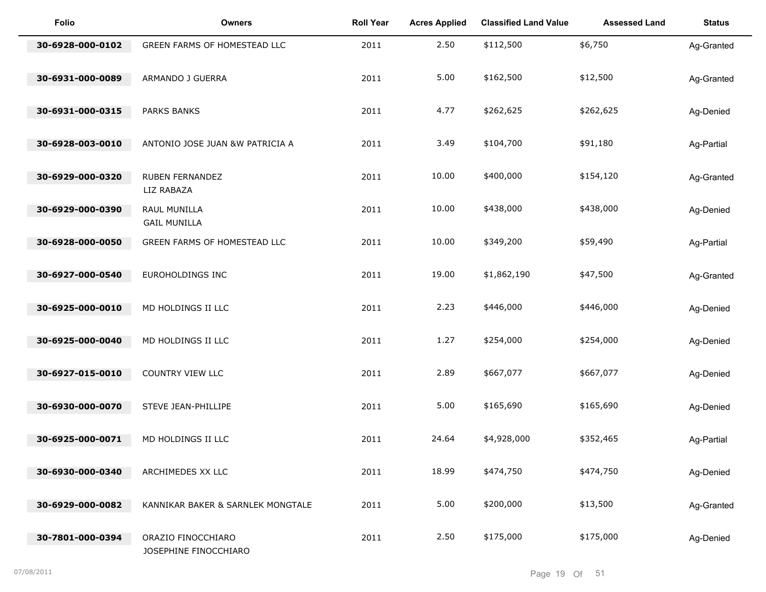| Folio            | <b>Owners</b>                               | <b>Roll Year</b> | <b>Acres Applied</b> | <b>Classified Land Value</b> | <b>Assessed Land</b> | <b>Status</b> |
|------------------|---------------------------------------------|------------------|----------------------|------------------------------|----------------------|---------------|
| 30-6928-000-0102 | GREEN FARMS OF HOMESTEAD LLC                | 2011             | 2.50                 | \$112,500                    | \$6,750              | Ag-Granted    |
| 30-6931-000-0089 | ARMANDO J GUERRA                            | 2011             | 5.00                 | \$162,500                    | \$12,500             | Ag-Granted    |
| 30-6931-000-0315 | <b>PARKS BANKS</b>                          | 2011             | 4.77                 | \$262,625                    | \$262,625            | Ag-Denied     |
| 30-6928-003-0010 | ANTONIO JOSE JUAN &W PATRICIA A             | 2011             | 3.49                 | \$104,700                    | \$91,180             | Ag-Partial    |
|                  |                                             |                  |                      |                              |                      |               |
| 30-6929-000-0320 | <b>RUBEN FERNANDEZ</b><br>LIZ RABAZA        | 2011             | 10.00                | \$400,000                    | \$154,120            | Ag-Granted    |
| 30-6929-000-0390 | RAUL MUNILLA<br><b>GAIL MUNILLA</b>         | 2011             | 10.00                | \$438,000                    | \$438,000            | Ag-Denied     |
| 30-6928-000-0050 | GREEN FARMS OF HOMESTEAD LLC                | 2011             | 10.00                | \$349,200                    | \$59,490             | Ag-Partial    |
| 30-6927-000-0540 | EUROHOLDINGS INC                            | 2011             | 19.00                | \$1,862,190                  | \$47,500             | Ag-Granted    |
| 30-6925-000-0010 | MD HOLDINGS II LLC                          | 2011             | 2.23                 | \$446,000                    | \$446,000            | Ag-Denied     |
| 30-6925-000-0040 | MD HOLDINGS II LLC                          | 2011             | 1.27                 | \$254,000                    | \$254,000            | Ag-Denied     |
| 30-6927-015-0010 | COUNTRY VIEW LLC                            | 2011             | 2.89                 | \$667,077                    | \$667,077            | Ag-Denied     |
| 30-6930-000-0070 | STEVE JEAN-PHILLIPE                         | 2011             | 5.00                 | \$165,690                    | \$165,690            | Ag-Denied     |
| 30-6925-000-0071 | MD HOLDINGS II LLC                          | 2011             | 24.64                | \$4,928,000                  | \$352,465            | Ag-Partial    |
| 30-6930-000-0340 | ARCHIMEDES XX LLC                           | 2011             | 18.99                | \$474,750                    | \$474,750            | Ag-Denied     |
| 30-6929-000-0082 | KANNIKAR BAKER & SARNLEK MONGTALE           | 2011             | 5.00                 | \$200,000                    | \$13,500             | Ag-Granted    |
| 30-7801-000-0394 | ORAZIO FINOCCHIARO<br>JOSEPHINE FINOCCHIARO | 2011             | 2.50                 | \$175,000                    | \$175,000            | Ag-Denied     |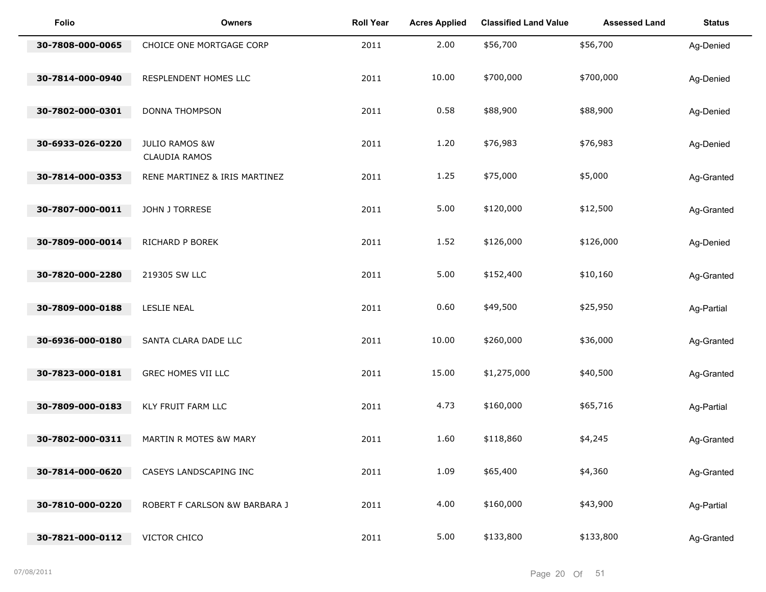| <b>Folio</b>     | <b>Owners</b>                                     | <b>Roll Year</b> | <b>Acres Applied</b> | <b>Classified Land Value</b> | <b>Assessed Land</b> | <b>Status</b> |
|------------------|---------------------------------------------------|------------------|----------------------|------------------------------|----------------------|---------------|
| 30-7808-000-0065 | CHOICE ONE MORTGAGE CORP                          | 2011             | 2.00                 | \$56,700                     | \$56,700             | Ag-Denied     |
| 30-7814-000-0940 | RESPLENDENT HOMES LLC                             | 2011             | 10.00                | \$700,000                    | \$700,000            | Ag-Denied     |
| 30-7802-000-0301 | <b>DONNA THOMPSON</b>                             | 2011             | 0.58                 | \$88,900                     | \$88,900             | Ag-Denied     |
| 30-6933-026-0220 | <b>JULIO RAMOS &amp;W</b><br><b>CLAUDIA RAMOS</b> | 2011             | 1.20                 | \$76,983                     | \$76,983             | Ag-Denied     |
| 30-7814-000-0353 | RENE MARTINEZ & IRIS MARTINEZ                     | 2011             | 1.25                 | \$75,000                     | \$5,000              | Ag-Granted    |
| 30-7807-000-0011 | JOHN J TORRESE                                    | 2011             | 5.00                 | \$120,000                    | \$12,500             | Ag-Granted    |
| 30-7809-000-0014 | RICHARD P BOREK                                   | 2011             | 1.52                 | \$126,000                    | \$126,000            | Ag-Denied     |
| 30-7820-000-2280 | 219305 SW LLC                                     | 2011             | 5.00                 | \$152,400                    | \$10,160             | Ag-Granted    |
| 30-7809-000-0188 | LESLIE NEAL                                       | 2011             | 0.60                 | \$49,500                     | \$25,950             | Ag-Partial    |
| 30-6936-000-0180 | SANTA CLARA DADE LLC                              | 2011             | 10.00                | \$260,000                    | \$36,000             | Ag-Granted    |
| 30-7823-000-0181 | GREC HOMES VII LLC                                | 2011             | 15.00                | \$1,275,000                  | \$40,500             | Ag-Granted    |
| 30-7809-000-0183 | KLY FRUIT FARM LLC                                | 2011             | 4.73                 | \$160,000                    | \$65,716             | Ag-Partial    |
| 30-7802-000-0311 | MARTIN R MOTES &W MARY                            | 2011             | 1.60                 | \$118,860                    | \$4,245              | Ag-Granted    |
| 30-7814-000-0620 | CASEYS LANDSCAPING INC                            | 2011             | 1.09                 | \$65,400                     | \$4,360              | Ag-Granted    |
| 30-7810-000-0220 | ROBERT F CARLSON &W BARBARA J                     | 2011             | 4.00                 | \$160,000                    | \$43,900             | Ag-Partial    |
| 30-7821-000-0112 | VICTOR CHICO                                      | 2011             | 5.00                 | \$133,800                    | \$133,800            | Ag-Granted    |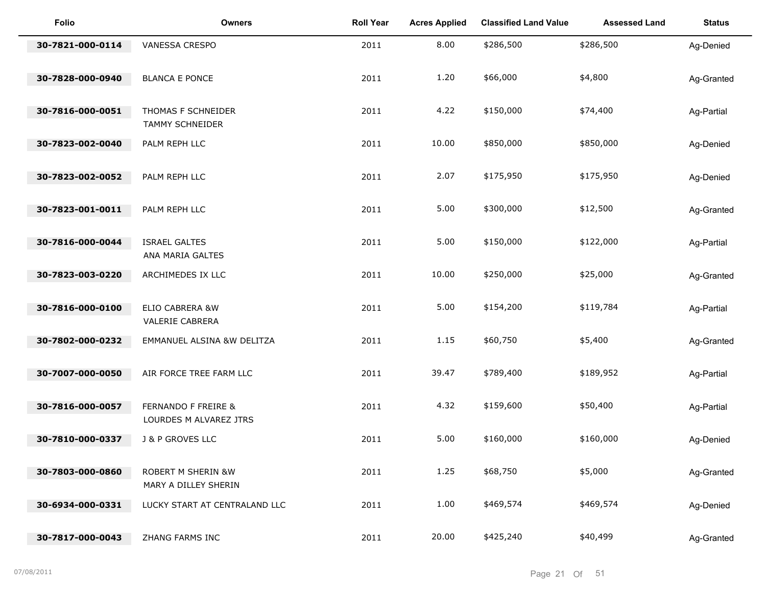| <b>Folio</b>     | <b>Owners</b>                                            | <b>Roll Year</b> | <b>Acres Applied</b> | <b>Classified Land Value</b> | <b>Assessed Land</b> | <b>Status</b> |
|------------------|----------------------------------------------------------|------------------|----------------------|------------------------------|----------------------|---------------|
| 30-7821-000-0114 | VANESSA CRESPO                                           | 2011             | 8.00                 | \$286,500                    | \$286,500            | Ag-Denied     |
| 30-7828-000-0940 | <b>BLANCA E PONCE</b>                                    | 2011             | 1.20                 | \$66,000                     | \$4,800              | Ag-Granted    |
| 30-7816-000-0051 | THOMAS F SCHNEIDER<br><b>TAMMY SCHNEIDER</b>             | 2011             | 4.22                 | \$150,000                    | \$74,400             | Ag-Partial    |
| 30-7823-002-0040 | PALM REPH LLC                                            | 2011             | 10.00                | \$850,000                    | \$850,000            | Ag-Denied     |
| 30-7823-002-0052 | PALM REPH LLC                                            | 2011             | 2.07                 | \$175,950                    | \$175,950            | Ag-Denied     |
| 30-7823-001-0011 | PALM REPH LLC                                            | 2011             | 5.00                 | \$300,000                    | \$12,500             | Ag-Granted    |
| 30-7816-000-0044 | <b>ISRAEL GALTES</b><br>ANA MARIA GALTES                 | 2011             | 5.00                 | \$150,000                    | \$122,000            | Ag-Partial    |
| 30-7823-003-0220 | ARCHIMEDES IX LLC                                        | 2011             | 10.00                | \$250,000                    | \$25,000             | Ag-Granted    |
| 30-7816-000-0100 | ELIO CABRERA &W<br>VALERIE CABRERA                       | 2011             | 5.00                 | \$154,200                    | \$119,784            | Ag-Partial    |
| 30-7802-000-0232 | EMMANUEL ALSINA &W DELITZA                               | 2011             | 1.15                 | \$60,750                     | \$5,400              | Ag-Granted    |
| 30-7007-000-0050 | AIR FORCE TREE FARM LLC                                  | 2011             | 39.47                | \$789,400                    | \$189,952            | Ag-Partial    |
| 30-7816-000-0057 | <b>FERNANDO F FREIRE &amp;</b><br>LOURDES M ALVAREZ JTRS | 2011             | 4.32                 | \$159,600                    | \$50,400             | Ag-Partial    |
| 30-7810-000-0337 | <b>J &amp; P GROVES LLC</b>                              | 2011             | 5.00                 | \$160,000                    | \$160,000            | Ag-Denied     |
| 30-7803-000-0860 | <b>ROBERT M SHERIN &amp;W</b><br>MARY A DILLEY SHERIN    | 2011             | 1.25                 | \$68,750                     | \$5,000              | Ag-Granted    |
| 30-6934-000-0331 | LUCKY START AT CENTRALAND LLC                            | 2011             | 1.00                 | \$469,574                    | \$469,574            | Ag-Denied     |
| 30-7817-000-0043 | ZHANG FARMS INC                                          | 2011             | 20.00                | \$425,240                    | \$40,499             | Ag-Granted    |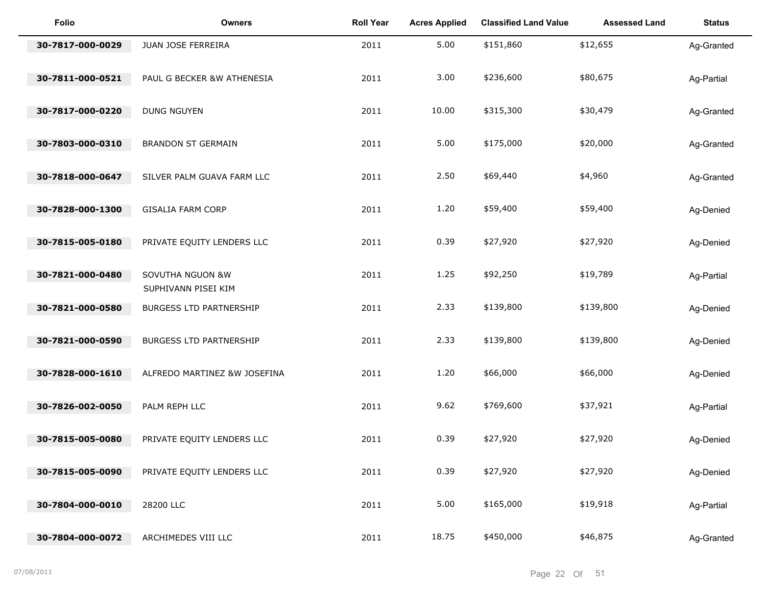| <b>Folio</b>     | <b>Owners</b>                           | <b>Roll Year</b> | <b>Acres Applied</b> | <b>Classified Land Value</b> | <b>Assessed Land</b> | <b>Status</b> |
|------------------|-----------------------------------------|------------------|----------------------|------------------------------|----------------------|---------------|
| 30-7817-000-0029 | JUAN JOSE FERREIRA                      | 2011             | 5.00                 | \$151,860                    | \$12,655             | Ag-Granted    |
| 30-7811-000-0521 | PAUL G BECKER &W ATHENESIA              | 2011             | 3.00                 | \$236,600                    | \$80,675             | Ag-Partial    |
| 30-7817-000-0220 | <b>DUNG NGUYEN</b>                      | 2011             | 10.00                | \$315,300                    | \$30,479             | Ag-Granted    |
| 30-7803-000-0310 | <b>BRANDON ST GERMAIN</b>               | 2011             | 5.00                 | \$175,000                    | \$20,000             | Ag-Granted    |
| 30-7818-000-0647 | SILVER PALM GUAVA FARM LLC              | 2011             | 2.50                 | \$69,440                     | \$4,960              | Ag-Granted    |
| 30-7828-000-1300 | <b>GISALIA FARM CORP</b>                | 2011             | 1.20                 | \$59,400                     | \$59,400             | Ag-Denied     |
| 30-7815-005-0180 | PRIVATE EQUITY LENDERS LLC              | 2011             | 0.39                 | \$27,920                     | \$27,920             | Ag-Denied     |
| 30-7821-000-0480 | SOVUTHA NGUON &W<br>SUPHIVANN PISEI KIM | 2011             | 1.25                 | \$92,250                     | \$19,789             | Ag-Partial    |
| 30-7821-000-0580 | BURGESS LTD PARTNERSHIP                 | 2011             | 2.33                 | \$139,800                    | \$139,800            | Ag-Denied     |
| 30-7821-000-0590 | BURGESS LTD PARTNERSHIP                 | 2011             | 2.33                 | \$139,800                    | \$139,800            | Ag-Denied     |
| 30-7828-000-1610 | ALFREDO MARTINEZ &W JOSEFINA            | 2011             | 1.20                 | \$66,000                     | \$66,000             | Ag-Denied     |
| 30-7826-002-0050 | PALM REPH LLC                           | 2011             | 9.62                 | \$769,600                    | \$37,921             | Ag-Partial    |
| 30-7815-005-0080 | PRIVATE EQUITY LENDERS LLC              | 2011             | 0.39                 | \$27,920                     | \$27,920             | Ag-Denied     |
| 30-7815-005-0090 | PRIVATE EQUITY LENDERS LLC              | 2011             | 0.39                 | \$27,920                     | \$27,920             | Ag-Denied     |
| 30-7804-000-0010 | 28200 LLC                               | 2011             | 5.00                 | \$165,000                    | \$19,918             | Ag-Partial    |
| 30-7804-000-0072 | ARCHIMEDES VIII LLC                     | 2011             | 18.75                | \$450,000                    | \$46,875             | Ag-Granted    |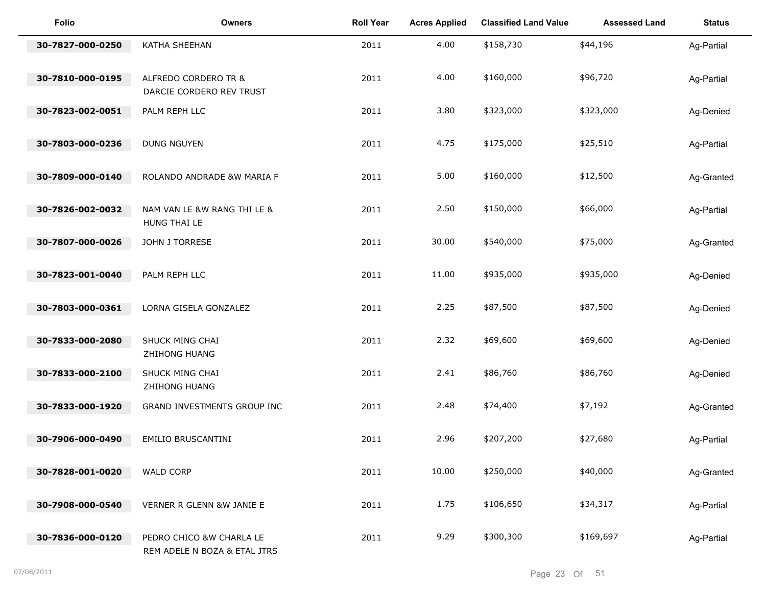| <b>Folio</b>     | <b>Owners</b>                                            | <b>Roll Year</b> | <b>Acres Applied</b> | <b>Classified Land Value</b> | <b>Assessed Land</b> | <b>Status</b> |
|------------------|----------------------------------------------------------|------------------|----------------------|------------------------------|----------------------|---------------|
| 30-7827-000-0250 | KATHA SHEEHAN                                            | 2011             | 4.00                 | \$158,730                    | \$44,196             | Ag-Partial    |
| 30-7810-000-0195 | ALFREDO CORDERO TR &<br>DARCIE CORDERO REV TRUST         | 2011             | 4.00                 | \$160,000                    | \$96,720             | Ag-Partial    |
| 30-7823-002-0051 | PALM REPH LLC                                            | 2011             | 3.80                 | \$323,000                    | \$323,000            | Ag-Denied     |
| 30-7803-000-0236 | <b>DUNG NGUYEN</b>                                       | 2011             | 4.75                 | \$175,000                    | \$25,510             | Ag-Partial    |
| 30-7809-000-0140 | ROLANDO ANDRADE &W MARIA F                               | 2011             | 5.00                 | \$160,000                    | \$12,500             | Ag-Granted    |
| 30-7826-002-0032 | NAM VAN LE &W RANG THI LE &<br>HUNG THAI LE              | 2011             | 2.50                 | \$150,000                    | \$66,000             | Ag-Partial    |
| 30-7807-000-0026 | JOHN J TORRESE                                           | 2011             | 30.00                | \$540,000                    | \$75,000             | Ag-Granted    |
| 30-7823-001-0040 | PALM REPH LLC                                            | 2011             | 11.00                | \$935,000                    | \$935,000            | Ag-Denied     |
| 30-7803-000-0361 | LORNA GISELA GONZALEZ                                    | 2011             | 2.25                 | \$87,500                     | \$87,500             | Ag-Denied     |
| 30-7833-000-2080 | SHUCK MING CHAI<br>ZHIHONG HUANG                         | 2011             | 2.32                 | \$69,600                     | \$69,600             | Ag-Denied     |
| 30-7833-000-2100 | SHUCK MING CHAI<br>ZHIHONG HUANG                         | 2011             | 2.41                 | \$86,760                     | \$86,760             | Ag-Denied     |
| 30-7833-000-1920 | GRAND INVESTMENTS GROUP INC                              | 2011             | 2.48                 | \$74,400                     | \$7,192              | Ag-Granted    |
| 30-7906-000-0490 | EMILIO BRUSCANTINI                                       | 2011             | 2.96                 | \$207,200                    | \$27,680             | Ag-Partial    |
| 30-7828-001-0020 | <b>WALD CORP</b>                                         | 2011             | 10.00                | \$250,000                    | \$40,000             | Ag-Granted    |
| 30-7908-000-0540 | VERNER R GLENN &W JANIE E                                | 2011             | 1.75                 | \$106,650                    | \$34,317             | Ag-Partial    |
| 30-7836-000-0120 | PEDRO CHICO &W CHARLA LE<br>REM ADELE N BOZA & ETAL JTRS | 2011             | 9.29                 | \$300,300                    | \$169,697            | Ag-Partial    |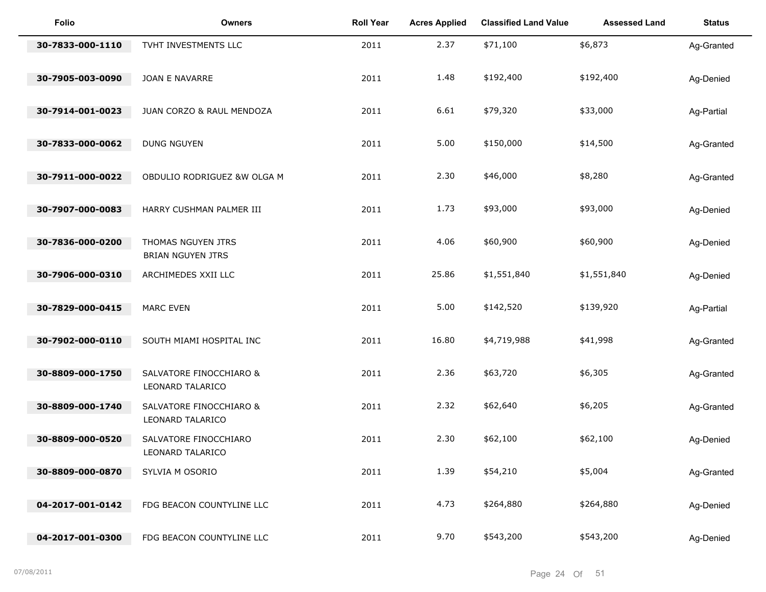| <b>Folio</b>     | <b>Owners</b>                                  | <b>Roll Year</b> | <b>Acres Applied</b> | <b>Classified Land Value</b> | <b>Assessed Land</b> | <b>Status</b> |
|------------------|------------------------------------------------|------------------|----------------------|------------------------------|----------------------|---------------|
| 30-7833-000-1110 | TVHT INVESTMENTS LLC                           | 2011             | 2.37                 | \$71,100                     | \$6,873              | Ag-Granted    |
| 30-7905-003-0090 | JOAN E NAVARRE                                 | 2011             | 1.48                 | \$192,400                    | \$192,400            | Ag-Denied     |
| 30-7914-001-0023 | JUAN CORZO & RAUL MENDOZA                      | 2011             | 6.61                 | \$79,320                     | \$33,000             | Ag-Partial    |
| 30-7833-000-0062 | <b>DUNG NGUYEN</b>                             | 2011             | 5.00                 | \$150,000                    | \$14,500             | Ag-Granted    |
| 30-7911-000-0022 | OBDULIO RODRIGUEZ &W OLGA M                    | 2011             | 2.30                 | \$46,000                     | \$8,280              | Ag-Granted    |
| 30-7907-000-0083 | HARRY CUSHMAN PALMER III                       | 2011             | 1.73                 | \$93,000                     | \$93,000             | Ag-Denied     |
| 30-7836-000-0200 | THOMAS NGUYEN JTRS<br><b>BRIAN NGUYEN JTRS</b> | 2011             | 4.06                 | \$60,900                     | \$60,900             | Ag-Denied     |
| 30-7906-000-0310 | ARCHIMEDES XXII LLC                            | 2011             | 25.86                | \$1,551,840                  | \$1,551,840          | Ag-Denied     |
| 30-7829-000-0415 | <b>MARC EVEN</b>                               | 2011             | 5.00                 | \$142,520                    | \$139,920            | Ag-Partial    |
| 30-7902-000-0110 | SOUTH MIAMI HOSPITAL INC                       | 2011             | 16.80                | \$4,719,988                  | \$41,998             | Ag-Granted    |
| 30-8809-000-1750 | SALVATORE FINOCCHIARO &<br>LEONARD TALARICO    | 2011             | 2.36                 | \$63,720                     | \$6,305              | Ag-Granted    |
| 30-8809-000-1740 | SALVATORE FINOCCHIARO &<br>LEONARD TALARICO    | 2011             | 2.32                 | \$62,640                     | \$6,205              | Ag-Granted    |
| 30-8809-000-0520 | SALVATORE FINOCCHIARO<br>LEONARD TALARICO      | 2011             | 2.30                 | \$62,100                     | \$62,100             | Ag-Denied     |
| 30-8809-000-0870 | SYLVIA M OSORIO                                | 2011             | 1.39                 | \$54,210                     | \$5,004              | Ag-Granted    |
| 04-2017-001-0142 | FDG BEACON COUNTYLINE LLC                      | 2011             | 4.73                 | \$264,880                    | \$264,880            | Ag-Denied     |
| 04-2017-001-0300 | FDG BEACON COUNTYLINE LLC                      | 2011             | 9.70                 | \$543,200                    | \$543,200            | Ag-Denied     |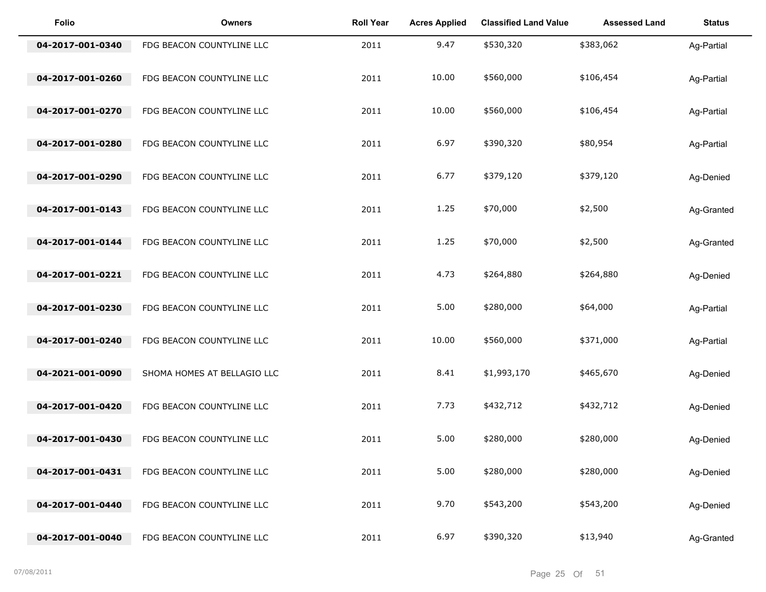| <b>Folio</b>     | <b>Owners</b>               | <b>Roll Year</b> | <b>Acres Applied</b> | <b>Classified Land Value</b> | <b>Assessed Land</b> | <b>Status</b> |
|------------------|-----------------------------|------------------|----------------------|------------------------------|----------------------|---------------|
| 04-2017-001-0340 | FDG BEACON COUNTYLINE LLC   | 2011             | 9.47                 | \$530,320                    | \$383,062            | Ag-Partial    |
| 04-2017-001-0260 | FDG BEACON COUNTYLINE LLC   | 2011             | 10.00                | \$560,000                    | \$106,454            | Ag-Partial    |
| 04-2017-001-0270 | FDG BEACON COUNTYLINE LLC   | 2011             | 10.00                | \$560,000                    | \$106,454            | Ag-Partial    |
| 04-2017-001-0280 | FDG BEACON COUNTYLINE LLC   | 2011             | 6.97                 | \$390,320                    | \$80,954             | Ag-Partial    |
| 04-2017-001-0290 | FDG BEACON COUNTYLINE LLC   | 2011             | 6.77                 | \$379,120                    | \$379,120            | Ag-Denied     |
| 04-2017-001-0143 | FDG BEACON COUNTYLINE LLC   | 2011             | 1.25                 | \$70,000                     | \$2,500              | Ag-Granted    |
| 04-2017-001-0144 | FDG BEACON COUNTYLINE LLC   | 2011             | 1.25                 | \$70,000                     | \$2,500              | Ag-Granted    |
| 04-2017-001-0221 | FDG BEACON COUNTYLINE LLC   | 2011             | 4.73                 | \$264,880                    | \$264,880            | Ag-Denied     |
| 04-2017-001-0230 | FDG BEACON COUNTYLINE LLC   | 2011             | 5.00                 | \$280,000                    | \$64,000             | Ag-Partial    |
| 04-2017-001-0240 | FDG BEACON COUNTYLINE LLC   | 2011             | 10.00                | \$560,000                    | \$371,000            | Ag-Partial    |
| 04-2021-001-0090 | SHOMA HOMES AT BELLAGIO LLC | 2011             | 8.41                 | \$1,993,170                  | \$465,670            | Ag-Denied     |
| 04-2017-001-0420 | FDG BEACON COUNTYLINE LLC   | 2011             | 7.73                 | \$432,712                    | \$432,712            | Ag-Denied     |
| 04-2017-001-0430 | FDG BEACON COUNTYLINE LLC   | 2011             | 5.00                 | \$280,000                    | \$280,000            | Ag-Denied     |
| 04-2017-001-0431 | FDG BEACON COUNTYLINE LLC   | 2011             | 5.00                 | \$280,000                    | \$280,000            | Ag-Denied     |
| 04-2017-001-0440 | FDG BEACON COUNTYLINE LLC   | 2011             | 9.70                 | \$543,200                    | \$543,200            | Ag-Denied     |
| 04-2017-001-0040 | FDG BEACON COUNTYLINE LLC   | 2011             | 6.97                 | \$390,320                    | \$13,940             | Ag-Granted    |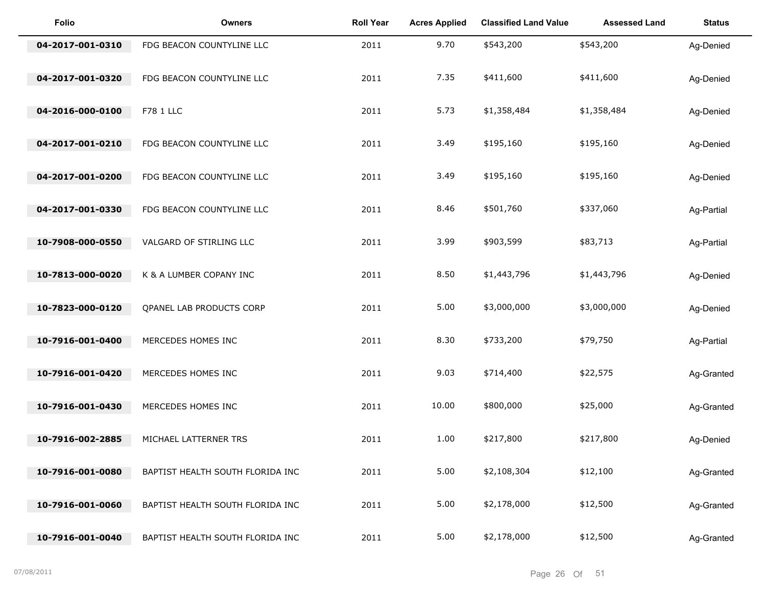| <b>Folio</b>     | <b>Owners</b>                    | <b>Roll Year</b> | <b>Acres Applied</b> | <b>Classified Land Value</b> | <b>Assessed Land</b> | <b>Status</b> |
|------------------|----------------------------------|------------------|----------------------|------------------------------|----------------------|---------------|
| 04-2017-001-0310 | FDG BEACON COUNTYLINE LLC        | 2011             | 9.70                 | \$543,200                    | \$543,200            | Ag-Denied     |
| 04-2017-001-0320 | FDG BEACON COUNTYLINE LLC        | 2011             | 7.35                 | \$411,600                    | \$411,600            | Ag-Denied     |
| 04-2016-000-0100 | F78 1 LLC                        | 2011             | 5.73                 | \$1,358,484                  | \$1,358,484          | Ag-Denied     |
| 04-2017-001-0210 | FDG BEACON COUNTYLINE LLC        | 2011             | 3.49                 | \$195,160                    | \$195,160            | Ag-Denied     |
| 04-2017-001-0200 | FDG BEACON COUNTYLINE LLC        | 2011             | 3.49                 | \$195,160                    | \$195,160            | Ag-Denied     |
| 04-2017-001-0330 | FDG BEACON COUNTYLINE LLC        | 2011             | 8.46                 | \$501,760                    | \$337,060            | Ag-Partial    |
| 10-7908-000-0550 | VALGARD OF STIRLING LLC          | 2011             | 3.99                 | \$903,599                    | \$83,713             | Ag-Partial    |
| 10-7813-000-0020 | K & A LUMBER COPANY INC          | 2011             | 8.50                 | \$1,443,796                  | \$1,443,796          | Ag-Denied     |
| 10-7823-000-0120 | QPANEL LAB PRODUCTS CORP         | 2011             | 5.00                 | \$3,000,000                  | \$3,000,000          | Ag-Denied     |
| 10-7916-001-0400 | MERCEDES HOMES INC               | 2011             | 8.30                 | \$733,200                    | \$79,750             | Ag-Partial    |
| 10-7916-001-0420 | MERCEDES HOMES INC               | 2011             | 9.03                 | \$714,400                    | \$22,575             | Ag-Granted    |
| 10-7916-001-0430 | MERCEDES HOMES INC               | 2011             | 10.00                | \$800,000                    | \$25,000             | Ag-Granted    |
| 10-7916-002-2885 | MICHAEL LATTERNER TRS            | 2011             | 1.00                 | \$217,800                    | \$217,800            | Ag-Denied     |
| 10-7916-001-0080 | BAPTIST HEALTH SOUTH FLORIDA INC | 2011             | 5.00                 | \$2,108,304                  | \$12,100             | Ag-Granted    |
| 10-7916-001-0060 | BAPTIST HEALTH SOUTH FLORIDA INC | 2011             | 5.00                 | \$2,178,000                  | \$12,500             | Ag-Granted    |
| 10-7916-001-0040 | BAPTIST HEALTH SOUTH FLORIDA INC | 2011             | 5.00                 | \$2,178,000                  | \$12,500             | Ag-Granted    |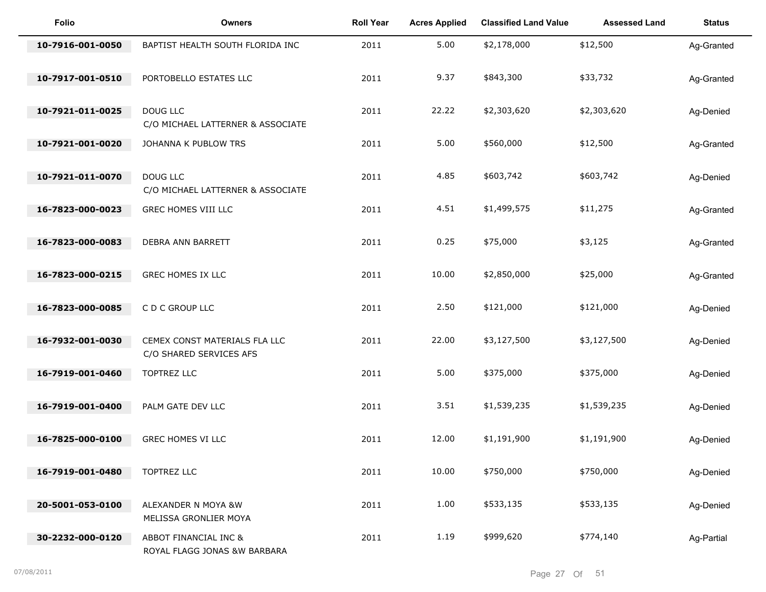| Folio            | <b>Owners</b>                                            | <b>Roll Year</b> | <b>Acres Applied</b> | <b>Classified Land Value</b> | <b>Assessed Land</b> | <b>Status</b> |
|------------------|----------------------------------------------------------|------------------|----------------------|------------------------------|----------------------|---------------|
| 10-7916-001-0050 | BAPTIST HEALTH SOUTH FLORIDA INC                         | 2011             | 5.00                 | \$2,178,000                  | \$12,500             | Ag-Granted    |
| 10-7917-001-0510 | PORTOBELLO ESTATES LLC                                   | 2011             | 9.37                 | \$843,300                    | \$33,732             | Ag-Granted    |
| 10-7921-011-0025 | DOUG LLC<br>C/O MICHAEL LATTERNER & ASSOCIATE            | 2011             | 22.22                | \$2,303,620                  | \$2,303,620          | Ag-Denied     |
| 10-7921-001-0020 | JOHANNA K PUBLOW TRS                                     | 2011             | 5.00                 | \$560,000                    | \$12,500             | Ag-Granted    |
| 10-7921-011-0070 | DOUG LLC<br>C/O MICHAEL LATTERNER & ASSOCIATE            | 2011             | 4.85                 | \$603,742                    | \$603,742            | Ag-Denied     |
| 16-7823-000-0023 | GREC HOMES VIII LLC                                      | 2011             | 4.51                 | \$1,499,575                  | \$11,275             | Ag-Granted    |
| 16-7823-000-0083 | DEBRA ANN BARRETT                                        | 2011             | 0.25                 | \$75,000                     | \$3,125              | Ag-Granted    |
| 16-7823-000-0215 | GREC HOMES IX LLC                                        | 2011             | 10.00                | \$2,850,000                  | \$25,000             | Ag-Granted    |
| 16-7823-000-0085 | C D C GROUP LLC                                          | 2011             | 2.50                 | \$121,000                    | \$121,000            | Ag-Denied     |
| 16-7932-001-0030 | CEMEX CONST MATERIALS FLA LLC<br>C/O SHARED SERVICES AFS | 2011             | 22.00                | \$3,127,500                  | \$3,127,500          | Ag-Denied     |
| 16-7919-001-0460 | TOPTREZ LLC                                              | 2011             | 5.00                 | \$375,000                    | \$375,000            | Ag-Denied     |
| 16-7919-001-0400 | PALM GATE DEV LLC                                        | 2011             | 3.51                 | \$1,539,235                  | \$1,539,235          | Ag-Denied     |
| 16-7825-000-0100 | GREC HOMES VI LLC                                        | 2011             | 12.00                | \$1,191,900                  | \$1,191,900          | Ag-Denied     |
| 16-7919-001-0480 | TOPTREZ LLC                                              | 2011             | 10.00                | \$750,000                    | \$750,000            | Ag-Denied     |
| 20-5001-053-0100 | ALEXANDER N MOYA &W<br>MELISSA GRONLIER MOYA             | 2011             | 1.00                 | \$533,135                    | \$533,135            | Ag-Denied     |
| 30-2232-000-0120 | ABBOT FINANCIAL INC &<br>ROYAL FLAGG JONAS &W BARBARA    | 2011             | 1.19                 | \$999,620                    | \$774,140            | Ag-Partial    |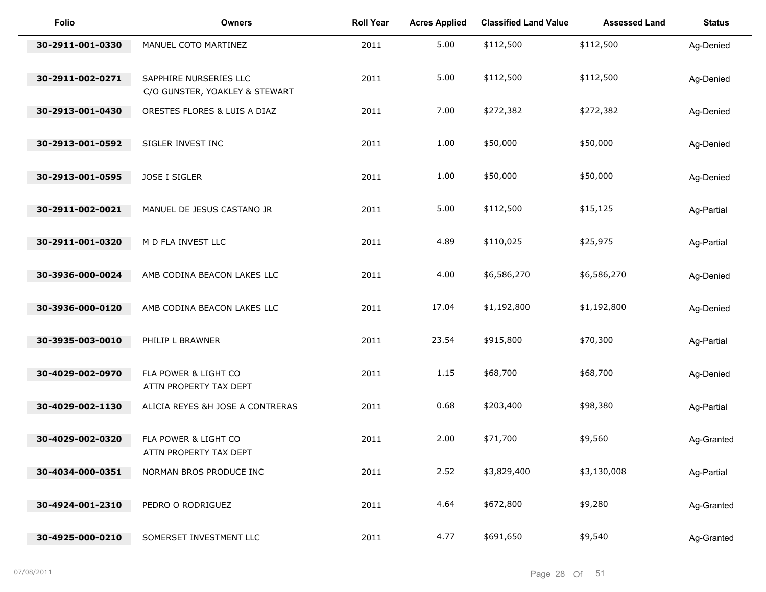| Folio            | <b>Owners</b>                                            | <b>Roll Year</b> | <b>Acres Applied</b> | <b>Classified Land Value</b> | <b>Assessed Land</b> | <b>Status</b> |
|------------------|----------------------------------------------------------|------------------|----------------------|------------------------------|----------------------|---------------|
| 30-2911-001-0330 | MANUEL COTO MARTINEZ                                     | 2011             | 5.00                 | \$112,500                    | \$112,500            | Ag-Denied     |
| 30-2911-002-0271 | SAPPHIRE NURSERIES LLC<br>C/O GUNSTER, YOAKLEY & STEWART | 2011             | 5.00                 | \$112,500                    | \$112,500            | Ag-Denied     |
| 30-2913-001-0430 | ORESTES FLORES & LUIS A DIAZ                             | 2011             | 7.00                 | \$272,382                    | \$272,382            | Ag-Denied     |
| 30-2913-001-0592 | SIGLER INVEST INC                                        | 2011             | 1.00                 | \$50,000                     | \$50,000             | Ag-Denied     |
| 30-2913-001-0595 | JOSE I SIGLER                                            | 2011             | 1.00                 | \$50,000                     | \$50,000             | Ag-Denied     |
| 30-2911-002-0021 | MANUEL DE JESUS CASTANO JR                               | 2011             | 5.00                 | \$112,500                    | \$15,125             | Ag-Partial    |
| 30-2911-001-0320 | M D FLA INVEST LLC                                       | 2011             | 4.89                 | \$110,025                    | \$25,975             | Ag-Partial    |
| 30-3936-000-0024 | AMB CODINA BEACON LAKES LLC                              | 2011             | 4.00                 | \$6,586,270                  | \$6,586,270          | Ag-Denied     |
| 30-3936-000-0120 | AMB CODINA BEACON LAKES LLC                              | 2011             | 17.04                | \$1,192,800                  | \$1,192,800          | Ag-Denied     |
| 30-3935-003-0010 | PHILIP L BRAWNER                                         | 2011             | 23.54                | \$915,800                    | \$70,300             | Ag-Partial    |
| 30-4029-002-0970 | FLA POWER & LIGHT CO<br>ATTN PROPERTY TAX DEPT           | 2011             | 1.15                 | \$68,700                     | \$68,700             | Ag-Denied     |
| 30-4029-002-1130 | ALICIA REYES &H JOSE A CONTRERAS                         | 2011             | 0.68                 | \$203,400                    | \$98,380             | Ag-Partial    |
| 30-4029-002-0320 | FLA POWER & LIGHT CO<br>ATTN PROPERTY TAX DEPT           | 2011             | 2.00                 | \$71,700                     | \$9,560              | Ag-Granted    |
| 30-4034-000-0351 | NORMAN BROS PRODUCE INC                                  | 2011             | 2.52                 | \$3,829,400                  | \$3,130,008          | Ag-Partial    |
| 30-4924-001-2310 | PEDRO O RODRIGUEZ                                        | 2011             | 4.64                 | \$672,800                    | \$9,280              | Ag-Granted    |
| 30-4925-000-0210 | SOMERSET INVESTMENT LLC                                  | 2011             | 4.77                 | \$691,650                    | \$9,540              | Ag-Granted    |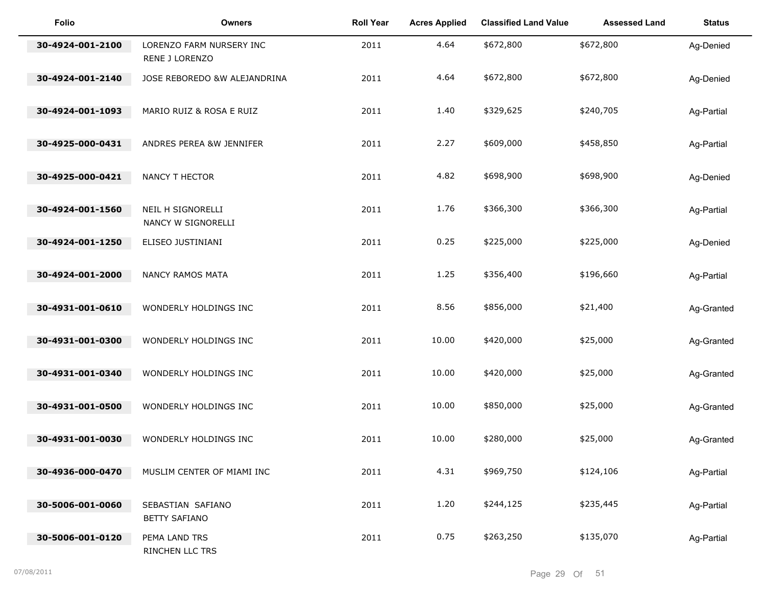| <b>Folio</b>     | <b>Owners</b>                              | <b>Roll Year</b> | <b>Acres Applied</b> | <b>Classified Land Value</b> | <b>Assessed Land</b> | <b>Status</b> |
|------------------|--------------------------------------------|------------------|----------------------|------------------------------|----------------------|---------------|
| 30-4924-001-2100 | LORENZO FARM NURSERY INC<br>RENE J LORENZO | 2011             | 4.64                 | \$672,800                    | \$672,800            | Ag-Denied     |
| 30-4924-001-2140 | JOSE REBOREDO &W ALEJANDRINA               | 2011             | 4.64                 | \$672,800                    | \$672,800            | Ag-Denied     |
| 30-4924-001-1093 | MARIO RUIZ & ROSA E RUIZ                   | 2011             | 1.40                 | \$329,625                    | \$240,705            | Ag-Partial    |
| 30-4925-000-0431 | ANDRES PEREA &W JENNIFER                   | 2011             | 2.27                 | \$609,000                    | \$458,850            | Ag-Partial    |
| 30-4925-000-0421 | NANCY T HECTOR                             | 2011             | 4.82                 | \$698,900                    | \$698,900            | Ag-Denied     |
| 30-4924-001-1560 | NEIL H SIGNORELLI<br>NANCY W SIGNORELLI    | 2011             | 1.76                 | \$366,300                    | \$366,300            | Ag-Partial    |
| 30-4924-001-1250 | ELISEO JUSTINIANI                          | 2011             | 0.25                 | \$225,000                    | \$225,000            | Ag-Denied     |
| 30-4924-001-2000 | NANCY RAMOS MATA                           | 2011             | 1.25                 | \$356,400                    | \$196,660            | Ag-Partial    |
| 30-4931-001-0610 | WONDERLY HOLDINGS INC                      | 2011             | 8.56                 | \$856,000                    | \$21,400             | Ag-Granted    |
| 30-4931-001-0300 | WONDERLY HOLDINGS INC                      | 2011             | 10.00                | \$420,000                    | \$25,000             | Ag-Granted    |
| 30-4931-001-0340 | WONDERLY HOLDINGS INC                      | 2011             | 10.00                | \$420,000                    | \$25,000             | Ag-Granted    |
| 30-4931-001-0500 | WONDERLY HOLDINGS INC                      | 2011             | 10.00                | \$850,000                    | \$25,000             | Ag-Granted    |
| 30-4931-001-0030 | WONDERLY HOLDINGS INC                      | 2011             | 10.00                | \$280,000                    | \$25,000             | Ag-Granted    |
| 30-4936-000-0470 | MUSLIM CENTER OF MIAMI INC                 | 2011             | 4.31                 | \$969,750                    | \$124,106            | Ag-Partial    |
| 30-5006-001-0060 | SEBASTIAN SAFIANO<br><b>BETTY SAFIANO</b>  | 2011             | 1.20                 | \$244,125                    | \$235,445            | Ag-Partial    |
| 30-5006-001-0120 | PEMA LAND TRS<br>RINCHEN LLC TRS           | 2011             | 0.75                 | \$263,250                    | \$135,070            | Ag-Partial    |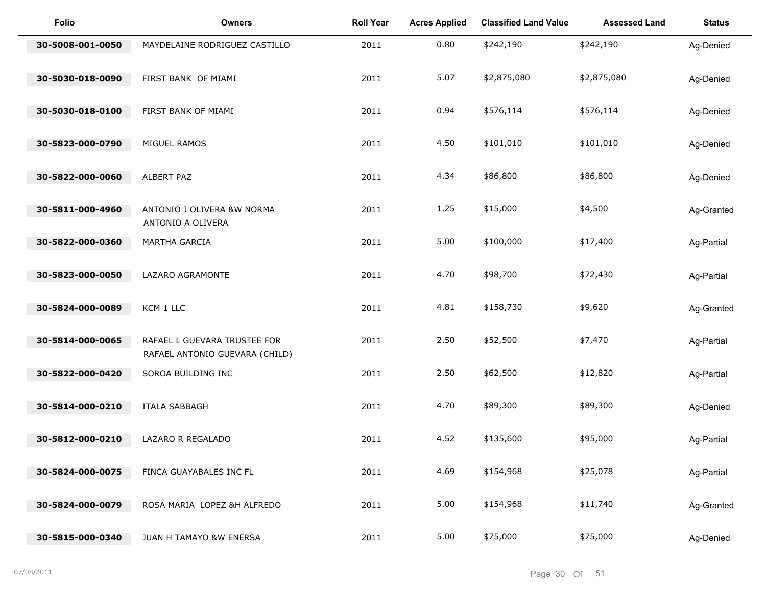| Folio            | <b>Owners</b>                                        | <b>Roll Year</b> | <b>Acres Applied</b> | <b>Classified Land Value</b> | <b>Assessed Land</b> | <b>Status</b> |
|------------------|------------------------------------------------------|------------------|----------------------|------------------------------|----------------------|---------------|
| 30-5008-001-0050 | MAYDELAINE RODRIGUEZ CASTILLO                        | 2011             | 0.80                 | \$242,190                    | \$242,190            | Ag-Denied     |
| 30-5030-018-0090 | FIRST BANK OF MIAMI                                  | 2011             | 5.07                 | \$2,875,080                  | \$2,875,080          | Ag-Denied     |
| 30-5030-018-0100 | FIRST BANK OF MIAMI                                  | 2011             | 0.94                 | \$576,114                    | \$576,114            | Ag-Denied     |
| 30-5823-000-0790 | MIGUEL RAMOS                                         | 2011             | 4.50                 | \$101,010                    | \$101,010            | Ag-Denied     |
| 30-5822-000-0060 | ALBERT PAZ                                           | 2011             | 4.34                 | \$86,800                     | \$86,800             | Ag-Denied     |
| 30-5811-000-4960 | ANTONIO J OLIVERA &W NORMA<br>ANTONIO A OLIVERA      | 2011             | 1.25                 | \$15,000                     | \$4,500              | Ag-Granted    |
| 30-5822-000-0360 | MARTHA GARCIA                                        | 2011             | 5.00                 | \$100,000                    | \$17,400             | Ag-Partial    |
| 30-5823-000-0050 | LAZARO AGRAMONTE                                     | 2011             | 4.70                 | \$98,700                     | \$72,430             | Ag-Partial    |
| 30-5824-000-0089 | KCM 1 LLC                                            | 2011             | 4.81                 | \$158,730                    | \$9,620              | Ag-Granted    |
| 30-5814-000-0065 | RAFAEL L GUEVARA TRUSTEE FOR                         | 2011             | 2.50                 | \$52,500                     | \$7,470              | Ag-Partial    |
| 30-5822-000-0420 | RAFAEL ANTONIO GUEVARA (CHILD)<br>SOROA BUILDING INC | 2011             | 2.50                 | \$62,500                     | \$12,820             | Ag-Partial    |
| 30-5814-000-0210 | <b>ITALA SABBAGH</b>                                 | 2011             | 4.70                 | \$89,300                     | \$89,300             | Ag-Denied     |
| 30-5812-000-0210 | LAZARO R REGALADO                                    | 2011             | 4.52                 | \$135,600                    | \$95,000             | Ag-Partial    |
| 30-5824-000-0075 | FINCA GUAYABALES INC FL                              | 2011             | 4.69                 | \$154,968                    | \$25,078             | Ag-Partial    |
| 30-5824-000-0079 | ROSA MARIA LOPEZ &H ALFREDO                          | 2011             | 5.00                 | \$154,968                    | \$11,740             | Ag-Granted    |
| 30-5815-000-0340 | JUAN H TAMAYO &W ENERSA                              | 2011             | 5.00                 | \$75,000                     | \$75,000             | Ag-Denied     |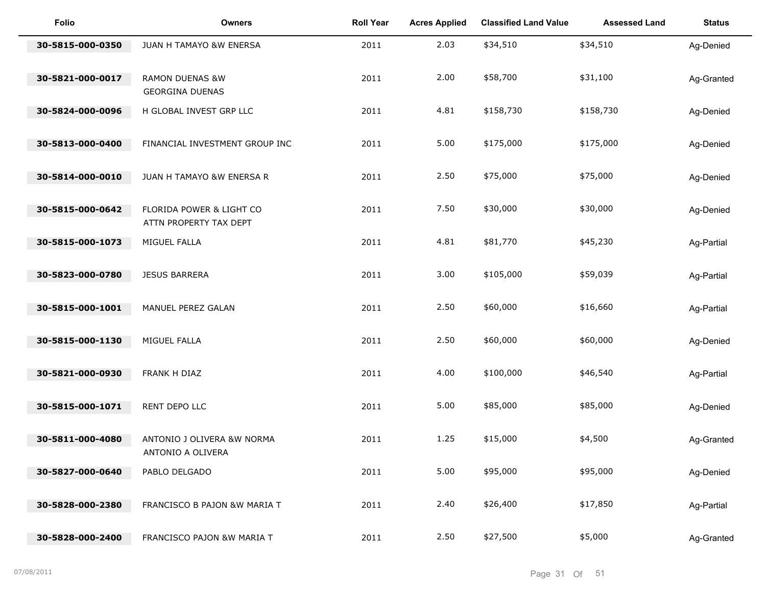| Folio            | <b>Owners</b>                                        | <b>Roll Year</b> | <b>Acres Applied</b> | <b>Classified Land Value</b> | <b>Assessed Land</b> | <b>Status</b> |
|------------------|------------------------------------------------------|------------------|----------------------|------------------------------|----------------------|---------------|
| 30-5815-000-0350 | JUAN H TAMAYO &W ENERSA                              | 2011             | 2.03                 | \$34,510                     | \$34,510             | Ag-Denied     |
| 30-5821-000-0017 | <b>RAMON DUENAS &amp;W</b><br><b>GEORGINA DUENAS</b> | 2011             | 2.00                 | \$58,700                     | \$31,100             | Ag-Granted    |
| 30-5824-000-0096 | H GLOBAL INVEST GRP LLC                              | 2011             | 4.81                 | \$158,730                    | \$158,730            | Ag-Denied     |
| 30-5813-000-0400 | FINANCIAL INVESTMENT GROUP INC                       | 2011             | 5.00                 | \$175,000                    | \$175,000            | Ag-Denied     |
| 30-5814-000-0010 | JUAN H TAMAYO &W ENERSA R                            | 2011             | 2.50                 | \$75,000                     | \$75,000             | Ag-Denied     |
| 30-5815-000-0642 | FLORIDA POWER & LIGHT CO<br>ATTN PROPERTY TAX DEPT   | 2011             | 7.50                 | \$30,000                     | \$30,000             | Ag-Denied     |
| 30-5815-000-1073 | MIGUEL FALLA                                         | 2011             | 4.81                 | \$81,770                     | \$45,230             | Ag-Partial    |
| 30-5823-000-0780 | <b>JESUS BARRERA</b>                                 | 2011             | 3.00                 | \$105,000                    | \$59,039             | Ag-Partial    |
| 30-5815-000-1001 | MANUEL PEREZ GALAN                                   | 2011             | 2.50                 | \$60,000                     | \$16,660             | Ag-Partial    |
| 30-5815-000-1130 | MIGUEL FALLA                                         | 2011             | 2.50                 | \$60,000                     | \$60,000             | Ag-Denied     |
| 30-5821-000-0930 | FRANK H DIAZ                                         | 2011             | 4.00                 | \$100,000                    | \$46,540             | Ag-Partial    |
| 30-5815-000-1071 | RENT DEPO LLC                                        | 2011             | 5.00                 | \$85,000                     | \$85,000             | Ag-Denied     |
| 30-5811-000-4080 | ANTONIO J OLIVERA &W NORMA<br>ANTONIO A OLIVERA      | 2011             | 1.25                 | \$15,000                     | \$4,500              | Ag-Granted    |
| 30-5827-000-0640 | PABLO DELGADO                                        | 2011             | 5.00                 | \$95,000                     | \$95,000             | Ag-Denied     |
| 30-5828-000-2380 | FRANCISCO B PAJON &W MARIA T                         | 2011             | 2.40                 | \$26,400                     | \$17,850             | Ag-Partial    |
| 30-5828-000-2400 | FRANCISCO PAJON &W MARIA T                           | 2011             | 2.50                 | \$27,500                     | \$5,000              | Ag-Granted    |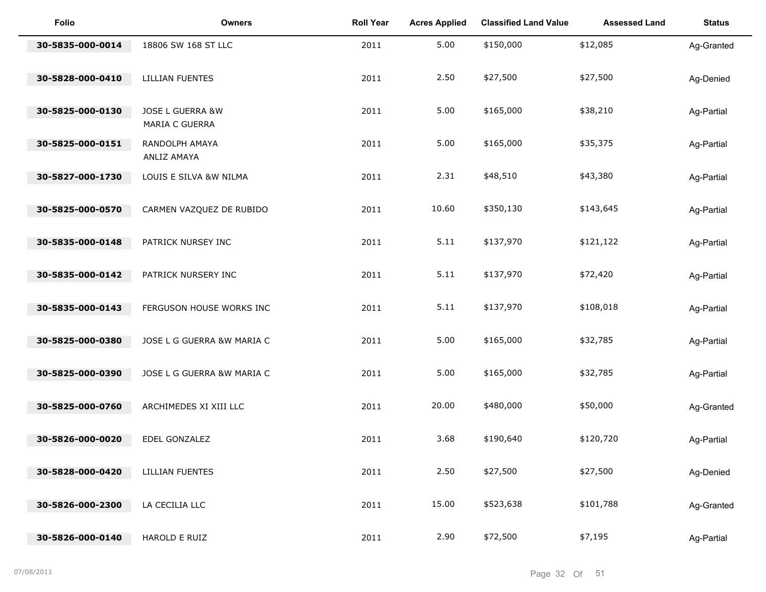| <b>Folio</b>     | <b>Owners</b>                      | <b>Roll Year</b> | <b>Acres Applied</b> | <b>Classified Land Value</b> | <b>Assessed Land</b> | <b>Status</b> |
|------------------|------------------------------------|------------------|----------------------|------------------------------|----------------------|---------------|
| 30-5835-000-0014 | 18806 SW 168 ST LLC                | 2011             | 5.00                 | \$150,000                    | \$12,085             | Ag-Granted    |
| 30-5828-000-0410 | <b>LILLIAN FUENTES</b>             | 2011             | 2.50                 | \$27,500                     | \$27,500             | Ag-Denied     |
| 30-5825-000-0130 | JOSE L GUERRA &W<br>MARIA C GUERRA | 2011             | 5.00                 | \$165,000                    | \$38,210             | Ag-Partial    |
| 30-5825-000-0151 | RANDOLPH AMAYA<br>ANLIZ AMAYA      | 2011             | 5.00                 | \$165,000                    | \$35,375             | Ag-Partial    |
| 30-5827-000-1730 | LOUIS E SILVA &W NILMA             | 2011             | 2.31                 | \$48,510                     | \$43,380             | Ag-Partial    |
| 30-5825-000-0570 | CARMEN VAZQUEZ DE RUBIDO           | 2011             | 10.60                | \$350,130                    | \$143,645            | Ag-Partial    |
| 30-5835-000-0148 | PATRICK NURSEY INC                 | 2011             | 5.11                 | \$137,970                    | \$121,122            | Ag-Partial    |
| 30-5835-000-0142 | PATRICK NURSERY INC                | 2011             | 5.11                 | \$137,970                    | \$72,420             | Ag-Partial    |
| 30-5835-000-0143 | FERGUSON HOUSE WORKS INC           | 2011             | 5.11                 | \$137,970                    | \$108,018            | Ag-Partial    |
| 30-5825-000-0380 | JOSE L G GUERRA &W MARIA C         | 2011             | 5.00                 | \$165,000                    | \$32,785             | Ag-Partial    |
| 30-5825-000-0390 | JOSE L G GUERRA &W MARIA C         | 2011             | 5.00                 | \$165,000                    | \$32,785             | Ag-Partial    |
| 30-5825-000-0760 | ARCHIMEDES XI XIII LLC             | 2011             | 20.00                | \$480,000                    | \$50,000             | Ag-Granted    |
| 30-5826-000-0020 | EDEL GONZALEZ                      | 2011             | 3.68                 | \$190,640                    | \$120,720            | Ag-Partial    |
| 30-5828-000-0420 | <b>LILLIAN FUENTES</b>             | 2011             | 2.50                 | \$27,500                     | \$27,500             | Ag-Denied     |
| 30-5826-000-2300 | LA CECILIA LLC                     | 2011             | 15.00                | \$523,638                    | \$101,788            | Ag-Granted    |
| 30-5826-000-0140 | HAROLD E RUIZ                      | 2011             | 2.90                 | \$72,500                     | \$7,195              | Ag-Partial    |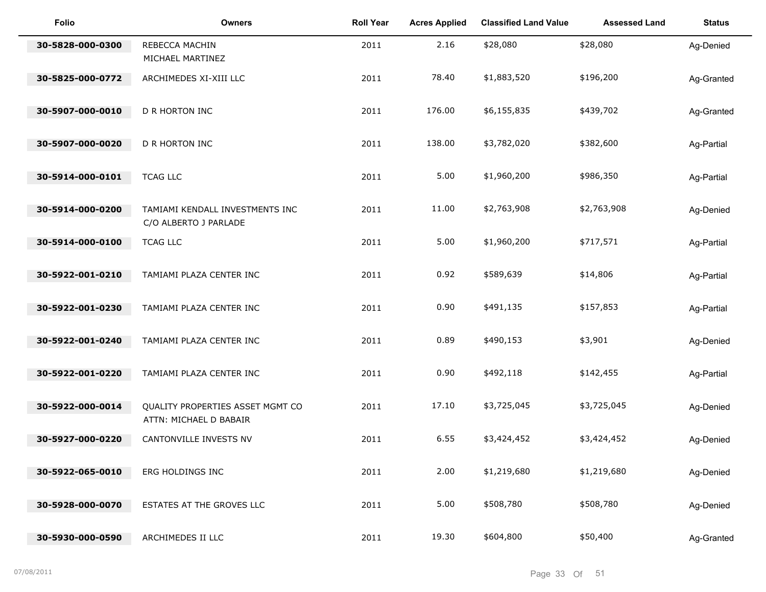| <b>Folio</b>     | <b>Owners</b>                                              | <b>Roll Year</b> | <b>Acres Applied</b> | <b>Classified Land Value</b> | <b>Assessed Land</b> | <b>Status</b> |
|------------------|------------------------------------------------------------|------------------|----------------------|------------------------------|----------------------|---------------|
| 30-5828-000-0300 | REBECCA MACHIN<br>MICHAEL MARTINEZ                         | 2011             | 2.16                 | \$28,080                     | \$28,080             | Ag-Denied     |
| 30-5825-000-0772 | ARCHIMEDES XI-XIII LLC                                     | 2011             | 78.40                | \$1,883,520                  | \$196,200            | Ag-Granted    |
| 30-5907-000-0010 | D R HORTON INC                                             | 2011             | 176.00               | \$6,155,835                  | \$439,702            | Ag-Granted    |
| 30-5907-000-0020 | D R HORTON INC                                             | 2011             | 138.00               | \$3,782,020                  | \$382,600            | Ag-Partial    |
| 30-5914-000-0101 | <b>TCAG LLC</b>                                            | 2011             | 5.00                 | \$1,960,200                  | \$986,350            | Ag-Partial    |
| 30-5914-000-0200 | TAMIAMI KENDALL INVESTMENTS INC<br>C/O ALBERTO J PARLADE   | 2011             | 11.00                | \$2,763,908                  | \$2,763,908          | Ag-Denied     |
| 30-5914-000-0100 | <b>TCAG LLC</b>                                            | 2011             | 5.00                 | \$1,960,200                  | \$717,571            | Ag-Partial    |
| 30-5922-001-0210 | TAMIAMI PLAZA CENTER INC                                   | 2011             | 0.92                 | \$589,639                    | \$14,806             | Ag-Partial    |
| 30-5922-001-0230 | TAMIAMI PLAZA CENTER INC                                   | 2011             | 0.90                 | \$491,135                    | \$157,853            | Ag-Partial    |
| 30-5922-001-0240 | TAMIAMI PLAZA CENTER INC                                   | 2011             | 0.89                 | \$490,153                    | \$3,901              | Ag-Denied     |
| 30-5922-001-0220 | TAMIAMI PLAZA CENTER INC                                   | 2011             | 0.90                 | \$492,118                    | \$142,455            | Ag-Partial    |
| 30-5922-000-0014 | QUALITY PROPERTIES ASSET MGMT CO<br>ATTN: MICHAEL D BABAIR | 2011             | 17.10                | \$3,725,045                  | \$3,725,045          | Ag-Denied     |
| 30-5927-000-0220 | CANTONVILLE INVESTS NV                                     | 2011             | 6.55                 | \$3,424,452                  | \$3,424,452          | Ag-Denied     |
| 30-5922-065-0010 | ERG HOLDINGS INC                                           | 2011             | 2.00                 | \$1,219,680                  | \$1,219,680          | Ag-Denied     |
| 30-5928-000-0070 | ESTATES AT THE GROVES LLC                                  | 2011             | 5.00                 | \$508,780                    | \$508,780            | Ag-Denied     |
| 30-5930-000-0590 | ARCHIMEDES II LLC                                          | 2011             | 19.30                | \$604,800                    | \$50,400             | Ag-Granted    |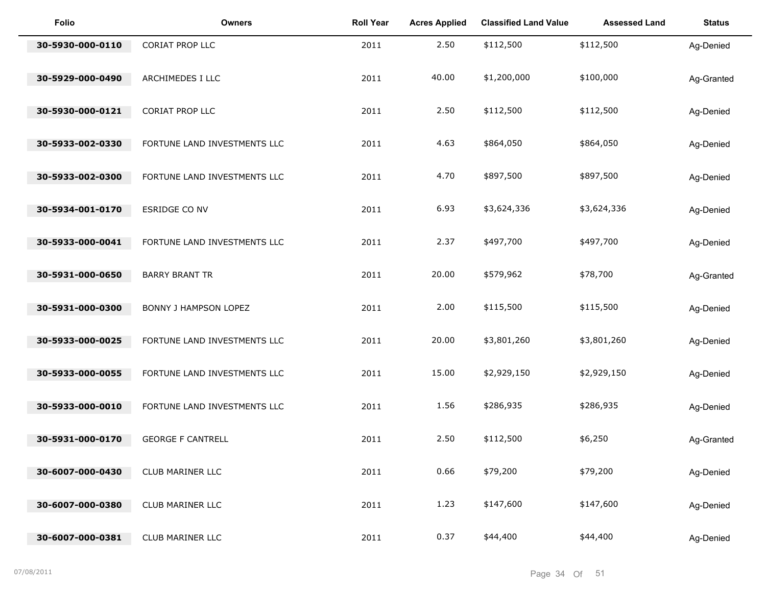| <b>Folio</b>     | <b>Owners</b>                | <b>Roll Year</b> | <b>Acres Applied</b> | <b>Classified Land Value</b> | <b>Assessed Land</b> | <b>Status</b> |
|------------------|------------------------------|------------------|----------------------|------------------------------|----------------------|---------------|
| 30-5930-000-0110 | CORIAT PROP LLC              | 2011             | 2.50                 | \$112,500                    | \$112,500            | Ag-Denied     |
| 30-5929-000-0490 | ARCHIMEDES I LLC             | 2011             | 40.00                | \$1,200,000                  | \$100,000            | Ag-Granted    |
| 30-5930-000-0121 | CORIAT PROP LLC              | 2011             | 2.50                 | \$112,500                    | \$112,500            | Ag-Denied     |
| 30-5933-002-0330 | FORTUNE LAND INVESTMENTS LLC | 2011             | 4.63                 | \$864,050                    | \$864,050            | Ag-Denied     |
| 30-5933-002-0300 | FORTUNE LAND INVESTMENTS LLC | 2011             | 4.70                 | \$897,500                    | \$897,500            | Ag-Denied     |
| 30-5934-001-0170 | ESRIDGE CO NV                | 2011             | 6.93                 | \$3,624,336                  | \$3,624,336          | Ag-Denied     |
| 30-5933-000-0041 | FORTUNE LAND INVESTMENTS LLC | 2011             | 2.37                 | \$497,700                    | \$497,700            | Ag-Denied     |
| 30-5931-000-0650 | <b>BARRY BRANT TR</b>        | 2011             | 20.00                | \$579,962                    | \$78,700             | Ag-Granted    |
| 30-5931-000-0300 | <b>BONNY J HAMPSON LOPEZ</b> | 2011             | 2.00                 | \$115,500                    | \$115,500            | Ag-Denied     |
| 30-5933-000-0025 | FORTUNE LAND INVESTMENTS LLC | 2011             | 20.00                | \$3,801,260                  | \$3,801,260          | Ag-Denied     |
| 30-5933-000-0055 | FORTUNE LAND INVESTMENTS LLC | 2011             | 15.00                | \$2,929,150                  | \$2,929,150          | Ag-Denied     |
| 30-5933-000-0010 | FORTUNE LAND INVESTMENTS LLC | 2011             | 1.56                 | \$286,935                    | \$286,935            | Ag-Denied     |
| 30-5931-000-0170 | <b>GEORGE F CANTRELL</b>     | 2011             | 2.50                 | \$112,500                    | \$6,250              | Ag-Granted    |
| 30-6007-000-0430 | CLUB MARINER LLC             | 2011             | 0.66                 | \$79,200                     | \$79,200             | Ag-Denied     |
| 30-6007-000-0380 | CLUB MARINER LLC             | 2011             | 1.23                 | \$147,600                    | \$147,600            | Ag-Denied     |
| 30-6007-000-0381 | CLUB MARINER LLC             | 2011             | 0.37                 | \$44,400                     | \$44,400             | Ag-Denied     |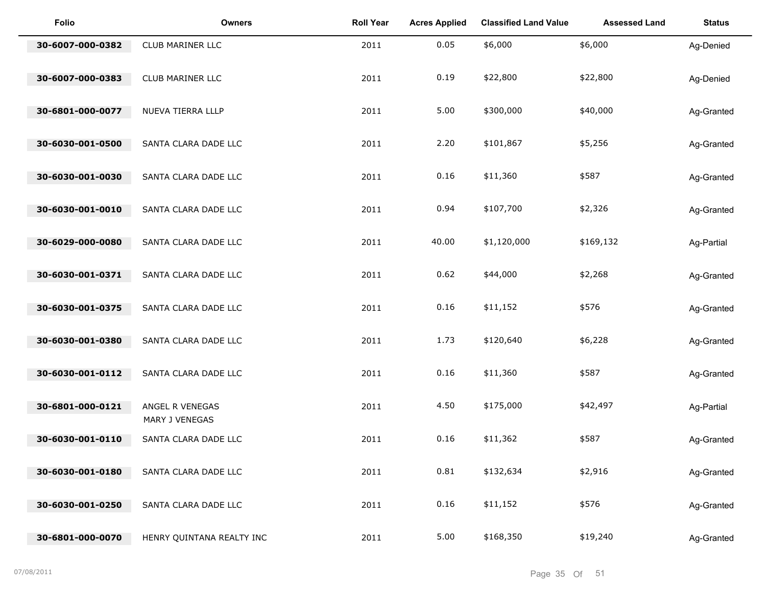| <b>Folio</b>     | <b>Owners</b>                     | <b>Roll Year</b> | <b>Acres Applied</b> | <b>Classified Land Value</b> | <b>Assessed Land</b> | <b>Status</b> |
|------------------|-----------------------------------|------------------|----------------------|------------------------------|----------------------|---------------|
| 30-6007-000-0382 | <b>CLUB MARINER LLC</b>           | 2011             | 0.05                 | \$6,000                      | \$6,000              | Ag-Denied     |
| 30-6007-000-0383 | CLUB MARINER LLC                  | 2011             | 0.19                 | \$22,800                     | \$22,800             | Ag-Denied     |
| 30-6801-000-0077 | NUEVA TIERRA LLLP                 | 2011             | 5.00                 | \$300,000                    | \$40,000             | Ag-Granted    |
| 30-6030-001-0500 | SANTA CLARA DADE LLC              | 2011             | 2.20                 | \$101,867                    | \$5,256              | Ag-Granted    |
| 30-6030-001-0030 | SANTA CLARA DADE LLC              | 2011             | 0.16                 | \$11,360                     | \$587                | Ag-Granted    |
| 30-6030-001-0010 | SANTA CLARA DADE LLC              | 2011             | 0.94                 | \$107,700                    | \$2,326              | Ag-Granted    |
| 30-6029-000-0080 | SANTA CLARA DADE LLC              | 2011             | 40.00                | \$1,120,000                  | \$169,132            | Ag-Partial    |
| 30-6030-001-0371 | SANTA CLARA DADE LLC              | 2011             | 0.62                 | \$44,000                     | \$2,268              | Ag-Granted    |
| 30-6030-001-0375 | SANTA CLARA DADE LLC              | 2011             | 0.16                 | \$11,152                     | \$576                | Ag-Granted    |
| 30-6030-001-0380 | SANTA CLARA DADE LLC              | 2011             | 1.73                 | \$120,640                    | \$6,228              | Ag-Granted    |
| 30-6030-001-0112 | SANTA CLARA DADE LLC              | 2011             | 0.16                 | \$11,360                     | \$587                | Ag-Granted    |
| 30-6801-000-0121 | ANGEL R VENEGAS<br>MARY J VENEGAS | 2011             | 4.50                 | \$175,000                    | \$42,497             | Ag-Partial    |
| 30-6030-001-0110 | SANTA CLARA DADE LLC              | 2011             | 0.16                 | \$11,362                     | \$587                | Ag-Granted    |
| 30-6030-001-0180 | SANTA CLARA DADE LLC              | 2011             | 0.81                 | \$132,634                    | \$2,916              | Ag-Granted    |
| 30-6030-001-0250 | SANTA CLARA DADE LLC              | 2011             | 0.16                 | \$11,152                     | \$576                | Ag-Granted    |
| 30-6801-000-0070 | HENRY QUINTANA REALTY INC         | 2011             | 5.00                 | \$168,350                    | \$19,240             | Ag-Granted    |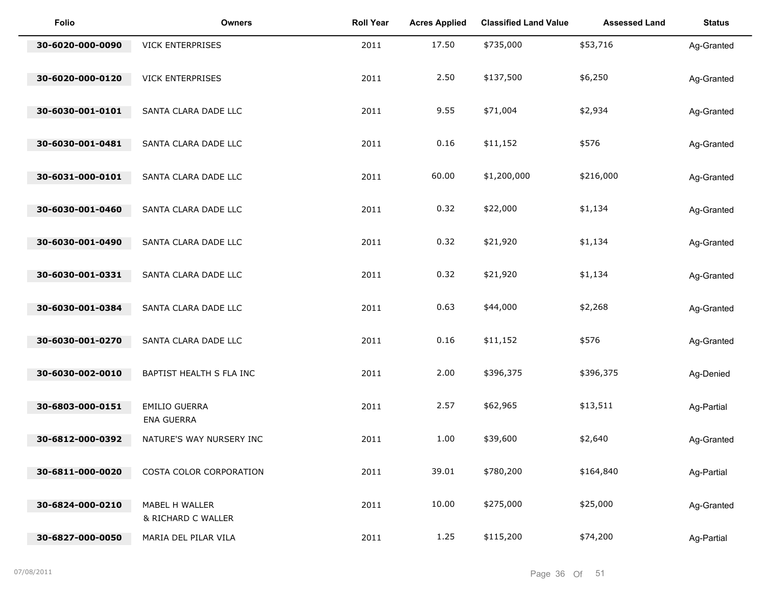| <b>Folio</b>     | <b>Owners</b>                             | <b>Roll Year</b> | <b>Acres Applied</b> | <b>Classified Land Value</b> | <b>Assessed Land</b> | <b>Status</b> |
|------------------|-------------------------------------------|------------------|----------------------|------------------------------|----------------------|---------------|
| 30-6020-000-0090 | <b>VICK ENTERPRISES</b>                   | 2011             | 17.50                | \$735,000                    | \$53,716             | Ag-Granted    |
| 30-6020-000-0120 | <b>VICK ENTERPRISES</b>                   | 2011             | 2.50                 | \$137,500                    | \$6,250              | Ag-Granted    |
| 30-6030-001-0101 | SANTA CLARA DADE LLC                      | 2011             | 9.55                 | \$71,004                     | \$2,934              | Ag-Granted    |
| 30-6030-001-0481 | SANTA CLARA DADE LLC                      | 2011             | 0.16                 | \$11,152                     | \$576                | Ag-Granted    |
| 30-6031-000-0101 | SANTA CLARA DADE LLC                      | 2011             | 60.00                | \$1,200,000                  | \$216,000            | Ag-Granted    |
| 30-6030-001-0460 | SANTA CLARA DADE LLC                      | 2011             | 0.32                 | \$22,000                     | \$1,134              | Ag-Granted    |
| 30-6030-001-0490 | SANTA CLARA DADE LLC                      | 2011             | 0.32                 | \$21,920                     | \$1,134              | Ag-Granted    |
| 30-6030-001-0331 | SANTA CLARA DADE LLC                      | 2011             | 0.32                 | \$21,920                     | \$1,134              | Ag-Granted    |
| 30-6030-001-0384 | SANTA CLARA DADE LLC                      | 2011             | 0.63                 | \$44,000                     | \$2,268              | Ag-Granted    |
| 30-6030-001-0270 | SANTA CLARA DADE LLC                      | 2011             | 0.16                 | \$11,152                     | \$576                | Ag-Granted    |
| 30-6030-002-0010 | BAPTIST HEALTH S FLA INC                  | 2011             | 2.00                 | \$396,375                    | \$396,375            | Ag-Denied     |
| 30-6803-000-0151 | <b>EMILIO GUERRA</b><br><b>ENA GUERRA</b> | 2011             | 2.57                 | \$62,965                     | \$13,511             | Ag-Partial    |
| 30-6812-000-0392 | NATURE'S WAY NURSERY INC                  | 2011             | 1.00                 | \$39,600                     | \$2,640              | Ag-Granted    |
| 30-6811-000-0020 | COSTA COLOR CORPORATION                   | 2011             | 39.01                | \$780,200                    | \$164,840            | Ag-Partial    |
| 30-6824-000-0210 | MABEL H WALLER<br>& RICHARD C WALLER      | 2011             | 10.00                | \$275,000                    | \$25,000             | Ag-Granted    |
| 30-6827-000-0050 | MARIA DEL PILAR VILA                      | 2011             | 1.25                 | \$115,200                    | \$74,200             | Ag-Partial    |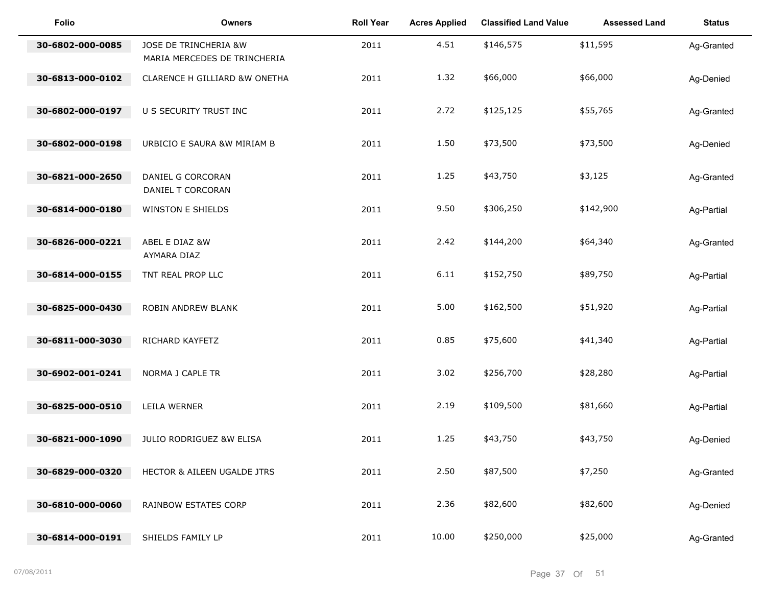| <b>Folio</b>     | <b>Owners</b>                                         | <b>Roll Year</b> | <b>Acres Applied</b> | <b>Classified Land Value</b> | <b>Assessed Land</b> | <b>Status</b> |
|------------------|-------------------------------------------------------|------------------|----------------------|------------------------------|----------------------|---------------|
| 30-6802-000-0085 | JOSE DE TRINCHERIA &W<br>MARIA MERCEDES DE TRINCHERIA | 2011             | 4.51                 | \$146,575                    | \$11,595             | Ag-Granted    |
| 30-6813-000-0102 | CLARENCE H GILLIARD &W ONETHA                         | 2011             | 1.32                 | \$66,000                     | \$66,000             | Ag-Denied     |
| 30-6802-000-0197 | U S SECURITY TRUST INC                                | 2011             | 2.72                 | \$125,125                    | \$55,765             | Ag-Granted    |
| 30-6802-000-0198 | URBICIO E SAURA &W MIRIAM B                           | 2011             | 1.50                 | \$73,500                     | \$73,500             | Ag-Denied     |
| 30-6821-000-2650 | DANIEL G CORCORAN<br>DANIEL T CORCORAN                | 2011             | 1.25                 | \$43,750                     | \$3,125              | Ag-Granted    |
| 30-6814-000-0180 | <b>WINSTON E SHIELDS</b>                              | 2011             | 9.50                 | \$306,250                    | \$142,900            | Ag-Partial    |
| 30-6826-000-0221 | ABEL E DIAZ &W<br>AYMARA DIAZ                         | 2011             | 2.42                 | \$144,200                    | \$64,340             | Ag-Granted    |
| 30-6814-000-0155 | TNT REAL PROP LLC                                     | 2011             | 6.11                 | \$152,750                    | \$89,750             | Ag-Partial    |
| 30-6825-000-0430 | ROBIN ANDREW BLANK                                    | 2011             | 5.00                 | \$162,500                    | \$51,920             | Ag-Partial    |
| 30-6811-000-3030 | RICHARD KAYFETZ                                       | 2011             | 0.85                 | \$75,600                     | \$41,340             | Ag-Partial    |
| 30-6902-001-0241 | NORMA J CAPLE TR                                      | 2011             | 3.02                 | \$256,700                    | \$28,280             | Ag-Partial    |
| 30-6825-000-0510 | LEILA WERNER                                          | 2011             | 2.19                 | \$109,500                    | \$81,660             | Ag-Partial    |
| 30-6821-000-1090 | JULIO RODRIGUEZ &W ELISA                              | 2011             | 1.25                 | \$43,750                     | \$43,750             | Ag-Denied     |
| 30-6829-000-0320 | HECTOR & AILEEN UGALDE JTRS                           | 2011             | 2.50                 | \$87,500                     | \$7,250              | Ag-Granted    |
| 30-6810-000-0060 | RAINBOW ESTATES CORP                                  | 2011             | 2.36                 | \$82,600                     | \$82,600             | Ag-Denied     |
| 30-6814-000-0191 | SHIELDS FAMILY LP                                     | 2011             | 10.00                | \$250,000                    | \$25,000             | Ag-Granted    |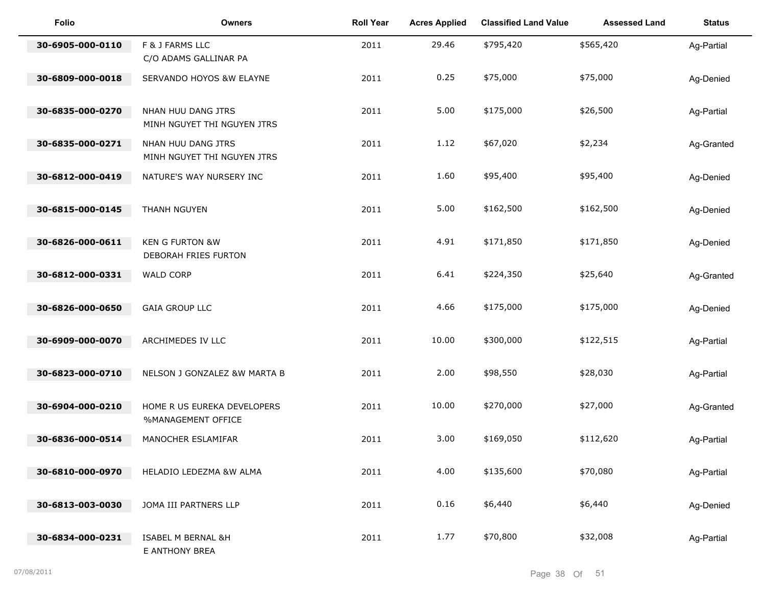| <b>Folio</b>     | Owners                                             | <b>Roll Year</b> | <b>Acres Applied</b> | <b>Classified Land Value</b> | <b>Assessed Land</b> | <b>Status</b> |
|------------------|----------------------------------------------------|------------------|----------------------|------------------------------|----------------------|---------------|
| 30-6905-000-0110 | F & J FARMS LLC<br>C/O ADAMS GALLINAR PA           | 2011             | 29.46                | \$795,420                    | \$565,420            | Ag-Partial    |
| 30-6809-000-0018 | SERVANDO HOYOS &W ELAYNE                           | 2011             | 0.25                 | \$75,000                     | \$75,000             | Ag-Denied     |
| 30-6835-000-0270 | NHAN HUU DANG JTRS<br>MINH NGUYET THI NGUYEN JTRS  | 2011             | 5.00                 | \$175,000                    | \$26,500             | Ag-Partial    |
| 30-6835-000-0271 | NHAN HUU DANG JTRS<br>MINH NGUYET THI NGUYEN JTRS  | 2011             | 1.12                 | \$67,020                     | \$2,234              | Ag-Granted    |
| 30-6812-000-0419 | NATURE'S WAY NURSERY INC                           | 2011             | 1.60                 | \$95,400                     | \$95,400             | Ag-Denied     |
| 30-6815-000-0145 | THANH NGUYEN                                       | 2011             | 5.00                 | \$162,500                    | \$162,500            | Ag-Denied     |
| 30-6826-000-0611 | <b>KEN G FURTON &amp;W</b><br>DEBORAH FRIES FURTON | 2011             | 4.91                 | \$171,850                    | \$171,850            | Ag-Denied     |
| 30-6812-000-0331 | <b>WALD CORP</b>                                   | 2011             | 6.41                 | \$224,350                    | \$25,640             | Ag-Granted    |
| 30-6826-000-0650 | <b>GAIA GROUP LLC</b>                              | 2011             | 4.66                 | \$175,000                    | \$175,000            | Ag-Denied     |
| 30-6909-000-0070 | ARCHIMEDES IV LLC                                  | 2011             | 10.00                | \$300,000                    | \$122,515            | Ag-Partial    |
| 30-6823-000-0710 | NELSON J GONZALEZ &W MARTA B                       | 2011             | 2.00                 | \$98,550                     | \$28,030             | Ag-Partial    |
| 30-6904-000-0210 | HOME R US EUREKA DEVELOPERS<br>%MANAGEMENT OFFICE  | 2011             | 10.00                | \$270,000                    | \$27,000             | Ag-Granted    |
| 30-6836-000-0514 | MANOCHER ESLAMIFAR                                 | 2011             | 3.00                 | \$169,050                    | \$112,620            | Ag-Partial    |
| 30-6810-000-0970 | HELADIO LEDEZMA &W ALMA                            | 2011             | 4.00                 | \$135,600                    | \$70,080             | Ag-Partial    |
| 30-6813-003-0030 | JOMA III PARTNERS LLP                              | 2011             | 0.16                 | \$6,440                      | \$6,440              | Ag-Denied     |
| 30-6834-000-0231 | ISABEL M BERNAL &H<br>E ANTHONY BREA               | 2011             | 1.77                 | \$70,800                     | \$32,008             | Ag-Partial    |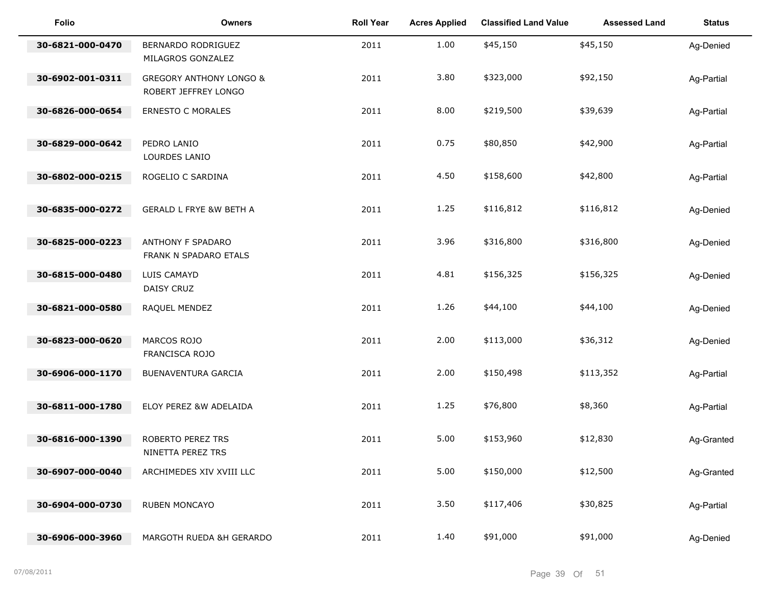| <b>Folio</b>     | <b>Owners</b>                                              | <b>Roll Year</b> | <b>Acres Applied</b> | <b>Classified Land Value</b> | <b>Assessed Land</b> | <b>Status</b> |
|------------------|------------------------------------------------------------|------------------|----------------------|------------------------------|----------------------|---------------|
| 30-6821-000-0470 | BERNARDO RODRIGUEZ<br>MILAGROS GONZALEZ                    | 2011             | 1.00                 | \$45,150                     | \$45,150             | Ag-Denied     |
| 30-6902-001-0311 | <b>GREGORY ANTHONY LONGO &amp;</b><br>ROBERT JEFFREY LONGO | 2011             | 3.80                 | \$323,000                    | \$92,150             | Ag-Partial    |
| 30-6826-000-0654 | <b>ERNESTO C MORALES</b>                                   | 2011             | 8.00                 | \$219,500                    | \$39,639             | Ag-Partial    |
| 30-6829-000-0642 | PEDRO LANIO<br>LOURDES LANIO                               | 2011             | 0.75                 | \$80,850                     | \$42,900             | Ag-Partial    |
| 30-6802-000-0215 | ROGELIO C SARDINA                                          | 2011             | 4.50                 | \$158,600                    | \$42,800             | Ag-Partial    |
| 30-6835-000-0272 | <b>GERALD L FRYE &amp;W BETH A</b>                         | 2011             | 1.25                 | \$116,812                    | \$116,812            | Ag-Denied     |
| 30-6825-000-0223 | ANTHONY F SPADARO<br>FRANK N SPADARO ETALS                 | 2011             | 3.96                 | \$316,800                    | \$316,800            | Ag-Denied     |
| 30-6815-000-0480 | LUIS CAMAYD<br>DAISY CRUZ                                  | 2011             | 4.81                 | \$156,325                    | \$156,325            | Ag-Denied     |
| 30-6821-000-0580 | RAQUEL MENDEZ                                              | 2011             | 1.26                 | \$44,100                     | \$44,100             | Ag-Denied     |
| 30-6823-000-0620 | MARCOS ROJO<br>FRANCISCA ROJO                              | 2011             | 2.00                 | \$113,000                    | \$36,312             | Ag-Denied     |
| 30-6906-000-1170 | BUENAVENTURA GARCIA                                        | 2011             | 2.00                 | \$150,498                    | \$113,352            | Ag-Partial    |
| 30-6811-000-1780 | ELOY PEREZ &W ADELAIDA                                     | 2011             | 1.25                 | \$76,800                     | \$8,360              | Ag-Partial    |
| 30-6816-000-1390 | ROBERTO PEREZ TRS<br>NINETTA PEREZ TRS                     | 2011             | 5.00                 | \$153,960                    | \$12,830             | Ag-Granted    |
| 30-6907-000-0040 | ARCHIMEDES XIV XVIII LLC                                   | 2011             | 5.00                 | \$150,000                    | \$12,500             | Ag-Granted    |
| 30-6904-000-0730 | RUBEN MONCAYO                                              | 2011             | 3.50                 | \$117,406                    | \$30,825             | Ag-Partial    |
| 30-6906-000-3960 | MARGOTH RUEDA &H GERARDO                                   | 2011             | 1.40                 | \$91,000                     | \$91,000             | Ag-Denied     |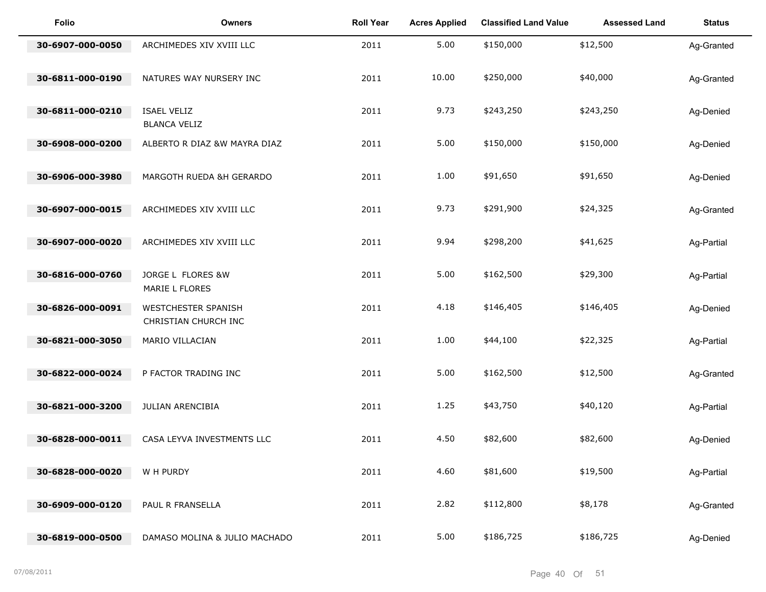| Folio            | <b>Owners</b>                               | <b>Roll Year</b> | <b>Acres Applied</b> | <b>Classified Land Value</b> | <b>Assessed Land</b> | <b>Status</b> |
|------------------|---------------------------------------------|------------------|----------------------|------------------------------|----------------------|---------------|
| 30-6907-000-0050 | ARCHIMEDES XIV XVIII LLC                    | 2011             | 5.00                 | \$150,000                    | \$12,500             | Ag-Granted    |
| 30-6811-000-0190 | NATURES WAY NURSERY INC                     | 2011             | 10.00                | \$250,000                    | \$40,000             | Ag-Granted    |
| 30-6811-000-0210 | <b>ISAEL VELIZ</b><br><b>BLANCA VELIZ</b>   | 2011             | 9.73                 | \$243,250                    | \$243,250            | Ag-Denied     |
| 30-6908-000-0200 | ALBERTO R DIAZ &W MAYRA DIAZ                | 2011             | 5.00                 | \$150,000                    | \$150,000            | Ag-Denied     |
| 30-6906-000-3980 | MARGOTH RUEDA &H GERARDO                    | 2011             | 1.00                 | \$91,650                     | \$91,650             | Ag-Denied     |
| 30-6907-000-0015 | ARCHIMEDES XIV XVIII LLC                    | 2011             | 9.73                 | \$291,900                    | \$24,325             | Ag-Granted    |
| 30-6907-000-0020 | ARCHIMEDES XIV XVIII LLC                    | 2011             | 9.94                 | \$298,200                    | \$41,625             | Ag-Partial    |
| 30-6816-000-0760 | JORGE L FLORES &W<br>MARIE L FLORES         | 2011             | 5.00                 | \$162,500                    | \$29,300             | Ag-Partial    |
| 30-6826-000-0091 | WESTCHESTER SPANISH<br>CHRISTIAN CHURCH INC | 2011             | 4.18                 | \$146,405                    | \$146,405            | Ag-Denied     |
| 30-6821-000-3050 | MARIO VILLACIAN                             | 2011             | 1.00                 | \$44,100                     | \$22,325             | Ag-Partial    |
| 30-6822-000-0024 | P FACTOR TRADING INC                        | 2011             | 5.00                 | \$162,500                    | \$12,500             | Ag-Granted    |
| 30-6821-000-3200 | <b>JULIAN ARENCIBIA</b>                     | 2011             | 1.25                 | \$43,750                     | \$40,120             | Ag-Partial    |
| 30-6828-000-0011 | CASA LEYVA INVESTMENTS LLC                  | 2011             | 4.50                 | \$82,600                     | \$82,600             | Ag-Denied     |
| 30-6828-000-0020 | W H PURDY                                   | 2011             | 4.60                 | \$81,600                     | \$19,500             | Ag-Partial    |
| 30-6909-000-0120 | PAUL R FRANSELLA                            | 2011             | 2.82                 | \$112,800                    | \$8,178              | Ag-Granted    |
| 30-6819-000-0500 | DAMASO MOLINA & JULIO MACHADO               | 2011             | 5.00                 | \$186,725                    | \$186,725            | Ag-Denied     |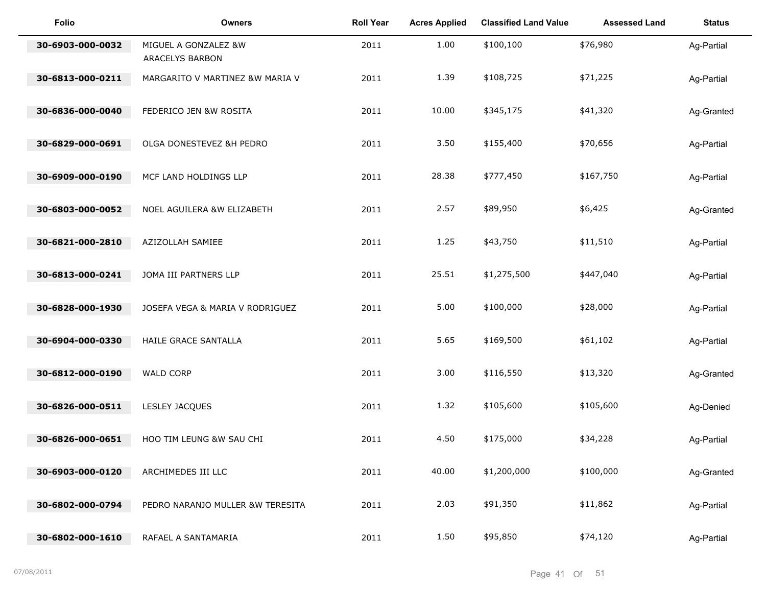| <b>Folio</b>     | <b>Owners</b>                           | <b>Roll Year</b> | <b>Acres Applied</b> | <b>Classified Land Value</b> | <b>Assessed Land</b> | <b>Status</b> |
|------------------|-----------------------------------------|------------------|----------------------|------------------------------|----------------------|---------------|
| 30-6903-000-0032 | MIGUEL A GONZALEZ &W<br>ARACELYS BARBON | 2011             | 1.00                 | \$100,100                    | \$76,980             | Ag-Partial    |
| 30-6813-000-0211 | MARGARITO V MARTINEZ &W MARIA V         | 2011             | 1.39                 | \$108,725                    | \$71,225             | Ag-Partial    |
| 30-6836-000-0040 | FEDERICO JEN &W ROSITA                  | 2011             | 10.00                | \$345,175                    | \$41,320             | Ag-Granted    |
| 30-6829-000-0691 | OLGA DONESTEVEZ &H PEDRO                | 2011             | 3.50                 | \$155,400                    | \$70,656             | Ag-Partial    |
| 30-6909-000-0190 | MCF LAND HOLDINGS LLP                   | 2011             | 28.38                | \$777,450                    | \$167,750            | Ag-Partial    |
| 30-6803-000-0052 | NOEL AGUILERA &W ELIZABETH              | 2011             | 2.57                 | \$89,950                     | \$6,425              | Ag-Granted    |
| 30-6821-000-2810 | AZIZOLLAH SAMIEE                        | 2011             | 1.25                 | \$43,750                     | \$11,510             | Ag-Partial    |
| 30-6813-000-0241 | JOMA III PARTNERS LLP                   | 2011             | 25.51                | \$1,275,500                  | \$447,040            | Ag-Partial    |
| 30-6828-000-1930 | JOSEFA VEGA & MARIA V RODRIGUEZ         | 2011             | 5.00                 | \$100,000                    | \$28,000             | Ag-Partial    |
| 30-6904-000-0330 | HAILE GRACE SANTALLA                    | 2011             | 5.65                 | \$169,500                    | \$61,102             | Ag-Partial    |
| 30-6812-000-0190 | <b>WALD CORP</b>                        | 2011             | 3.00                 | \$116,550                    | \$13,320             | Ag-Granted    |
| 30-6826-000-0511 | LESLEY JACQUES                          | 2011             | 1.32                 | \$105,600                    | \$105,600            | Ag-Denied     |
| 30-6826-000-0651 | HOO TIM LEUNG &W SAU CHI                | 2011             | 4.50                 | \$175,000                    | \$34,228             | Ag-Partial    |
| 30-6903-000-0120 | ARCHIMEDES III LLC                      | 2011             | 40.00                | \$1,200,000                  | \$100,000            | Ag-Granted    |
| 30-6802-000-0794 | PEDRO NARANJO MULLER &W TERESITA        | 2011             | 2.03                 | \$91,350                     | \$11,862             | Ag-Partial    |
| 30-6802-000-1610 | RAFAEL A SANTAMARIA                     | 2011             | 1.50                 | \$95,850                     | \$74,120             | Ag-Partial    |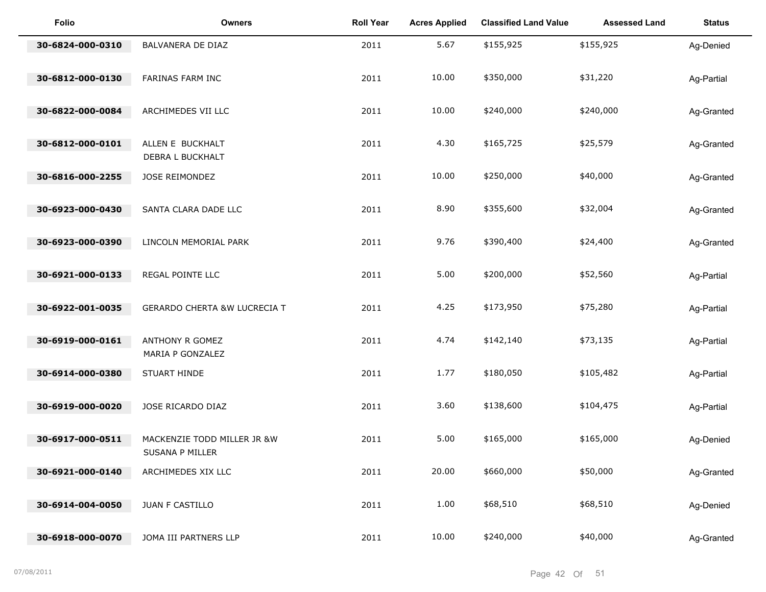| <b>Folio</b>     | <b>Owners</b>                                  | <b>Roll Year</b> | <b>Acres Applied</b> | <b>Classified Land Value</b> | <b>Assessed Land</b> | <b>Status</b> |
|------------------|------------------------------------------------|------------------|----------------------|------------------------------|----------------------|---------------|
| 30-6824-000-0310 | BALVANERA DE DIAZ                              | 2011             | 5.67                 | \$155,925                    | \$155,925            | Ag-Denied     |
| 30-6812-000-0130 | FARINAS FARM INC                               | 2011             | 10.00                | \$350,000                    | \$31,220             | Ag-Partial    |
| 30-6822-000-0084 | ARCHIMEDES VII LLC                             | 2011             | 10.00                | \$240,000                    | \$240,000            | Ag-Granted    |
| 30-6812-000-0101 | ALLEN E BUCKHALT<br>DEBRA L BUCKHALT           | 2011             | 4.30                 | \$165,725                    | \$25,579             | Ag-Granted    |
| 30-6816-000-2255 | JOSE REIMONDEZ                                 | 2011             | 10.00                | \$250,000                    | \$40,000             | Ag-Granted    |
| 30-6923-000-0430 | SANTA CLARA DADE LLC                           | 2011             | 8.90                 | \$355,600                    | \$32,004             | Ag-Granted    |
| 30-6923-000-0390 | LINCOLN MEMORIAL PARK                          | 2011             | 9.76                 | \$390,400                    | \$24,400             | Ag-Granted    |
| 30-6921-000-0133 | REGAL POINTE LLC                               | 2011             | 5.00                 | \$200,000                    | \$52,560             | Ag-Partial    |
| 30-6922-001-0035 | <b>GERARDO CHERTA &amp;W LUCRECIA T</b>        | 2011             | 4.25                 | \$173,950                    | \$75,280             | Ag-Partial    |
| 30-6919-000-0161 | ANTHONY R GOMEZ<br>MARIA P GONZALEZ            | 2011             | 4.74                 | \$142,140                    | \$73,135             | Ag-Partial    |
| 30-6914-000-0380 | STUART HINDE                                   | 2011             | 1.77                 | \$180,050                    | \$105,482            | Ag-Partial    |
| 30-6919-000-0020 | JOSE RICARDO DIAZ                              | 2011             | 3.60                 | \$138,600                    | \$104,475            | Ag-Partial    |
| 30-6917-000-0511 | MACKENZIE TODD MILLER JR &W<br>SUSANA P MILLER | 2011             | 5.00                 | \$165,000                    | \$165,000            | Ag-Denied     |
| 30-6921-000-0140 | ARCHIMEDES XIX LLC                             | 2011             | 20.00                | \$660,000                    | \$50,000             | Ag-Granted    |
| 30-6914-004-0050 | JUAN F CASTILLO                                | 2011             | 1.00                 | \$68,510                     | \$68,510             | Ag-Denied     |
| 30-6918-000-0070 | JOMA III PARTNERS LLP                          | 2011             | 10.00                | \$240,000                    | \$40,000             | Ag-Granted    |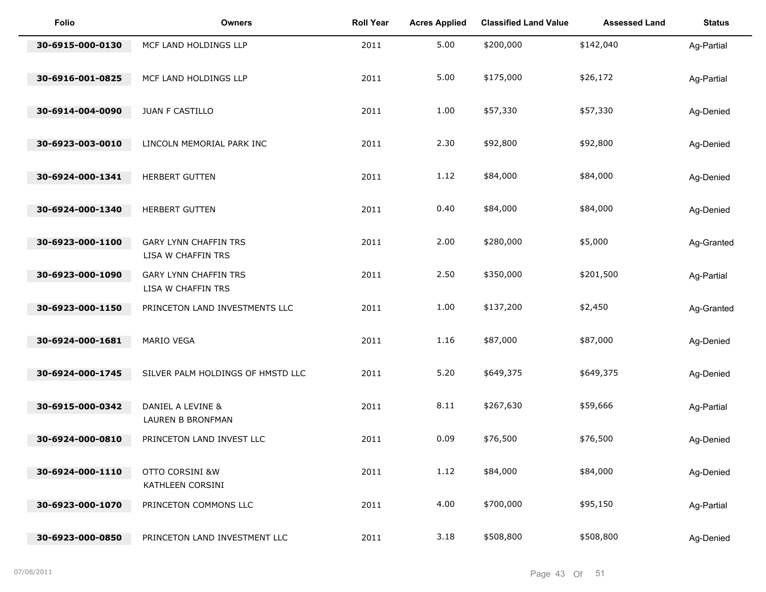| <b>Folio</b>     | <b>Owners</b>                                      | <b>Roll Year</b> | <b>Acres Applied</b> | <b>Classified Land Value</b> | <b>Assessed Land</b> | <b>Status</b> |
|------------------|----------------------------------------------------|------------------|----------------------|------------------------------|----------------------|---------------|
| 30-6915-000-0130 | MCF LAND HOLDINGS LLP                              | 2011             | 5.00                 | \$200,000                    | \$142,040            | Ag-Partial    |
| 30-6916-001-0825 | MCF LAND HOLDINGS LLP                              | 2011             | 5.00                 | \$175,000                    | \$26,172             | Ag-Partial    |
| 30-6914-004-0090 | JUAN F CASTILLO                                    | 2011             | 1.00                 | \$57,330                     | \$57,330             | Ag-Denied     |
| 30-6923-003-0010 | LINCOLN MEMORIAL PARK INC                          | 2011             | 2.30                 | \$92,800                     | \$92,800             | Ag-Denied     |
| 30-6924-000-1341 | <b>HERBERT GUTTEN</b>                              | 2011             | 1.12                 | \$84,000                     | \$84,000             | Ag-Denied     |
| 30-6924-000-1340 | HERBERT GUTTEN                                     | 2011             | 0.40                 | \$84,000                     | \$84,000             | Ag-Denied     |
| 30-6923-000-1100 | <b>GARY LYNN CHAFFIN TRS</b><br>LISA W CHAFFIN TRS | 2011             | 2.00                 | \$280,000                    | \$5,000              | Ag-Granted    |
| 30-6923-000-1090 | <b>GARY LYNN CHAFFIN TRS</b><br>LISA W CHAFFIN TRS | 2011             | 2.50                 | \$350,000                    | \$201,500            | Ag-Partial    |
| 30-6923-000-1150 | PRINCETON LAND INVESTMENTS LLC                     | 2011             | 1.00                 | \$137,200                    | \$2,450              | Ag-Granted    |
| 30-6924-000-1681 | MARIO VEGA                                         | 2011             | 1.16                 | \$87,000                     | \$87,000             | Ag-Denied     |
| 30-6924-000-1745 | SILVER PALM HOLDINGS OF HMSTD LLC                  | 2011             | 5.20                 | \$649,375                    | \$649,375            | Ag-Denied     |
| 30-6915-000-0342 | DANIEL A LEVINE &<br>LAUREN B BRONFMAN             | 2011             | 8.11                 | \$267,630                    | \$59,666             | Ag-Partial    |
| 30-6924-000-0810 | PRINCETON LAND INVEST LLC                          | 2011             | 0.09                 | \$76,500                     | \$76,500             | Ag-Denied     |
| 30-6924-000-1110 | OTTO CORSINI &W<br>KATHLEEN CORSINI                | 2011             | 1.12                 | \$84,000                     | \$84,000             | Ag-Denied     |
| 30-6923-000-1070 | PRINCETON COMMONS LLC                              | 2011             | 4.00                 | \$700,000                    | \$95,150             | Ag-Partial    |
| 30-6923-000-0850 | PRINCETON LAND INVESTMENT LLC                      | 2011             | 3.18                 | \$508,800                    | \$508,800            | Ag-Denied     |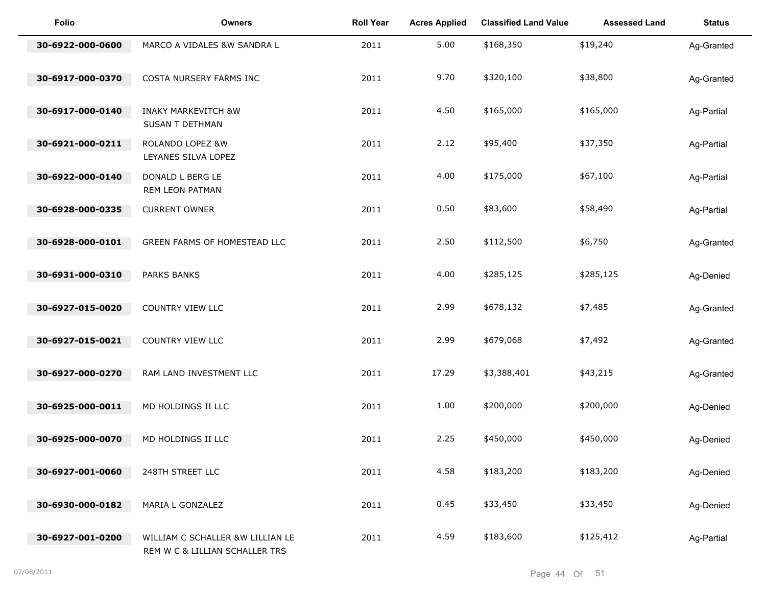| Folio            | <b>Owners</b>                                                      | <b>Roll Year</b> | <b>Acres Applied</b> | <b>Classified Land Value</b> | <b>Assessed Land</b> | <b>Status</b> |
|------------------|--------------------------------------------------------------------|------------------|----------------------|------------------------------|----------------------|---------------|
| 30-6922-000-0600 | MARCO A VIDALES &W SANDRA L                                        | 2011             | 5.00                 | \$168,350                    | \$19,240             | Ag-Granted    |
| 30-6917-000-0370 | COSTA NURSERY FARMS INC                                            | 2011             | 9.70                 | \$320,100                    | \$38,800             | Ag-Granted    |
| 30-6917-000-0140 | <b>INAKY MARKEVITCH &amp;W</b><br>SUSAN T DETHMAN                  | 2011             | 4.50                 | \$165,000                    | \$165,000            | Ag-Partial    |
| 30-6921-000-0211 | ROLANDO LOPEZ &W<br>LEYANES SILVA LOPEZ                            | 2011             | 2.12                 | \$95,400                     | \$37,350             | Ag-Partial    |
| 30-6922-000-0140 | DONALD L BERG LE<br>REM LEON PATMAN                                | 2011             | 4.00                 | \$175,000                    | \$67,100             | Ag-Partial    |
| 30-6928-000-0335 | <b>CURRENT OWNER</b>                                               | 2011             | 0.50                 | \$83,600                     | \$58,490             | Ag-Partial    |
| 30-6928-000-0101 | GREEN FARMS OF HOMESTEAD LLC                                       | 2011             | 2.50                 | \$112,500                    | \$6,750              | Ag-Granted    |
| 30-6931-000-0310 | <b>PARKS BANKS</b>                                                 | 2011             | 4.00                 | \$285,125                    | \$285,125            | Ag-Denied     |
| 30-6927-015-0020 | COUNTRY VIEW LLC                                                   | 2011             | 2.99                 | \$678,132                    | \$7,485              | Ag-Granted    |
| 30-6927-015-0021 | COUNTRY VIEW LLC                                                   | 2011             | 2.99                 | \$679,068                    | \$7,492              | Ag-Granted    |
| 30-6927-000-0270 | RAM LAND INVESTMENT LLC                                            | 2011             | 17.29                | \$3,388,401                  | \$43,215             | Ag-Granted    |
| 30-6925-000-0011 | MD HOLDINGS II LLC                                                 | 2011             | 1.00                 | \$200,000                    | \$200,000            | Ag-Denied     |
| 30-6925-000-0070 | MD HOLDINGS II LLC                                                 | 2011             | 2.25                 | \$450,000                    | \$450,000            | Ag-Denied     |
| 30-6927-001-0060 | 248TH STREET LLC                                                   | 2011             | 4.58                 | \$183,200                    | \$183,200            | Ag-Denied     |
| 30-6930-000-0182 | MARIA L GONZALEZ                                                   | 2011             | 0.45                 | \$33,450                     | \$33,450             | Ag-Denied     |
| 30-6927-001-0200 | WILLIAM C SCHALLER &W LILLIAN LE<br>REM W C & LILLIAN SCHALLER TRS | 2011             | 4.59                 | \$183,600                    | \$125,412            | Ag-Partial    |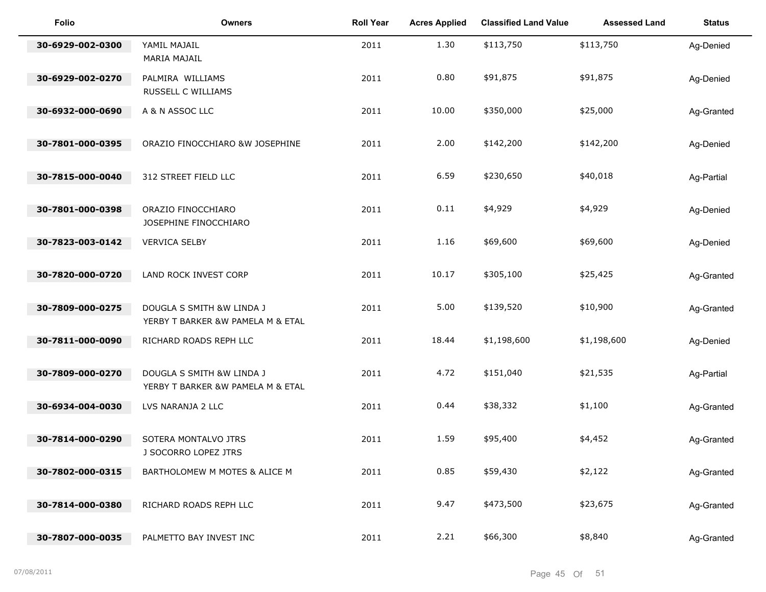| <b>Folio</b>     | <b>Owners</b>                                                  | <b>Roll Year</b> | <b>Acres Applied</b> | <b>Classified Land Value</b> | <b>Assessed Land</b> | <b>Status</b> |
|------------------|----------------------------------------------------------------|------------------|----------------------|------------------------------|----------------------|---------------|
| 30-6929-002-0300 | YAMIL MAJAIL<br>MARIA MAJAIL                                   | 2011             | 1.30                 | \$113,750                    | \$113,750            | Ag-Denied     |
| 30-6929-002-0270 | PALMIRA WILLIAMS<br>RUSSELL C WILLIAMS                         | 2011             | 0.80                 | \$91,875                     | \$91,875             | Ag-Denied     |
| 30-6932-000-0690 | A & N ASSOC LLC                                                | 2011             | 10.00                | \$350,000                    | \$25,000             | Ag-Granted    |
| 30-7801-000-0395 | ORAZIO FINOCCHIARO &W JOSEPHINE                                | 2011             | 2.00                 | \$142,200                    | \$142,200            | Ag-Denied     |
| 30-7815-000-0040 | 312 STREET FIELD LLC                                           | 2011             | 6.59                 | \$230,650                    | \$40,018             | Ag-Partial    |
| 30-7801-000-0398 | ORAZIO FINOCCHIARO<br>JOSEPHINE FINOCCHIARO                    | 2011             | 0.11                 | \$4,929                      | \$4,929              | Ag-Denied     |
| 30-7823-003-0142 | <b>VERVICA SELBY</b>                                           | 2011             | 1.16                 | \$69,600                     | \$69,600             | Ag-Denied     |
| 30-7820-000-0720 | LAND ROCK INVEST CORP                                          | 2011             | 10.17                | \$305,100                    | \$25,425             | Ag-Granted    |
| 30-7809-000-0275 | DOUGLA S SMITH &W LINDA J<br>YERBY T BARKER &W PAMELA M & ETAL | 2011             | 5.00                 | \$139,520                    | \$10,900             | Ag-Granted    |
| 30-7811-000-0090 | RICHARD ROADS REPH LLC                                         | 2011             | 18.44                | \$1,198,600                  | \$1,198,600          | Ag-Denied     |
| 30-7809-000-0270 | DOUGLA S SMITH &W LINDA J<br>YERBY T BARKER &W PAMELA M & ETAL | 2011             | 4.72                 | \$151,040                    | \$21,535             | Ag-Partial    |
| 30-6934-004-0030 | LVS NARANJA 2 LLC                                              | 2011             | 0.44                 | \$38,332                     | \$1,100              | Ag-Granted    |
| 30-7814-000-0290 | SOTERA MONTALVO JTRS<br>J SOCORRO LOPEZ JTRS                   | 2011             | 1.59                 | \$95,400                     | \$4,452              | Ag-Granted    |
| 30-7802-000-0315 | BARTHOLOMEW M MOTES & ALICE M                                  | 2011             | 0.85                 | \$59,430                     | \$2,122              | Ag-Granted    |
| 30-7814-000-0380 | RICHARD ROADS REPH LLC                                         | 2011             | 9.47                 | \$473,500                    | \$23,675             | Ag-Granted    |
| 30-7807-000-0035 | PALMETTO BAY INVEST INC                                        | 2011             | 2.21                 | \$66,300                     | \$8,840              | Ag-Granted    |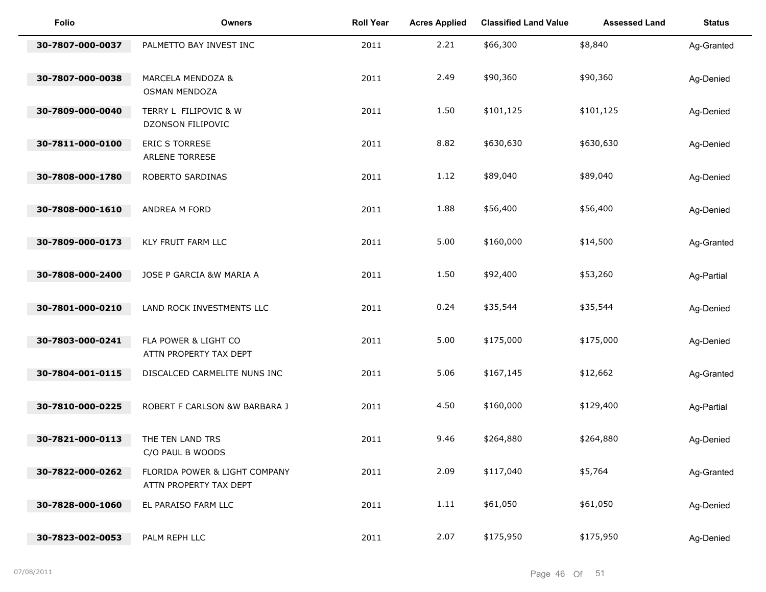| Folio            | <b>Owners</b>                                           | <b>Roll Year</b> | <b>Acres Applied</b> | <b>Classified Land Value</b> | <b>Assessed Land</b> | <b>Status</b> |
|------------------|---------------------------------------------------------|------------------|----------------------|------------------------------|----------------------|---------------|
| 30-7807-000-0037 | PALMETTO BAY INVEST INC                                 | 2011             | 2.21                 | \$66,300                     | \$8,840              | Ag-Granted    |
| 30-7807-000-0038 | MARCELA MENDOZA &<br><b>OSMAN MENDOZA</b>               | 2011             | 2.49                 | \$90,360                     | \$90,360             | Ag-Denied     |
| 30-7809-000-0040 | TERRY L FILIPOVIC & W<br>DZONSON FILIPOVIC              | 2011             | 1.50                 | \$101,125                    | \$101,125            | Ag-Denied     |
| 30-7811-000-0100 | ERIC S TORRESE<br>ARLENE TORRESE                        | 2011             | 8.82                 | \$630,630                    | \$630,630            | Ag-Denied     |
| 30-7808-000-1780 | ROBERTO SARDINAS                                        | 2011             | 1.12                 | \$89,040                     | \$89,040             | Ag-Denied     |
| 30-7808-000-1610 | ANDREA M FORD                                           | 2011             | 1.88                 | \$56,400                     | \$56,400             | Ag-Denied     |
| 30-7809-000-0173 | KLY FRUIT FARM LLC                                      | 2011             | 5.00                 | \$160,000                    | \$14,500             | Ag-Granted    |
| 30-7808-000-2400 | JOSE P GARCIA &W MARIA A                                | 2011             | 1.50                 | \$92,400                     | \$53,260             | Ag-Partial    |
| 30-7801-000-0210 | LAND ROCK INVESTMENTS LLC                               | 2011             | 0.24                 | \$35,544                     | \$35,544             | Ag-Denied     |
| 30-7803-000-0241 | FLA POWER & LIGHT CO<br>ATTN PROPERTY TAX DEPT          | 2011             | 5.00                 | \$175,000                    | \$175,000            | Ag-Denied     |
| 30-7804-001-0115 | DISCALCED CARMELITE NUNS INC                            | 2011             | 5.06                 | \$167,145                    | \$12,662             | Ag-Granted    |
| 30-7810-000-0225 | ROBERT F CARLSON &W BARBARA J                           | 2011             | 4.50                 | \$160,000                    | \$129,400            | Ag-Partial    |
| 30-7821-000-0113 | THE TEN LAND TRS<br>C/O PAUL B WOODS                    | 2011             | 9.46                 | \$264,880                    | \$264,880            | Ag-Denied     |
| 30-7822-000-0262 | FLORIDA POWER & LIGHT COMPANY<br>ATTN PROPERTY TAX DEPT | 2011             | 2.09                 | \$117,040                    | \$5,764              | Ag-Granted    |
| 30-7828-000-1060 | EL PARAISO FARM LLC                                     | 2011             | 1.11                 | \$61,050                     | \$61,050             | Ag-Denied     |
| 30-7823-002-0053 | PALM REPH LLC                                           | 2011             | 2.07                 | \$175,950                    | \$175,950            | Ag-Denied     |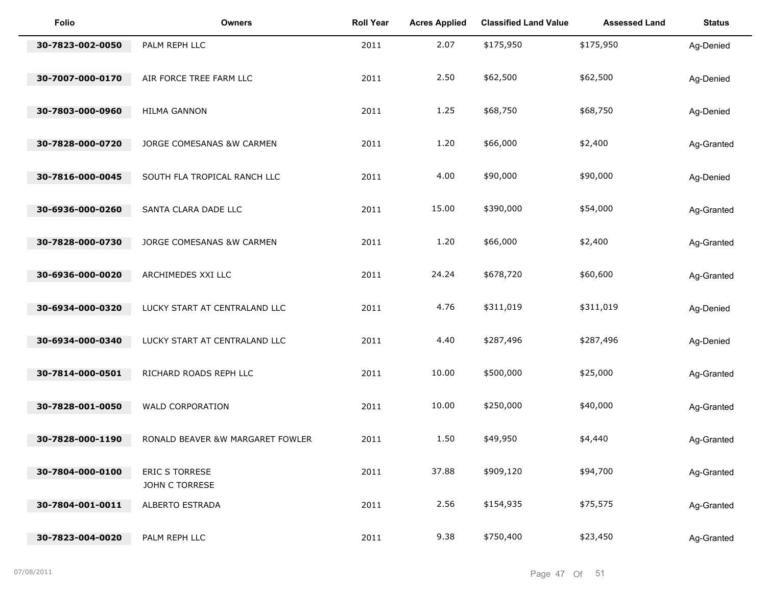| <b>Folio</b>     | <b>Owners</b>                    | <b>Roll Year</b> | <b>Acres Applied</b> | <b>Classified Land Value</b> | <b>Assessed Land</b> | <b>Status</b> |
|------------------|----------------------------------|------------------|----------------------|------------------------------|----------------------|---------------|
| 30-7823-002-0050 | PALM REPH LLC                    | 2011             | 2.07                 | \$175,950                    | \$175,950            | Ag-Denied     |
| 30-7007-000-0170 | AIR FORCE TREE FARM LLC          | 2011             | 2.50                 | \$62,500                     | \$62,500             | Ag-Denied     |
| 30-7803-000-0960 | <b>HILMA GANNON</b>              | 2011             | 1.25                 | \$68,750                     | \$68,750             | Ag-Denied     |
| 30-7828-000-0720 | JORGE COMESANAS &W CARMEN        | 2011             | 1.20                 | \$66,000                     | \$2,400              | Ag-Granted    |
| 30-7816-000-0045 | SOUTH FLA TROPICAL RANCH LLC     | 2011             | 4.00                 | \$90,000                     | \$90,000             | Ag-Denied     |
| 30-6936-000-0260 | SANTA CLARA DADE LLC             | 2011             | 15.00                | \$390,000                    | \$54,000             | Ag-Granted    |
| 30-7828-000-0730 | JORGE COMESANAS &W CARMEN        | 2011             | 1.20                 | \$66,000                     | \$2,400              | Ag-Granted    |
| 30-6936-000-0020 | ARCHIMEDES XXI LLC               | 2011             | 24.24                | \$678,720                    | \$60,600             | Ag-Granted    |
| 30-6934-000-0320 | LUCKY START AT CENTRALAND LLC    | 2011             | 4.76                 | \$311,019                    | \$311,019            | Ag-Denied     |
| 30-6934-000-0340 | LUCKY START AT CENTRALAND LLC    | 2011             | 4.40                 | \$287,496                    | \$287,496            | Ag-Denied     |
| 30-7814-000-0501 | RICHARD ROADS REPH LLC           | 2011             | 10.00                | \$500,000                    | \$25,000             | Ag-Granted    |
| 30-7828-001-0050 | <b>WALD CORPORATION</b>          | 2011             | 10.00                | \$250,000                    | \$40,000             | Ag-Granted    |
| 30-7828-000-1190 | RONALD BEAVER &W MARGARET FOWLER | 2011             | 1.50                 | \$49,950                     | \$4,440              | Ag-Granted    |
| 30-7804-000-0100 | ERIC S TORRESE<br>JOHN C TORRESE | 2011             | 37.88                | \$909,120                    | \$94,700             | Ag-Granted    |
| 30-7804-001-0011 | ALBERTO ESTRADA                  | 2011             | 2.56                 | \$154,935                    | \$75,575             | Ag-Granted    |
| 30-7823-004-0020 | PALM REPH LLC                    | 2011             | 9.38                 | \$750,400                    | \$23,450             | Ag-Granted    |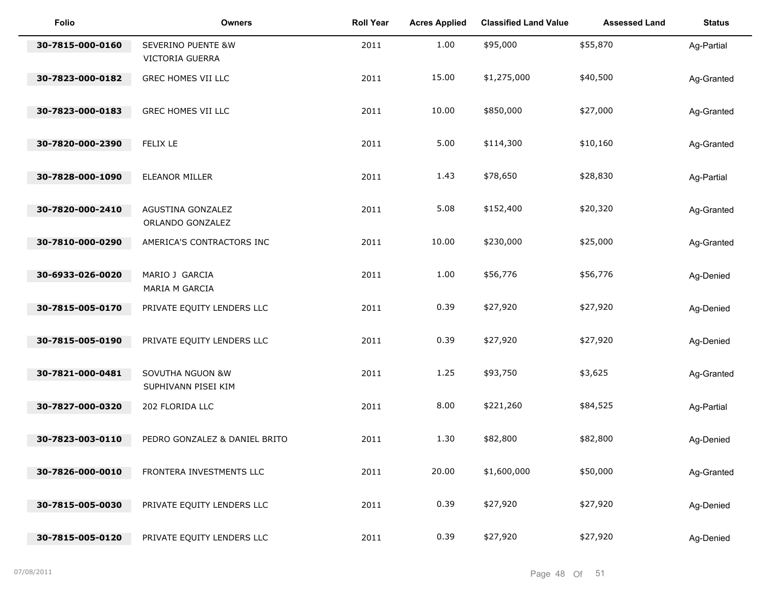| <b>Folio</b>     | <b>Owners</b>                           | <b>Roll Year</b> | <b>Acres Applied</b> | <b>Classified Land Value</b> | <b>Assessed Land</b> | <b>Status</b> |
|------------------|-----------------------------------------|------------------|----------------------|------------------------------|----------------------|---------------|
| 30-7815-000-0160 | SEVERINO PUENTE &W<br>VICTORIA GUERRA   | 2011             | 1.00                 | \$95,000                     | \$55,870             | Ag-Partial    |
| 30-7823-000-0182 | GREC HOMES VII LLC                      | 2011             | 15.00                | \$1,275,000                  | \$40,500             | Ag-Granted    |
| 30-7823-000-0183 | GREC HOMES VII LLC                      | 2011             | 10.00                | \$850,000                    | \$27,000             | Ag-Granted    |
| 30-7820-000-2390 | FELIX LE                                | 2011             | 5.00                 | \$114,300                    | \$10,160             | Ag-Granted    |
| 30-7828-000-1090 | ELEANOR MILLER                          | 2011             | 1.43                 | \$78,650                     | \$28,830             | Ag-Partial    |
| 30-7820-000-2410 | AGUSTINA GONZALEZ<br>ORLANDO GONZALEZ   | 2011             | 5.08                 | \$152,400                    | \$20,320             | Ag-Granted    |
| 30-7810-000-0290 | AMERICA'S CONTRACTORS INC               | 2011             | 10.00                | \$230,000                    | \$25,000             | Ag-Granted    |
| 30-6933-026-0020 | MARIO J GARCIA<br>MARIA M GARCIA        | 2011             | 1.00                 | \$56,776                     | \$56,776             | Ag-Denied     |
| 30-7815-005-0170 | PRIVATE EQUITY LENDERS LLC              | 2011             | 0.39                 | \$27,920                     | \$27,920             | Ag-Denied     |
| 30-7815-005-0190 | PRIVATE EQUITY LENDERS LLC              | 2011             | 0.39                 | \$27,920                     | \$27,920             | Ag-Denied     |
| 30-7821-000-0481 | SOVUTHA NGUON &W<br>SUPHIVANN PISEI KIM | 2011             | 1.25                 | \$93,750                     | \$3,625              | Ag-Granted    |
| 30-7827-000-0320 | 202 FLORIDA LLC                         | 2011             | 8.00                 | \$221,260                    | \$84,525             | Ag-Partial    |
| 30-7823-003-0110 | PEDRO GONZALEZ & DANIEL BRITO           | 2011             | 1.30                 | \$82,800                     | \$82,800             | Ag-Denied     |
| 30-7826-000-0010 | FRONTERA INVESTMENTS LLC                | 2011             | 20.00                | \$1,600,000                  | \$50,000             | Ag-Granted    |
| 30-7815-005-0030 | PRIVATE EQUITY LENDERS LLC              | 2011             | 0.39                 | \$27,920                     | \$27,920             | Ag-Denied     |
| 30-7815-005-0120 | PRIVATE EQUITY LENDERS LLC              | 2011             | 0.39                 | \$27,920                     | \$27,920             | Ag-Denied     |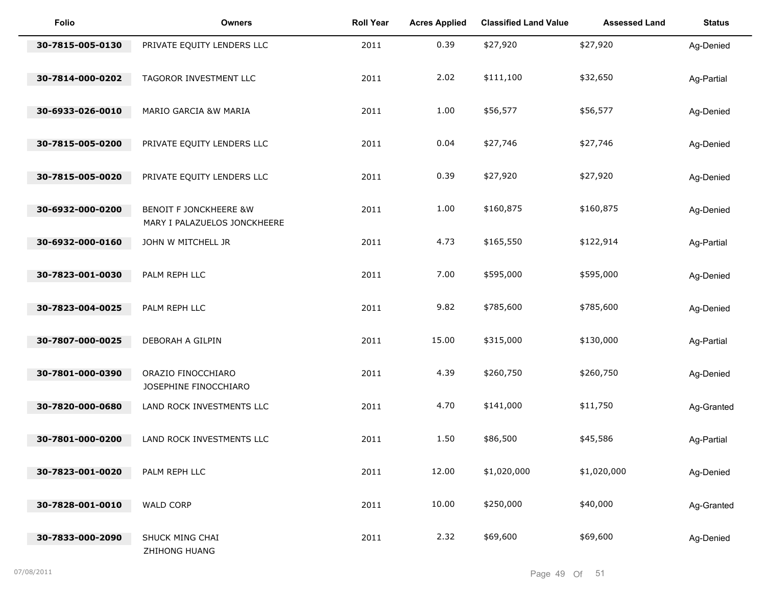| Folio            | <b>Owners</b>                                                     | <b>Roll Year</b> | <b>Acres Applied</b> | <b>Classified Land Value</b> | <b>Assessed Land</b> | <b>Status</b> |
|------------------|-------------------------------------------------------------------|------------------|----------------------|------------------------------|----------------------|---------------|
| 30-7815-005-0130 | PRIVATE EQUITY LENDERS LLC                                        | 2011             | 0.39                 | \$27,920                     | \$27,920             | Ag-Denied     |
| 30-7814-000-0202 | TAGOROR INVESTMENT LLC                                            | 2011             | 2.02                 | \$111,100                    | \$32,650             | Ag-Partial    |
| 30-6933-026-0010 | MARIO GARCIA &W MARIA                                             | 2011             | 1.00                 | \$56,577                     | \$56,577             | Ag-Denied     |
| 30-7815-005-0200 | PRIVATE EQUITY LENDERS LLC                                        | 2011             | 0.04                 | \$27,746                     | \$27,746             | Ag-Denied     |
| 30-7815-005-0020 | PRIVATE EQUITY LENDERS LLC                                        | 2011             | 0.39                 | \$27,920                     | \$27,920             | Ag-Denied     |
| 30-6932-000-0200 | <b>BENOIT F JONCKHEERE &amp;W</b><br>MARY I PALAZUELOS JONCKHEERE | 2011             | 1.00                 | \$160,875                    | \$160,875            | Ag-Denied     |
| 30-6932-000-0160 | JOHN W MITCHELL JR                                                | 2011             | 4.73                 | \$165,550                    | \$122,914            | Ag-Partial    |
| 30-7823-001-0030 | PALM REPH LLC                                                     | 2011             | 7.00                 | \$595,000                    | \$595,000            | Ag-Denied     |
| 30-7823-004-0025 | PALM REPH LLC                                                     | 2011             | 9.82                 | \$785,600                    | \$785,600            | Ag-Denied     |
| 30-7807-000-0025 | DEBORAH A GILPIN                                                  | 2011             | 15.00                | \$315,000                    | \$130,000            | Ag-Partial    |
| 30-7801-000-0390 | ORAZIO FINOCCHIARO<br>JOSEPHINE FINOCCHIARO                       | 2011             | 4.39                 | \$260,750                    | \$260,750            | Ag-Denied     |
| 30-7820-000-0680 | LAND ROCK INVESTMENTS LLC                                         | 2011             | 4.70                 | \$141,000                    | \$11,750             | Ag-Granted    |
| 30-7801-000-0200 | LAND ROCK INVESTMENTS LLC                                         | 2011             | 1.50                 | \$86,500                     | \$45,586             | Ag-Partial    |
| 30-7823-001-0020 | PALM REPH LLC                                                     | 2011             | 12.00                | \$1,020,000                  | \$1,020,000          | Ag-Denied     |
| 30-7828-001-0010 | WALD CORP                                                         | 2011             | 10.00                | \$250,000                    | \$40,000             | Ag-Granted    |
| 30-7833-000-2090 | SHUCK MING CHAI                                                   | 2011             | 2.32                 | \$69,600                     | \$69,600             | Ag-Denied     |
|                  | ZHIHONG HUANG                                                     |                  |                      |                              |                      |               |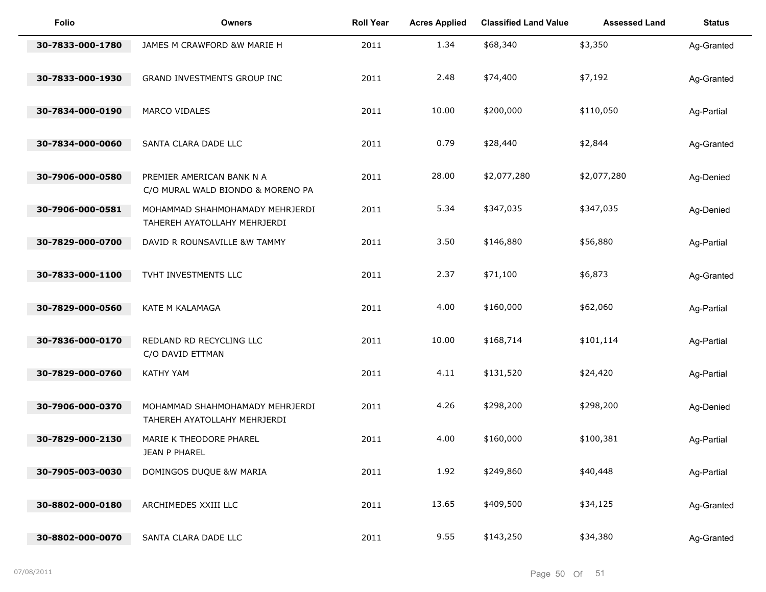| <b>Folio</b>     | <b>Owners</b>                                                   | <b>Roll Year</b> | <b>Acres Applied</b> | <b>Classified Land Value</b> | <b>Assessed Land</b> | <b>Status</b> |
|------------------|-----------------------------------------------------------------|------------------|----------------------|------------------------------|----------------------|---------------|
| 30-7833-000-1780 | JAMES M CRAWFORD &W MARIE H                                     | 2011             | 1.34                 | \$68,340                     | \$3,350              | Ag-Granted    |
| 30-7833-000-1930 | GRAND INVESTMENTS GROUP INC                                     | 2011             | 2.48                 | \$74,400                     | \$7,192              | Ag-Granted    |
| 30-7834-000-0190 | MARCO VIDALES                                                   | 2011             | 10.00                | \$200,000                    | \$110,050            | Ag-Partial    |
| 30-7834-000-0060 | SANTA CLARA DADE LLC                                            | 2011             | 0.79                 | \$28,440                     | \$2,844              | Ag-Granted    |
| 30-7906-000-0580 | PREMIER AMERICAN BANK N A<br>C/O MURAL WALD BIONDO & MORENO PA  | 2011             | 28.00                | \$2,077,280                  | \$2,077,280          | Ag-Denied     |
| 30-7906-000-0581 | MOHAMMAD SHAHMOHAMADY MEHRJERDI<br>TAHEREH AYATOLLAHY MEHRJERDI | 2011             | 5.34                 | \$347,035                    | \$347,035            | Ag-Denied     |
| 30-7829-000-0700 | DAVID R ROUNSAVILLE &W TAMMY                                    | 2011             | 3.50                 | \$146,880                    | \$56,880             | Ag-Partial    |
| 30-7833-000-1100 | TVHT INVESTMENTS LLC                                            | 2011             | 2.37                 | \$71,100                     | \$6,873              | Ag-Granted    |
| 30-7829-000-0560 | KATE M KALAMAGA                                                 | 2011             | 4.00                 | \$160,000                    | \$62,060             | Ag-Partial    |
| 30-7836-000-0170 | REDLAND RD RECYCLING LLC<br>C/O DAVID ETTMAN                    | 2011             | 10.00                | \$168,714                    | \$101,114            | Ag-Partial    |
| 30-7829-000-0760 | <b>KATHY YAM</b>                                                | 2011             | 4.11                 | \$131,520                    | \$24,420             | Ag-Partial    |
| 30-7906-000-0370 | MOHAMMAD SHAHMOHAMADY MEHRJERDI<br>TAHEREH AYATOLLAHY MEHRJERDI | 2011             | 4.26                 | \$298,200                    | \$298,200            | Ag-Denied     |
| 30-7829-000-2130 | MARIE K THEODORE PHAREL<br>JEAN P PHAREL                        | 2011             | 4.00                 | \$160,000                    | \$100,381            | Ag-Partial    |
| 30-7905-003-0030 | DOMINGOS DUQUE &W MARIA                                         | 2011             | 1.92                 | \$249,860                    | \$40,448             | Ag-Partial    |
| 30-8802-000-0180 | ARCHIMEDES XXIII LLC                                            | 2011             | 13.65                | \$409,500                    | \$34,125             | Ag-Granted    |
| 30-8802-000-0070 | SANTA CLARA DADE LLC                                            | 2011             | 9.55                 | \$143,250                    | \$34,380             | Ag-Granted    |